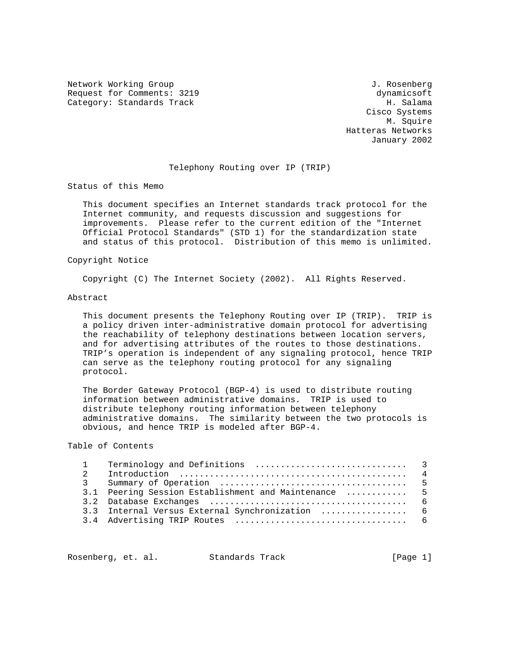Network Working Group 3. 2008 1. Rosenberg 3. Rosenberg 3. Rosenberg Request for Comments: 3219 dynamicsoft Category: Standards Track H. Salama

 Cisco Systems M. Squire Hatteras Networks January 2002

#### Telephony Routing over IP (TRIP)

Status of this Memo

 This document specifies an Internet standards track protocol for the Internet community, and requests discussion and suggestions for improvements. Please refer to the current edition of the "Internet Official Protocol Standards" (STD 1) for the standardization state and status of this protocol. Distribution of this memo is unlimited.

#### Copyright Notice

Copyright (C) The Internet Society (2002). All Rights Reserved.

#### Abstract

 This document presents the Telephony Routing over IP (TRIP). TRIP is a policy driven inter-administrative domain protocol for advertising the reachability of telephony destinations between location servers, and for advertising attributes of the routes to those destinations. TRIP's operation is independent of any signaling protocol, hence TRIP can serve as the telephony routing protocol for any signaling protocol.

 The Border Gateway Protocol (BGP-4) is used to distribute routing information between administrative domains. TRIP is used to distribute telephony routing information between telephony administrative domains. The similarity between the two protocols is obvious, and hence TRIP is modeled after BGP-4.

## Table of Contents

|  | 3.1 Peering Session Establishment and Maintenance  5 |  |
|--|------------------------------------------------------|--|
|  |                                                      |  |
|  | 3.3 Internal Versus External Synchronization  6      |  |
|  |                                                      |  |
|  |                                                      |  |

Rosenberg, et. al. Standards Track [Page 1]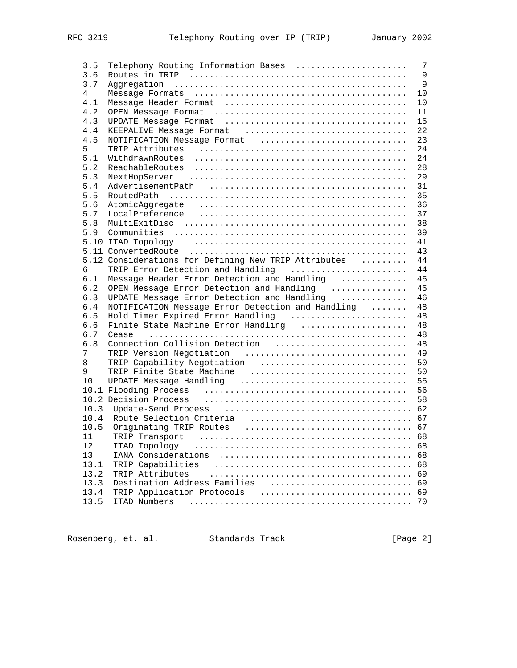| 3.5  | Telephony Routing Information Bases                                                                            | 7              |
|------|----------------------------------------------------------------------------------------------------------------|----------------|
| 3.6  |                                                                                                                | $\overline{9}$ |
| 3.7  |                                                                                                                | $\overline{9}$ |
| 4    |                                                                                                                | 10             |
| 4.1  |                                                                                                                | 10             |
| 4.2  |                                                                                                                | 11             |
| 4.3  |                                                                                                                | 15             |
| 4.4  | KEEPALIVE Message Format                                                                                       | 22             |
| 4.5  | NOTIFICATION Message Format                                                                                    | 23             |
| 5    |                                                                                                                | 24             |
| 5.1  | WithdrawnRoutes                                                                                                | 24             |
| 5.2  | ReachableRoutes                                                                                                | 28             |
| 5.3  |                                                                                                                | 29             |
| 5.4  |                                                                                                                | 31             |
| 5.5  |                                                                                                                | 35             |
| 5.6  |                                                                                                                | 36             |
| 5.7  | LocalPreference                                                                                                | 37             |
| 5.8  |                                                                                                                | 38             |
| 5.9  |                                                                                                                | 39             |
|      | 5.10 ITAD Topology (assumination of the contract of the contract of the set of the set of the set of the set o | 41             |
|      |                                                                                                                | 43             |
|      | 5.12 Considerations for Defining New TRIP Attributes                                                           | 44             |
| 6    | TRIP Error Detection and Handling                                                                              | 44             |
| 6.1  | Message Header Error Detection and Handling                                                                    | 45             |
| 6.2  | OPEN Message Error Detection and Handling                                                                      | 45             |
| 6.3  | UPDATE Message Error Detection and Handling                                                                    | 46             |
| 6.4  | NOTIFICATION Message Error Detection and Handling                                                              | 48             |
| 6.5  | Hold Timer Expired Error Handling                                                                              | 48             |
| 6.6  | Finite State Machine Error Handling                                                                            | 48             |
| 6.7  |                                                                                                                | 48             |
| 6.8  |                                                                                                                | 48             |
| 7    |                                                                                                                | 49             |
|      | TRIP Version Negotiation                                                                                       |                |
| 8    | TRIP Capability Negotiation                                                                                    | 50             |
| 9    | TRIP Finite State Machine                                                                                      | 50             |
| 10   | UPDATE Message Handling                                                                                        | 55             |
|      |                                                                                                                | 56             |
|      | 10.2 Decision Process (and intercontance in the contract of the set of the set of the set of the set of the s  | 58             |
| 10.3 |                                                                                                                |                |
| 10.4 |                                                                                                                |                |
| 10.5 |                                                                                                                |                |
| 11   | TRIP Transport                                                                                                 |                |
| 12   | ITAD Topology                                                                                                  | 68             |
| 13   |                                                                                                                | 68             |
| 13.1 | TRIP Capabilities                                                                                              | 68             |
| 13.2 | TRIP Attributes                                                                                                | 69             |
| 13.3 | Destination Address Families                                                                                   | 69             |
| 13.4 | TRIP Application Protocols                                                                                     | 69             |
| 13.5 | ITAD Numbers                                                                                                   | 70             |
|      |                                                                                                                |                |

Rosenberg, et. al. Standards Track [Page 2]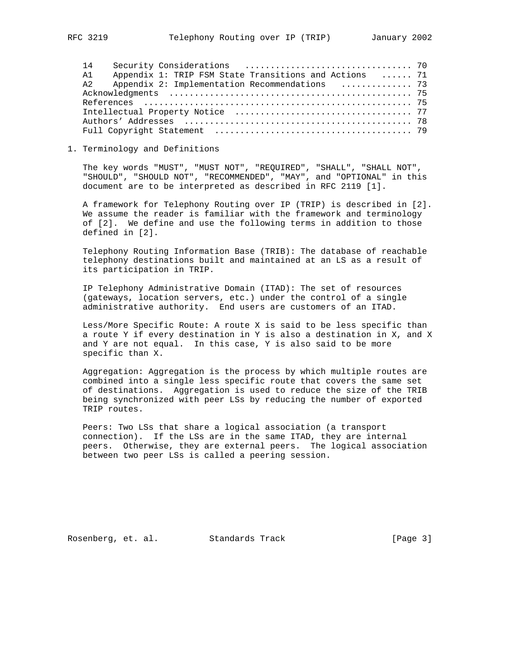14 Security Considerations ................................. 70 A1 Appendix 1: TRIP FSM State Transitions and Actions ...... 71 A2 Appendix 2: Implementation Recommendations .............. 73 Acknowledgments ................................................ 75 References ..................................................... 75 Intellectual Property Notice ................................... 77 Authors' Addresses ............................................. 78 Full Copyright Statement ....................................... 79

## 1. Terminology and Definitions

 The key words "MUST", "MUST NOT", "REQUIRED", "SHALL", "SHALL NOT", "SHOULD", "SHOULD NOT", "RECOMMENDED", "MAY", and "OPTIONAL" in this document are to be interpreted as described in RFC 2119 [1].

 A framework for Telephony Routing over IP (TRIP) is described in [2]. We assume the reader is familiar with the framework and terminology of [2]. We define and use the following terms in addition to those defined in [2].

 Telephony Routing Information Base (TRIB): The database of reachable telephony destinations built and maintained at an LS as a result of its participation in TRIP.

 IP Telephony Administrative Domain (ITAD): The set of resources (gateways, location servers, etc.) under the control of a single administrative authority. End users are customers of an ITAD.

 Less/More Specific Route: A route X is said to be less specific than a route Y if every destination in Y is also a destination in X, and X and Y are not equal. In this case, Y is also said to be more specific than X.

 Aggregation: Aggregation is the process by which multiple routes are combined into a single less specific route that covers the same set of destinations. Aggregation is used to reduce the size of the TRIB being synchronized with peer LSs by reducing the number of exported TRIP routes.

 Peers: Two LSs that share a logical association (a transport connection). If the LSs are in the same ITAD, they are internal peers. Otherwise, they are external peers. The logical association between two peer LSs is called a peering session.

Rosenberg, et. al. Standards Track [Page 3]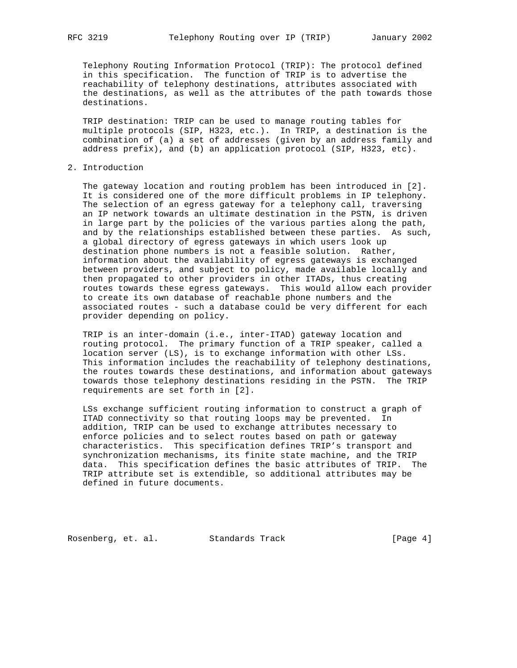Telephony Routing Information Protocol (TRIP): The protocol defined in this specification. The function of TRIP is to advertise the reachability of telephony destinations, attributes associated with the destinations, as well as the attributes of the path towards those destinations.

 TRIP destination: TRIP can be used to manage routing tables for multiple protocols (SIP, H323, etc.). In TRIP, a destination is the combination of (a) a set of addresses (given by an address family and address prefix), and (b) an application protocol (SIP, H323, etc).

## 2. Introduction

 The gateway location and routing problem has been introduced in [2]. It is considered one of the more difficult problems in IP telephony. The selection of an egress gateway for a telephony call, traversing an IP network towards an ultimate destination in the PSTN, is driven in large part by the policies of the various parties along the path, and by the relationships established between these parties. As such, a global directory of egress gateways in which users look up destination phone numbers is not a feasible solution. Rather, information about the availability of egress gateways is exchanged between providers, and subject to policy, made available locally and then propagated to other providers in other ITADs, thus creating routes towards these egress gateways. This would allow each provider to create its own database of reachable phone numbers and the associated routes - such a database could be very different for each provider depending on policy.

 TRIP is an inter-domain (i.e., inter-ITAD) gateway location and routing protocol. The primary function of a TRIP speaker, called a location server (LS), is to exchange information with other LSs. This information includes the reachability of telephony destinations, the routes towards these destinations, and information about gateways towards those telephony destinations residing in the PSTN. The TRIP requirements are set forth in [2].

 LSs exchange sufficient routing information to construct a graph of ITAD connectivity so that routing loops may be prevented. In addition, TRIP can be used to exchange attributes necessary to enforce policies and to select routes based on path or gateway characteristics. This specification defines TRIP's transport and synchronization mechanisms, its finite state machine, and the TRIP data. This specification defines the basic attributes of TRIP. The TRIP attribute set is extendible, so additional attributes may be defined in future documents.

Rosenberg, et. al. Standards Track [Page 4]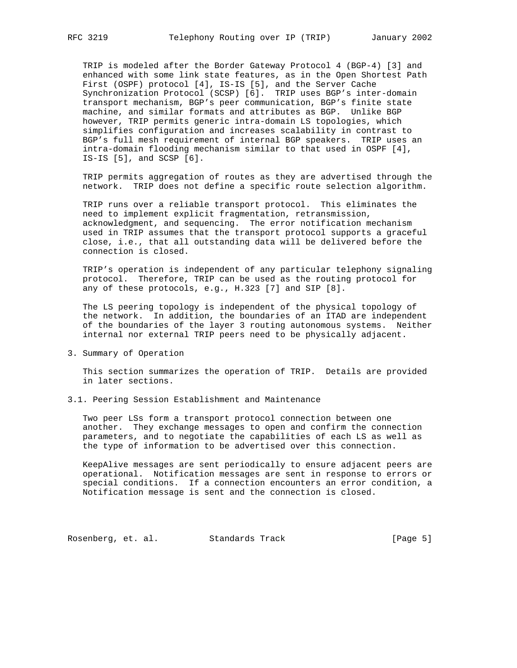TRIP is modeled after the Border Gateway Protocol 4 (BGP-4) [3] and enhanced with some link state features, as in the Open Shortest Path First (OSPF) protocol [4], IS-IS [5], and the Server Cache Synchronization Protocol (SCSP) [6]. TRIP uses BGP's inter-domain transport mechanism, BGP's peer communication, BGP's finite state machine, and similar formats and attributes as BGP. Unlike BGP however, TRIP permits generic intra-domain LS topologies, which simplifies configuration and increases scalability in contrast to BGP's full mesh requirement of internal BGP speakers. TRIP uses an intra-domain flooding mechanism similar to that used in OSPF [4], IS-IS [5], and SCSP [6].

 TRIP permits aggregation of routes as they are advertised through the network. TRIP does not define a specific route selection algorithm.

 TRIP runs over a reliable transport protocol. This eliminates the need to implement explicit fragmentation, retransmission, acknowledgment, and sequencing. The error notification mechanism used in TRIP assumes that the transport protocol supports a graceful close, i.e., that all outstanding data will be delivered before the connection is closed.

 TRIP's operation is independent of any particular telephony signaling protocol. Therefore, TRIP can be used as the routing protocol for any of these protocols, e.g., H.323 [7] and SIP [8].

 The LS peering topology is independent of the physical topology of the network. In addition, the boundaries of an ITAD are independent of the boundaries of the layer 3 routing autonomous systems. Neither internal nor external TRIP peers need to be physically adjacent.

3. Summary of Operation

 This section summarizes the operation of TRIP. Details are provided in later sections.

3.1. Peering Session Establishment and Maintenance

 Two peer LSs form a transport protocol connection between one another. They exchange messages to open and confirm the connection parameters, and to negotiate the capabilities of each LS as well as the type of information to be advertised over this connection.

 KeepAlive messages are sent periodically to ensure adjacent peers are operational. Notification messages are sent in response to errors or special conditions. If a connection encounters an error condition, a Notification message is sent and the connection is closed.

Rosenberg, et. al. Standards Track [Page 5]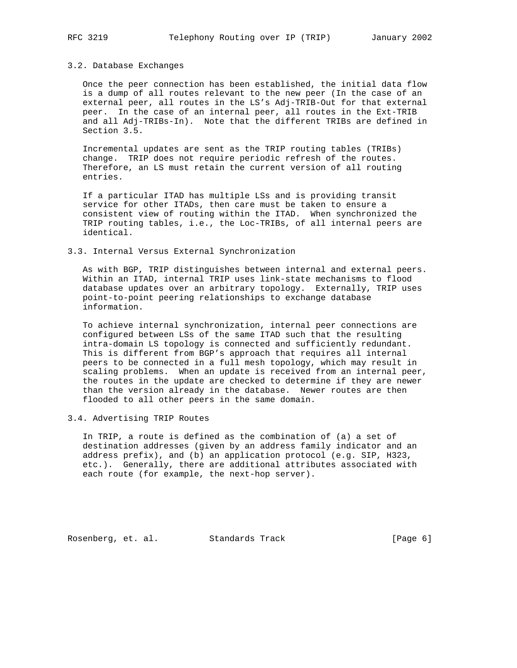# 3.2. Database Exchanges

 Once the peer connection has been established, the initial data flow is a dump of all routes relevant to the new peer (In the case of an external peer, all routes in the LS's Adj-TRIB-Out for that external peer. In the case of an internal peer, all routes in the Ext-TRIB and all Adj-TRIBs-In). Note that the different TRIBs are defined in Section 3.5.

 Incremental updates are sent as the TRIP routing tables (TRIBs) change. TRIP does not require periodic refresh of the routes. Therefore, an LS must retain the current version of all routing entries.

 If a particular ITAD has multiple LSs and is providing transit service for other ITADs, then care must be taken to ensure a consistent view of routing within the ITAD. When synchronized the TRIP routing tables, i.e., the Loc-TRIBs, of all internal peers are identical.

#### 3.3. Internal Versus External Synchronization

 As with BGP, TRIP distinguishes between internal and external peers. Within an ITAD, internal TRIP uses link-state mechanisms to flood database updates over an arbitrary topology. Externally, TRIP uses point-to-point peering relationships to exchange database information.

 To achieve internal synchronization, internal peer connections are configured between LSs of the same ITAD such that the resulting intra-domain LS topology is connected and sufficiently redundant. This is different from BGP's approach that requires all internal peers to be connected in a full mesh topology, which may result in scaling problems. When an update is received from an internal peer, the routes in the update are checked to determine if they are newer than the version already in the database. Newer routes are then flooded to all other peers in the same domain.

## 3.4. Advertising TRIP Routes

 In TRIP, a route is defined as the combination of (a) a set of destination addresses (given by an address family indicator and an address prefix), and (b) an application protocol (e.g. SIP, H323, etc.). Generally, there are additional attributes associated with each route (for example, the next-hop server).

Rosenberg, et. al. Standards Track [Page 6]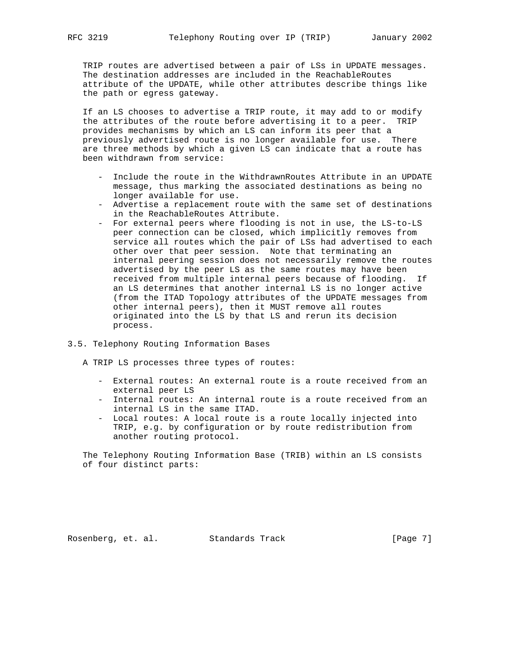TRIP routes are advertised between a pair of LSs in UPDATE messages. The destination addresses are included in the ReachableRoutes attribute of the UPDATE, while other attributes describe things like the path or egress gateway.

 If an LS chooses to advertise a TRIP route, it may add to or modify the attributes of the route before advertising it to a peer. TRIP provides mechanisms by which an LS can inform its peer that a previously advertised route is no longer available for use. There are three methods by which a given LS can indicate that a route has been withdrawn from service:

- Include the route in the WithdrawnRoutes Attribute in an UPDATE message, thus marking the associated destinations as being no longer available for use.
- Advertise a replacement route with the same set of destinations in the ReachableRoutes Attribute.
- For external peers where flooding is not in use, the LS-to-LS peer connection can be closed, which implicitly removes from service all routes which the pair of LSs had advertised to each other over that peer session. Note that terminating an internal peering session does not necessarily remove the routes advertised by the peer LS as the same routes may have been received from multiple internal peers because of flooding. If an LS determines that another internal LS is no longer active (from the ITAD Topology attributes of the UPDATE messages from other internal peers), then it MUST remove all routes originated into the LS by that LS and rerun its decision process.

## 3.5. Telephony Routing Information Bases

A TRIP LS processes three types of routes:

- External routes: An external route is a route received from an external peer LS
- Internal routes: An internal route is a route received from an internal LS in the same ITAD.
- Local routes: A local route is a route locally injected into TRIP, e.g. by configuration or by route redistribution from another routing protocol.

 The Telephony Routing Information Base (TRIB) within an LS consists of four distinct parts: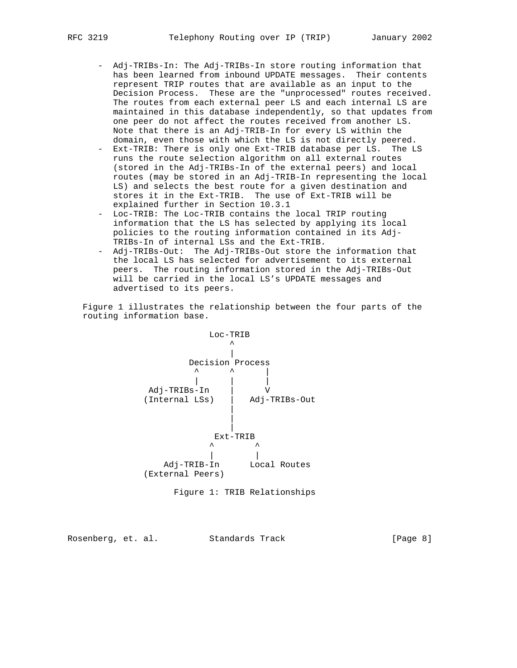- Adj-TRIBs-In: The Adj-TRIBs-In store routing information that has been learned from inbound UPDATE messages. Their contents represent TRIP routes that are available as an input to the Decision Process. These are the "unprocessed" routes received. The routes from each external peer LS and each internal LS are maintained in this database independently, so that updates from one peer do not affect the routes received from another LS. Note that there is an Adj-TRIB-In for every LS within the domain, even those with which the LS is not directly peered.
- Ext-TRIB: There is only one Ext-TRIB database per LS. The LS runs the route selection algorithm on all external routes (stored in the Adj-TRIBs-In of the external peers) and local routes (may be stored in an Adj-TRIB-In representing the local LS) and selects the best route for a given destination and stores it in the Ext-TRIB. The use of Ext-TRIB will be explained further in Section 10.3.1
- Loc-TRIB: The Loc-TRIB contains the local TRIP routing information that the LS has selected by applying its local policies to the routing information contained in its Adj- TRIBs-In of internal LSs and the Ext-TRIB.
- Adj-TRIBs-Out: The Adj-TRIBs-Out store the information that the local LS has selected for advertisement to its external peers. The routing information stored in the Adj-TRIBs-Out will be carried in the local LS's UPDATE messages and advertised to its peers.

 Figure 1 illustrates the relationship between the four parts of the routing information base.



Figure 1: TRIB Relationships

Rosenberg, et. al. Standards Track [Page 8]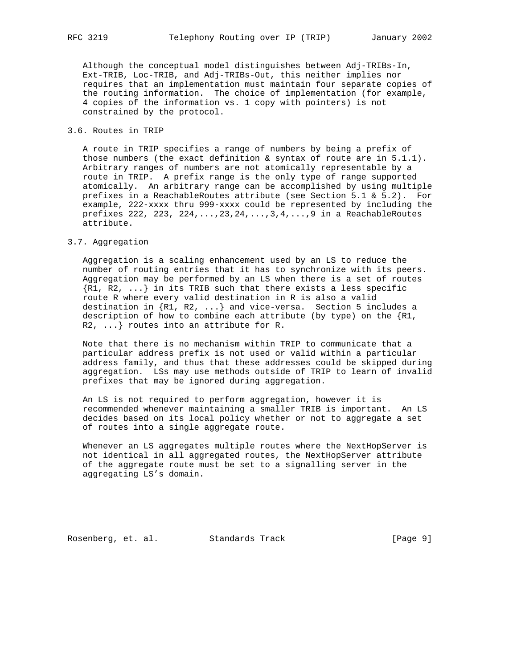Although the conceptual model distinguishes between Adj-TRIBs-In, Ext-TRIB, Loc-TRIB, and Adj-TRIBs-Out, this neither implies nor requires that an implementation must maintain four separate copies of the routing information. The choice of implementation (for example, 4 copies of the information vs. 1 copy with pointers) is not constrained by the protocol.

## 3.6. Routes in TRIP

 A route in TRIP specifies a range of numbers by being a prefix of those numbers (the exact definition  $\&$  syntax of route are in  $5.1.1$ ). Arbitrary ranges of numbers are not atomically representable by a route in TRIP. A prefix range is the only type of range supported atomically. An arbitrary range can be accomplished by using multiple prefixes in a ReachableRoutes attribute (see Section 5.1 & 5.2). For example, 222-xxxx thru 999-xxxx could be represented by including the prefixes 222, 223, 224,...,23,24,...,3,4,...,9 in a ReachableRoutes attribute.

#### 3.7. Aggregation

 Aggregation is a scaling enhancement used by an LS to reduce the number of routing entries that it has to synchronize with its peers. Aggregation may be performed by an LS when there is a set of routes  $\{R1, R2, \ldots\}$  in its TRIB such that there exists a less specific route R where every valid destination in R is also a valid destination in {R1, R2, ...} and vice-versa. Section 5 includes a description of how to combine each attribute (by type) on the  ${R1,$ R2, ...} routes into an attribute for R.

 Note that there is no mechanism within TRIP to communicate that a particular address prefix is not used or valid within a particular address family, and thus that these addresses could be skipped during aggregation. LSs may use methods outside of TRIP to learn of invalid prefixes that may be ignored during aggregation.

 An LS is not required to perform aggregation, however it is recommended whenever maintaining a smaller TRIB is important. An LS decides based on its local policy whether or not to aggregate a set of routes into a single aggregate route.

Whenever an LS aggregates multiple routes where the NextHopServer is not identical in all aggregated routes, the NextHopServer attribute of the aggregate route must be set to a signalling server in the aggregating LS's domain.

Rosenberg, et. al. Standards Track [Page 9]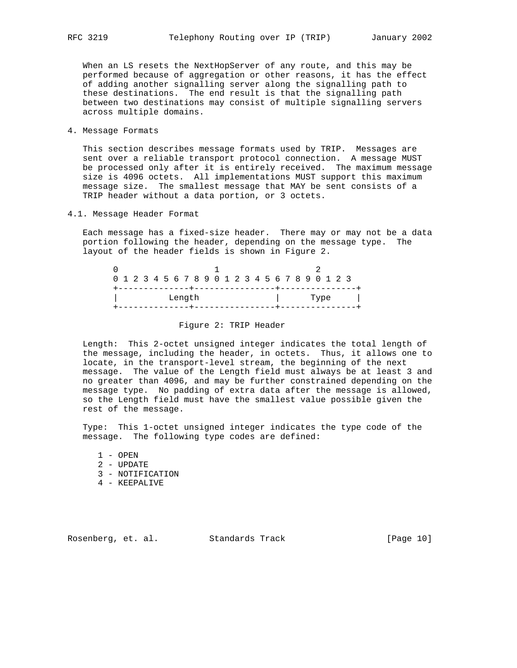When an LS resets the NextHopServer of any route, and this may be performed because of aggregation or other reasons, it has the effect of adding another signalling server along the signalling path to these destinations. The end result is that the signalling path between two destinations may consist of multiple signalling servers across multiple domains.

4. Message Formats

 This section describes message formats used by TRIP. Messages are sent over a reliable transport protocol connection. A message MUST be processed only after it is entirely received. The maximum message size is 4096 octets. All implementations MUST support this maximum message size. The smallest message that MAY be sent consists of a TRIP header without a data portion, or 3 octets.

4.1. Message Header Format

 Each message has a fixed-size header. There may or may not be a data portion following the header, depending on the message type. The layout of the header fields is shown in Figure 2.

|  | 0 1 2 3 4 5 6 7 8 9 0 1 2 3 4 5 6 7 8 9 0 1 2 3 |  |  |  |  |  |      |  |  |
|--|-------------------------------------------------|--|--|--|--|--|------|--|--|
|  | Length                                          |  |  |  |  |  | Type |  |  |

## Figure 2: TRIP Header

 Length: This 2-octet unsigned integer indicates the total length of the message, including the header, in octets. Thus, it allows one to locate, in the transport-level stream, the beginning of the next message. The value of the Length field must always be at least 3 and no greater than 4096, and may be further constrained depending on the message type. No padding of extra data after the message is allowed, so the Length field must have the smallest value possible given the rest of the message.

 Type: This 1-octet unsigned integer indicates the type code of the message. The following type codes are defined:

- 1 OPEN
- 2 UPDATE
- 3 NOTIFICATION
- 4 KEEPALIVE

Rosenberg, et. al. Standards Track [Page 10]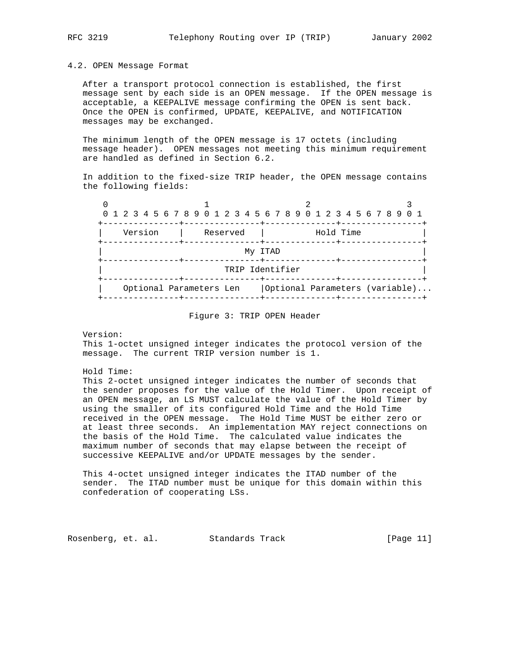#### 4.2. OPEN Message Format

 After a transport protocol connection is established, the first message sent by each side is an OPEN message. If the OPEN message is acceptable, a KEEPALIVE message confirming the OPEN is sent back. Once the OPEN is confirmed, UPDATE, KEEPALIVE, and NOTIFICATION messages may be exchanged.

 The minimum length of the OPEN message is 17 octets (including message header). OPEN messages not meeting this minimum requirement are handled as defined in Section 6.2.

 In addition to the fixed-size TRIP header, the OPEN message contains the following fields:

| 0 1 2 3 4 5 6 7 8 9 0 1 2 3 4 5 6 7 8 9 0 1 2 3 4 5 6 7 8 9 0 1 |  |         |  |  |                         |  |  |                                         |  |  |           |  |  |                  |  |  |                                |
|-----------------------------------------------------------------|--|---------|--|--|-------------------------|--|--|-----------------------------------------|--|--|-----------|--|--|------------------|--|--|--------------------------------|
|                                                                 |  | Version |  |  | Reserved                |  |  |                                         |  |  | Hold Time |  |  | --------+------- |  |  |                                |
|                                                                 |  |         |  |  |                         |  |  | My ITAD<br>-------+-------------+------ |  |  |           |  |  |                  |  |  |                                |
|                                                                 |  |         |  |  |                         |  |  | TRIP Identifier                         |  |  |           |  |  |                  |  |  |                                |
|                                                                 |  |         |  |  | Optional Parameters Len |  |  |                                         |  |  |           |  |  |                  |  |  | Optional Parameters (variable) |

#### Figure 3: TRIP OPEN Header

 This 1-octet unsigned integer indicates the protocol version of the message. The current TRIP version number is 1.

Hold Time:

 This 2-octet unsigned integer indicates the number of seconds that the sender proposes for the value of the Hold Timer. Upon receipt of an OPEN message, an LS MUST calculate the value of the Hold Timer by using the smaller of its configured Hold Time and the Hold Time received in the OPEN message. The Hold Time MUST be either zero or at least three seconds. An implementation MAY reject connections on the basis of the Hold Time. The calculated value indicates the maximum number of seconds that may elapse between the receipt of successive KEEPALIVE and/or UPDATE messages by the sender.

 This 4-octet unsigned integer indicates the ITAD number of the sender. The ITAD number must be unique for this domain within this confederation of cooperating LSs.

Rosenberg, et. al. Standards Track [Page 11]

Version: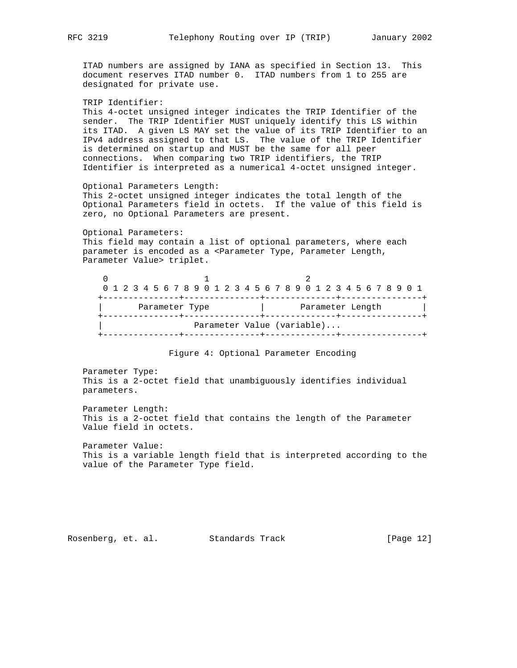ITAD numbers are assigned by IANA as specified in Section 13. This document reserves ITAD number 0. ITAD numbers from 1 to 255 are designated for private use.

 TRIP Identifier: This 4-octet unsigned integer indicates the TRIP Identifier of the sender. The TRIP Identifier MUST uniquely identify this LS within its ITAD. A given LS MAY set the value of its TRIP Identifier to an IPv4 address assigned to that LS. The value of the TRIP Identifier is determined on startup and MUST be the same for all peer connections. When comparing two TRIP identifiers, the TRIP Identifier is interpreted as a numerical 4-octet unsigned integer.

 Optional Parameters Length: This 2-octet unsigned integer indicates the total length of the Optional Parameters field in octets. If the value of this field is zero, no Optional Parameters are present.

 Optional Parameters: This field may contain a list of optional parameters, where each parameter is encoded as a <Parameter Type, Parameter Length, Parameter Value> triplet.

|  |  |  |                |  |  |  |  |  |  |  | 0 1 2 3 4 5 6 7 8 9 0 1 2 3 4 5 6 7 8 9 0 1 2 3 4 5 6 7 8 9 0 1 |  |  |  |  |  |  |
|--|--|--|----------------|--|--|--|--|--|--|--|-----------------------------------------------------------------|--|--|--|--|--|--|
|  |  |  | Parameter Type |  |  |  |  |  |  |  | Parameter Length                                                |  |  |  |  |  |  |
|  |  |  |                |  |  |  |  |  |  |  | Parameter Value (variable)                                      |  |  |  |  |  |  |

#### Figure 4: Optional Parameter Encoding

 Parameter Type: This is a 2-octet field that unambiguously identifies individual parameters.

 Parameter Length: This is a 2-octet field that contains the length of the Parameter Value field in octets.

 Parameter Value: This is a variable length field that is interpreted according to the value of the Parameter Type field.

Rosenberg, et. al. Standards Track [Page 12]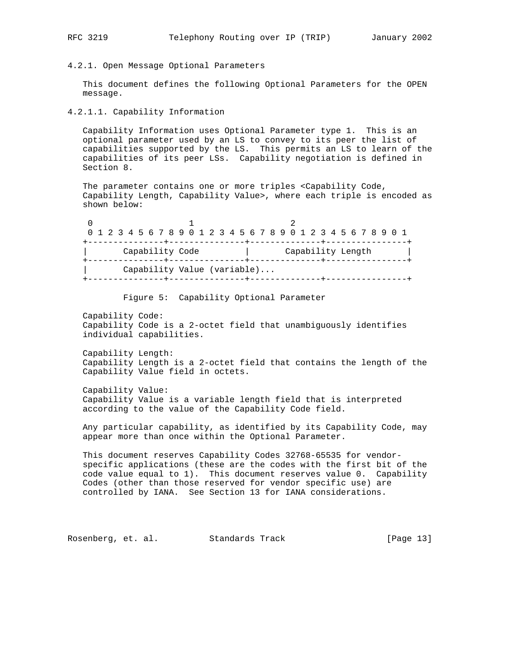#### 4.2.1. Open Message Optional Parameters

 This document defines the following Optional Parameters for the OPEN message.

#### 4.2.1.1. Capability Information

 Capability Information uses Optional Parameter type 1. This is an optional parameter used by an LS to convey to its peer the list of capabilities supported by the LS. This permits an LS to learn of the capabilities of its peer LSs. Capability negotiation is defined in Section 8.

 The parameter contains one or more triples <Capability Code, Capability Length, Capability Value>, where each triple is encoded as shown below:

| 0 1 2 3 4 5 6 7 8 9 0 1 2 3 4 5 6 7 8 9 0 1 2 3 4 5 6 7 8 9 0 1 |                   |
|-----------------------------------------------------------------|-------------------|
|                                                                 |                   |
| Capability Code                                                 | Capability Length |
| Capability Value (variable)                                     |                   |

#### Figure 5: Capability Optional Parameter

 Capability Code: Capability Code is a 2-octet field that unambiguously identifies individual capabilities.

 Capability Length: Capability Length is a 2-octet field that contains the length of the Capability Value field in octets.

 Capability Value: Capability Value is a variable length field that is interpreted according to the value of the Capability Code field.

 Any particular capability, as identified by its Capability Code, may appear more than once within the Optional Parameter.

 This document reserves Capability Codes 32768-65535 for vendor specific applications (these are the codes with the first bit of the code value equal to 1). This document reserves value 0. Capability Codes (other than those reserved for vendor specific use) are controlled by IANA. See Section 13 for IANA considerations.

Rosenberg, et. al. Standards Track [Page 13]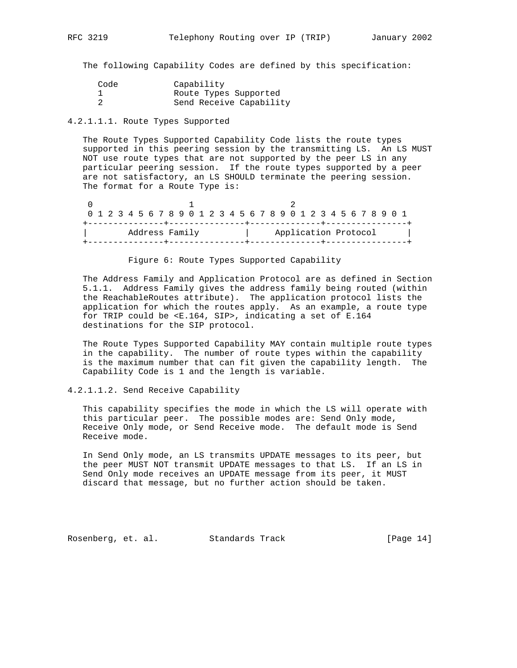The following Capability Codes are defined by this specification:

| Code | Capability              |
|------|-------------------------|
|      | Route Types Supported   |
|      | Send Receive Capability |

## 4.2.1.1.1. Route Types Supported

 The Route Types Supported Capability Code lists the route types supported in this peering session by the transmitting LS. An LS MUST NOT use route types that are not supported by the peer LS in any particular peering session. If the route types supported by a peer are not satisfactory, an LS SHOULD terminate the peering session. The format for a Route Type is:

| 0 1 2 3 4 5 6 7 8 9 0 1 2 3 4 5 6 7 8 9 0 1 2 3 4 5 6 7 8 9 0 1 |  |  |                |  |  |  |  |  |  |  |  |  |  |                      |  |  |
|-----------------------------------------------------------------|--|--|----------------|--|--|--|--|--|--|--|--|--|--|----------------------|--|--|
|                                                                 |  |  |                |  |  |  |  |  |  |  |  |  |  |                      |  |  |
|                                                                 |  |  | Address Family |  |  |  |  |  |  |  |  |  |  | Application Protocol |  |  |
|                                                                 |  |  |                |  |  |  |  |  |  |  |  |  |  |                      |  |  |

Figure 6: Route Types Supported Capability

 The Address Family and Application Protocol are as defined in Section 5.1.1. Address Family gives the address family being routed (within the ReachableRoutes attribute). The application protocol lists the application for which the routes apply. As an example, a route type for TRIP could be <E.164, SIP>, indicating a set of E.164 destinations for the SIP protocol.

 The Route Types Supported Capability MAY contain multiple route types in the capability. The number of route types within the capability is the maximum number that can fit given the capability length. The Capability Code is 1 and the length is variable.

#### 4.2.1.1.2. Send Receive Capability

 This capability specifies the mode in which the LS will operate with this particular peer. The possible modes are: Send Only mode, Receive Only mode, or Send Receive mode. The default mode is Send Receive mode.

 In Send Only mode, an LS transmits UPDATE messages to its peer, but the peer MUST NOT transmit UPDATE messages to that LS. If an LS in Send Only mode receives an UPDATE message from its peer, it MUST discard that message, but no further action should be taken.

Rosenberg, et. al. Standards Track [Page 14]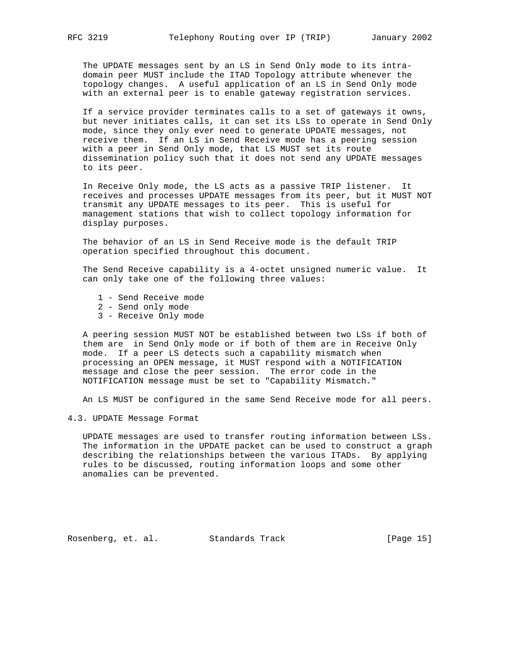The UPDATE messages sent by an LS in Send Only mode to its intra domain peer MUST include the ITAD Topology attribute whenever the topology changes. A useful application of an LS in Send Only mode with an external peer is to enable gateway registration services.

 If a service provider terminates calls to a set of gateways it owns, but never initiates calls, it can set its LSs to operate in Send Only mode, since they only ever need to generate UPDATE messages, not receive them. If an LS in Send Receive mode has a peering session with a peer in Send Only mode, that LS MUST set its route dissemination policy such that it does not send any UPDATE messages to its peer.

 In Receive Only mode, the LS acts as a passive TRIP listener. It receives and processes UPDATE messages from its peer, but it MUST NOT transmit any UPDATE messages to its peer. This is useful for management stations that wish to collect topology information for display purposes.

 The behavior of an LS in Send Receive mode is the default TRIP operation specified throughout this document.

 The Send Receive capability is a 4-octet unsigned numeric value. It can only take one of the following three values:

- 1 Send Receive mode
- 2 Send only mode
- 3 Receive Only mode

 A peering session MUST NOT be established between two LSs if both of them are in Send Only mode or if both of them are in Receive Only mode. If a peer LS detects such a capability mismatch when processing an OPEN message, it MUST respond with a NOTIFICATION message and close the peer session. The error code in the NOTIFICATION message must be set to "Capability Mismatch."

An LS MUST be configured in the same Send Receive mode for all peers.

4.3. UPDATE Message Format

 UPDATE messages are used to transfer routing information between LSs. The information in the UPDATE packet can be used to construct a graph describing the relationships between the various ITADs. By applying rules to be discussed, routing information loops and some other anomalies can be prevented.

Rosenberg, et. al. Standards Track [Page 15]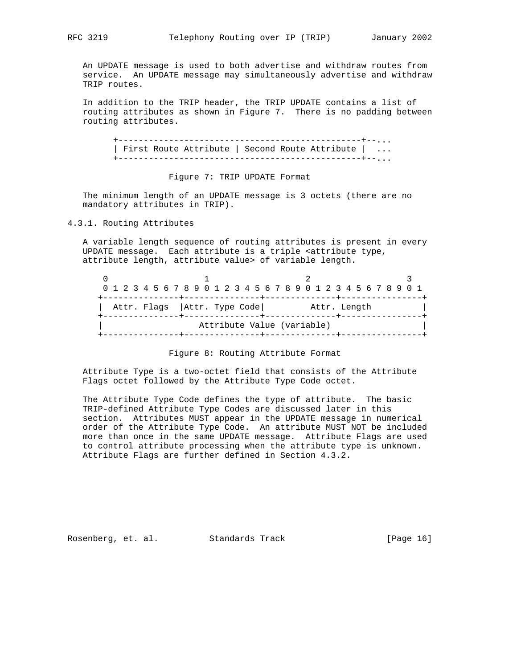An UPDATE message is used to both advertise and withdraw routes from service. An UPDATE message may simultaneously advertise and withdraw TRIP routes.

 In addition to the TRIP header, the TRIP UPDATE contains a list of routing attributes as shown in Figure 7. There is no padding between routing attributes.

 +------------------------------------------------+--... | First Route Attribute | Second Route Attribute | ... +------------------------------------------------+--...

## Figure 7: TRIP UPDATE Format

 The minimum length of an UPDATE message is 3 octets (there are no mandatory attributes in TRIP).

## 4.3.1. Routing Attributes

 A variable length sequence of routing attributes is present in every UPDATE message. Each attribute is a triple <attribute type, attribute length, attribute value> of variable length.

|  |  |  |  | 0 1 2 3 4 5 6 7 8 9 0 1 2 3 4 5 6 7 8 9 0 1 2 3 4 5 6 7 8 9 0 1 |  |  |                            |  |  |  |              |  |  |  |  |  |
|--|--|--|--|-----------------------------------------------------------------|--|--|----------------------------|--|--|--|--------------|--|--|--|--|--|
|  |  |  |  | Attr. Flags   Attr. Type Code                                   |  |  |                            |  |  |  | Attr. Length |  |  |  |  |  |
|  |  |  |  |                                                                 |  |  | Attribute Value (variable) |  |  |  |              |  |  |  |  |  |

#### Figure 8: Routing Attribute Format

 Attribute Type is a two-octet field that consists of the Attribute Flags octet followed by the Attribute Type Code octet.

 The Attribute Type Code defines the type of attribute. The basic TRIP-defined Attribute Type Codes are discussed later in this section. Attributes MUST appear in the UPDATE message in numerical order of the Attribute Type Code. An attribute MUST NOT be included more than once in the same UPDATE message. Attribute Flags are used to control attribute processing when the attribute type is unknown. Attribute Flags are further defined in Section 4.3.2.

Rosenberg, et. al. Standards Track [Page 16]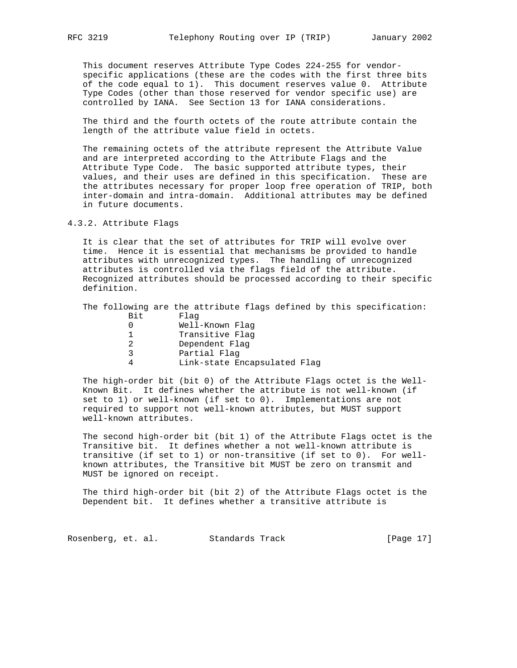This document reserves Attribute Type Codes 224-255 for vendor specific applications (these are the codes with the first three bits of the code equal to 1). This document reserves value 0. Attribute Type Codes (other than those reserved for vendor specific use) are controlled by IANA. See Section 13 for IANA considerations.

 The third and the fourth octets of the route attribute contain the length of the attribute value field in octets.

 The remaining octets of the attribute represent the Attribute Value and are interpreted according to the Attribute Flags and the Attribute Type Code. The basic supported attribute types, their values, and their uses are defined in this specification. These are the attributes necessary for proper loop free operation of TRIP, both inter-domain and intra-domain. Additional attributes may be defined in future documents.

4.3.2. Attribute Flags

 It is clear that the set of attributes for TRIP will evolve over time. Hence it is essential that mechanisms be provided to handle attributes with unrecognized types. The handling of unrecognized attributes is controlled via the flags field of the attribute. Recognized attributes should be processed according to their specific definition.

 The following are the attribute flags defined by this specification: Bit Flag

|   | Well-Known Flag              |
|---|------------------------------|
|   | Transitive Flag              |
|   | Dependent Flag               |
| 2 | Partial Flag                 |
|   | Link-state Encapsulated Flag |

 The high-order bit (bit 0) of the Attribute Flags octet is the Well- Known Bit. It defines whether the attribute is not well-known (if set to 1) or well-known (if set to 0). Implementations are not required to support not well-known attributes, but MUST support well-known attributes.

 The second high-order bit (bit 1) of the Attribute Flags octet is the Transitive bit. It defines whether a not well-known attribute is transitive (if set to 1) or non-transitive (if set to 0). For well known attributes, the Transitive bit MUST be zero on transmit and MUST be ignored on receipt.

 The third high-order bit (bit 2) of the Attribute Flags octet is the Dependent bit. It defines whether a transitive attribute is

Rosenberg, et. al. Standards Track [Page 17]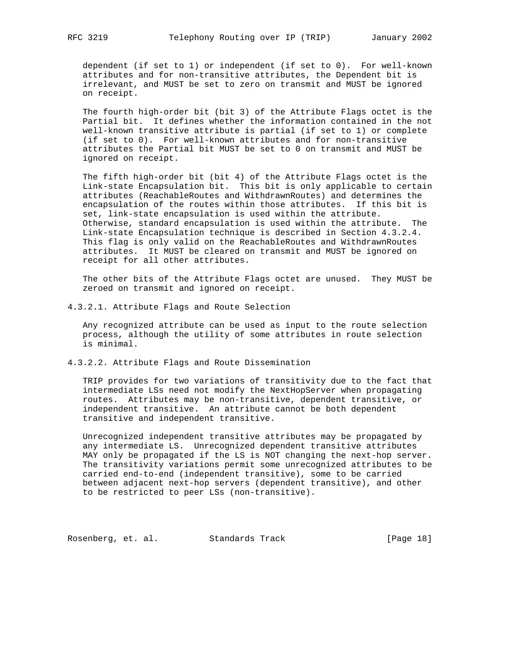dependent (if set to 1) or independent (if set to 0). For well-known attributes and for non-transitive attributes, the Dependent bit is irrelevant, and MUST be set to zero on transmit and MUST be ignored on receipt.

 The fourth high-order bit (bit 3) of the Attribute Flags octet is the Partial bit. It defines whether the information contained in the not well-known transitive attribute is partial (if set to 1) or complete (if set to 0). For well-known attributes and for non-transitive attributes the Partial bit MUST be set to 0 on transmit and MUST be ignored on receipt.

 The fifth high-order bit (bit 4) of the Attribute Flags octet is the Link-state Encapsulation bit. This bit is only applicable to certain attributes (ReachableRoutes and WithdrawnRoutes) and determines the encapsulation of the routes within those attributes. If this bit is set, link-state encapsulation is used within the attribute. Otherwise, standard encapsulation is used within the attribute. The Link-state Encapsulation technique is described in Section 4.3.2.4. This flag is only valid on the ReachableRoutes and WithdrawnRoutes attributes. It MUST be cleared on transmit and MUST be ignored on receipt for all other attributes.

 The other bits of the Attribute Flags octet are unused. They MUST be zeroed on transmit and ignored on receipt.

4.3.2.1. Attribute Flags and Route Selection

 Any recognized attribute can be used as input to the route selection process, although the utility of some attributes in route selection is minimal.

4.3.2.2. Attribute Flags and Route Dissemination

 TRIP provides for two variations of transitivity due to the fact that intermediate LSs need not modify the NextHopServer when propagating routes. Attributes may be non-transitive, dependent transitive, or independent transitive. An attribute cannot be both dependent transitive and independent transitive.

 Unrecognized independent transitive attributes may be propagated by any intermediate LS. Unrecognized dependent transitive attributes MAY only be propagated if the LS is NOT changing the next-hop server. The transitivity variations permit some unrecognized attributes to be carried end-to-end (independent transitive), some to be carried between adjacent next-hop servers (dependent transitive), and other to be restricted to peer LSs (non-transitive).

Rosenberg, et. al. Standards Track [Page 18]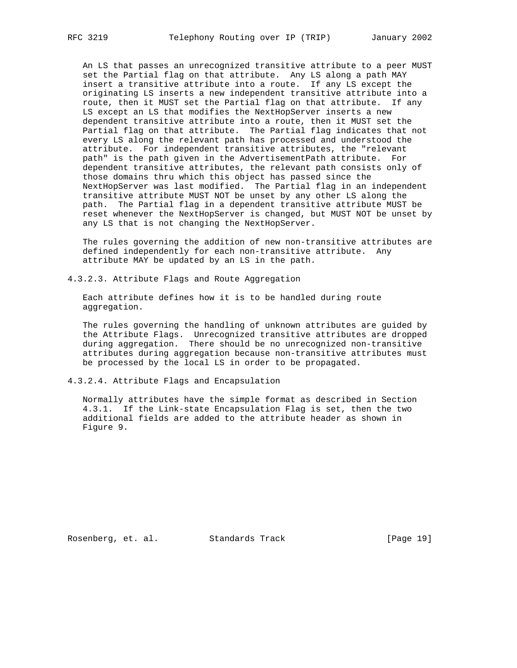An LS that passes an unrecognized transitive attribute to a peer MUST set the Partial flag on that attribute. Any LS along a path MAY insert a transitive attribute into a route. If any LS except the originating LS inserts a new independent transitive attribute into a route, then it MUST set the Partial flag on that attribute. If any LS except an LS that modifies the NextHopServer inserts a new dependent transitive attribute into a route, then it MUST set the Partial flag on that attribute. The Partial flag indicates that not every LS along the relevant path has processed and understood the attribute. For independent transitive attributes, the "relevant path" is the path given in the AdvertisementPath attribute. For dependent transitive attributes, the relevant path consists only of those domains thru which this object has passed since the NextHopServer was last modified. The Partial flag in an independent transitive attribute MUST NOT be unset by any other LS along the path. The Partial flag in a dependent transitive attribute MUST be reset whenever the NextHopServer is changed, but MUST NOT be unset by any LS that is not changing the NextHopServer.

 The rules governing the addition of new non-transitive attributes are defined independently for each non-transitive attribute. Any attribute MAY be updated by an LS in the path.

4.3.2.3. Attribute Flags and Route Aggregation

 Each attribute defines how it is to be handled during route aggregation.

 The rules governing the handling of unknown attributes are guided by the Attribute Flags. Unrecognized transitive attributes are dropped during aggregation. There should be no unrecognized non-transitive attributes during aggregation because non-transitive attributes must be processed by the local LS in order to be propagated.

4.3.2.4. Attribute Flags and Encapsulation

 Normally attributes have the simple format as described in Section 4.3.1. If the Link-state Encapsulation Flag is set, then the two additional fields are added to the attribute header as shown in Figure 9.

Rosenberg, et. al. Standards Track [Page 19]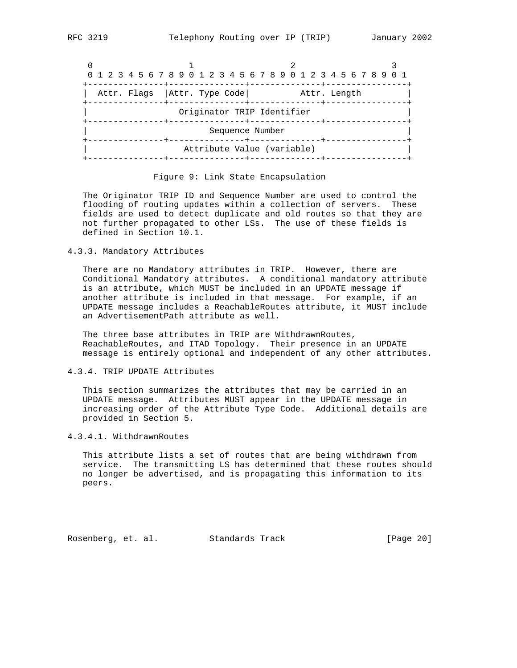|                                                          |                            | 0 1 2 3 4 5 6 7 8 9 0 1 2 3 4 5 6 7 8 9 0 1 2 3 4 5 6 7 8 9 0 1 |
|----------------------------------------------------------|----------------------------|-----------------------------------------------------------------|
| Attr. Flags   Attr. Type Code                            |                            | Attr. Length                                                    |
| Originator TRIP Identifier<br>---+---------------+------ | -------+---                |                                                                 |
| Sequence Number<br>--------+-------                      | ------+---                 |                                                                 |
|                                                          | Attribute Value (variable) |                                                                 |

Figure 9: Link State Encapsulation

 The Originator TRIP ID and Sequence Number are used to control the flooding of routing updates within a collection of servers. These fields are used to detect duplicate and old routes so that they are not further propagated to other LSs. The use of these fields is defined in Section 10.1.

4.3.3. Mandatory Attributes

 There are no Mandatory attributes in TRIP. However, there are Conditional Mandatory attributes. A conditional mandatory attribute is an attribute, which MUST be included in an UPDATE message if another attribute is included in that message. For example, if an UPDATE message includes a ReachableRoutes attribute, it MUST include an AdvertisementPath attribute as well.

 The three base attributes in TRIP are WithdrawnRoutes, ReachableRoutes, and ITAD Topology. Their presence in an UPDATE message is entirely optional and independent of any other attributes.

#### 4.3.4. TRIP UPDATE Attributes

 This section summarizes the attributes that may be carried in an UPDATE message. Attributes MUST appear in the UPDATE message in increasing order of the Attribute Type Code. Additional details are provided in Section 5.

#### 4.3.4.1. WithdrawnRoutes

 This attribute lists a set of routes that are being withdrawn from service. The transmitting LS has determined that these routes should no longer be advertised, and is propagating this information to its peers.

Rosenberg, et. al. Standards Track [Page 20]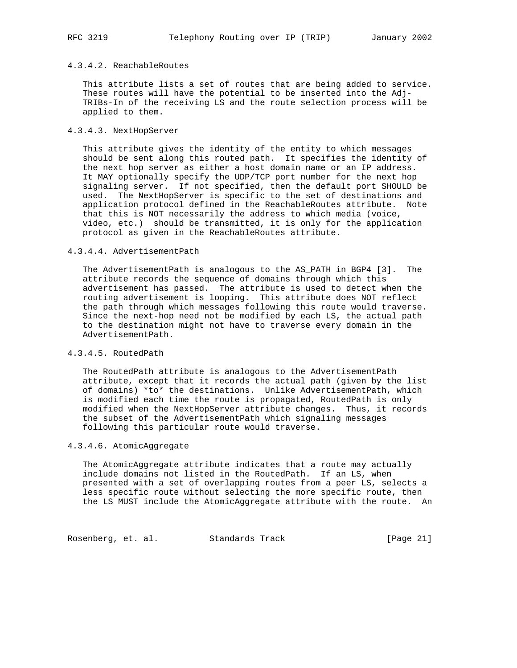## 4.3.4.2. ReachableRoutes

 This attribute lists a set of routes that are being added to service. These routes will have the potential to be inserted into the Adj- TRIBs-In of the receiving LS and the route selection process will be applied to them.

#### 4.3.4.3. NextHopServer

 This attribute gives the identity of the entity to which messages should be sent along this routed path. It specifies the identity of the next hop server as either a host domain name or an IP address. It MAY optionally specify the UDP/TCP port number for the next hop signaling server. If not specified, then the default port SHOULD be used. The NextHopServer is specific to the set of destinations and application protocol defined in the ReachableRoutes attribute. Note that this is NOT necessarily the address to which media (voice, video, etc.) should be transmitted, it is only for the application protocol as given in the ReachableRoutes attribute.

## 4.3.4.4. AdvertisementPath

 The AdvertisementPath is analogous to the AS\_PATH in BGP4 [3]. The attribute records the sequence of domains through which this advertisement has passed. The attribute is used to detect when the routing advertisement is looping. This attribute does NOT reflect the path through which messages following this route would traverse. Since the next-hop need not be modified by each LS, the actual path to the destination might not have to traverse every domain in the AdvertisementPath.

## 4.3.4.5. RoutedPath

 The RoutedPath attribute is analogous to the AdvertisementPath attribute, except that it records the actual path (given by the list of domains) \*to\* the destinations. Unlike AdvertisementPath, which is modified each time the route is propagated, RoutedPath is only modified when the NextHopServer attribute changes. Thus, it records the subset of the AdvertisementPath which signaling messages following this particular route would traverse.

#### 4.3.4.6. AtomicAggregate

 The AtomicAggregate attribute indicates that a route may actually include domains not listed in the RoutedPath. If an LS, when presented with a set of overlapping routes from a peer LS, selects a less specific route without selecting the more specific route, then the LS MUST include the AtomicAggregate attribute with the route. An

Rosenberg, et. al. Standards Track [Page 21]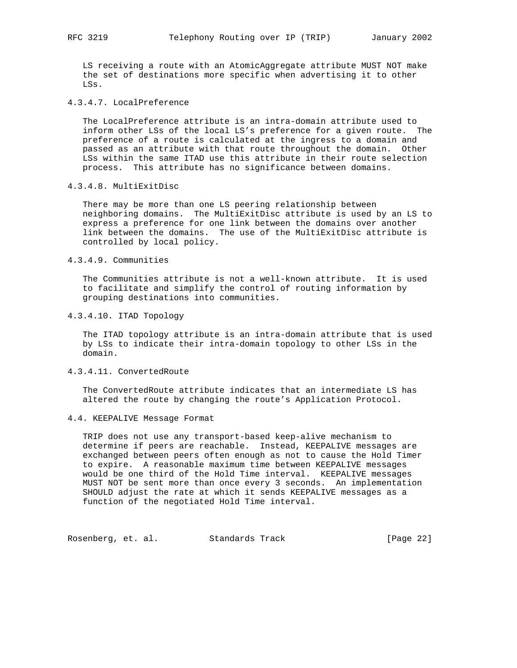LS receiving a route with an AtomicAggregate attribute MUST NOT make the set of destinations more specific when advertising it to other LSs.

4.3.4.7. LocalPreference

 The LocalPreference attribute is an intra-domain attribute used to inform other LSs of the local LS's preference for a given route. The preference of a route is calculated at the ingress to a domain and passed as an attribute with that route throughout the domain. Other LSs within the same ITAD use this attribute in their route selection process. This attribute has no significance between domains.

## 4.3.4.8. MultiExitDisc

 There may be more than one LS peering relationship between neighboring domains. The MultiExitDisc attribute is used by an LS to express a preference for one link between the domains over another link between the domains. The use of the MultiExitDisc attribute is controlled by local policy.

## 4.3.4.9. Communities

 The Communities attribute is not a well-known attribute. It is used to facilitate and simplify the control of routing information by grouping destinations into communities.

### 4.3.4.10. ITAD Topology

 The ITAD topology attribute is an intra-domain attribute that is used by LSs to indicate their intra-domain topology to other LSs in the domain.

## 4.3.4.11. ConvertedRoute

 The ConvertedRoute attribute indicates that an intermediate LS has altered the route by changing the route's Application Protocol.

4.4. KEEPALIVE Message Format

 TRIP does not use any transport-based keep-alive mechanism to determine if peers are reachable. Instead, KEEPALIVE messages are exchanged between peers often enough as not to cause the Hold Timer to expire. A reasonable maximum time between KEEPALIVE messages would be one third of the Hold Time interval. KEEPALIVE messages MUST NOT be sent more than once every 3 seconds. An implementation SHOULD adjust the rate at which it sends KEEPALIVE messages as a function of the negotiated Hold Time interval.

Rosenberg, et. al. Standards Track [Page 22]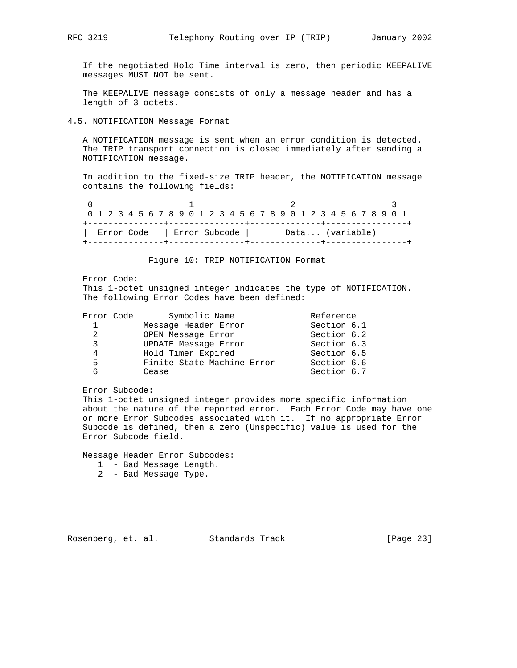If the negotiated Hold Time interval is zero, then periodic KEEPALIVE messages MUST NOT be sent.

 The KEEPALIVE message consists of only a message header and has a length of 3 octets.

4.5. NOTIFICATION Message Format

 A NOTIFICATION message is sent when an error condition is detected. The TRIP transport connection is closed immediately after sending a NOTIFICATION message.

 In addition to the fixed-size TRIP header, the NOTIFICATION message contains the following fields:

0  $1$  2 3 0 1 2 3 4 5 6 7 8 9 0 1 2 3 4 5 6 7 8 9 0 1 2 3 4 5 6 7 8 9 0 1 +---------------+---------------+--------------+----------------+ | Error Code | Error Subcode | Data... (variable) +---------------+---------------+--------------+----------------+

## Figure 10: TRIP NOTIFICATION Format

Error Code:

 This 1-octet unsigned integer indicates the type of NOTIFICATION. The following Error Codes have been defined:

| Error Code | Symbolic Name              | Reference   |
|------------|----------------------------|-------------|
| 1          | Message Header Error       | Section 6.1 |
| 2          | OPEN Message Error         | Section 6.2 |
| 3          | UPDATE Message Error       | Section 6.3 |
| 4          | Hold Timer Expired         | Section 6.5 |
| 5          | Finite State Machine Error | Section 6.6 |
| 6          | Cease                      | Section 6.7 |

Error Subcode:

 This 1-octet unsigned integer provides more specific information about the nature of the reported error. Each Error Code may have one or more Error Subcodes associated with it. If no appropriate Error Subcode is defined, then a zero (Unspecific) value is used for the Error Subcode field.

Message Header Error Subcodes:

1 - Bad Message Length.

2 - Bad Message Type.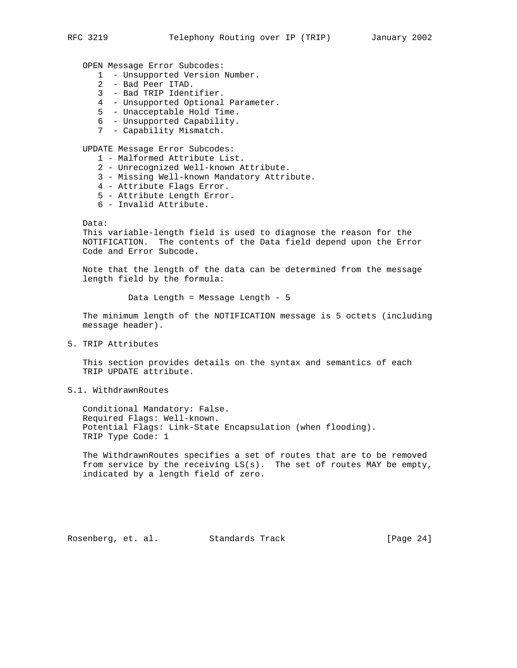OPEN Message Error Subcodes:

- 1 Unsupported Version Number.
- 2 Bad Peer ITAD.
- 3 Bad TRIP Identifier.
- 4 Unsupported Optional Parameter.
- 5 Unacceptable Hold Time.
- 6 Unsupported Capability.
- 7 Capability Mismatch.

UPDATE Message Error Subcodes:

- 1 Malformed Attribute List.
- 2 Unrecognized Well-known Attribute.
- 3 Missing Well-known Mandatory Attribute.
- 4 Attribute Flags Error.
- 5 Attribute Length Error.
- 6 Invalid Attribute.

Data:

 This variable-length field is used to diagnose the reason for the NOTIFICATION. The contents of the Data field depend upon the Error Code and Error Subcode.

 Note that the length of the data can be determined from the message length field by the formula:

Data Length = Message Length - 5

 The minimum length of the NOTIFICATION message is 5 octets (including message header).

5. TRIP Attributes

 This section provides details on the syntax and semantics of each TRIP UPDATE attribute.

#### 5.1. WithdrawnRoutes

 Conditional Mandatory: False. Required Flags: Well-known. Potential Flags: Link-State Encapsulation (when flooding). TRIP Type Code: 1

 The WithdrawnRoutes specifies a set of routes that are to be removed from service by the receiving LS(s). The set of routes MAY be empty, indicated by a length field of zero.

Rosenberg, et. al. Standards Track [Page 24]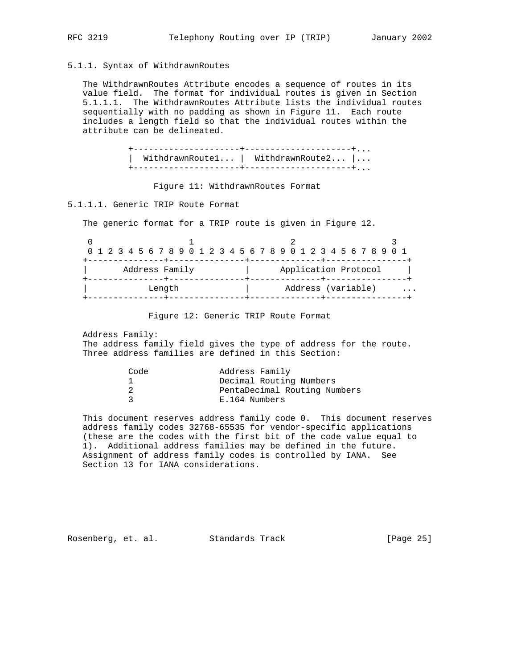# 5.1.1. Syntax of WithdrawnRoutes

 The WithdrawnRoutes Attribute encodes a sequence of routes in its value field. The format for individual routes is given in Section 5.1.1.1. The WithdrawnRoutes Attribute lists the individual routes sequentially with no padding as shown in Figure 11. Each route includes a length field so that the individual routes within the attribute can be delineated.

> +---------------------+---------------------+... | WithdrawnRoute1... | WithdrawnRoute2... |... +---------------------+---------------------+...

Figure 11: WithdrawnRoutes Format

5.1.1.1. Generic TRIP Route Format

The generic format for a TRIP route is given in Figure 12.

|                |  | 0 1 2 3 4 5 6 7 8 9 0 1 2 3 4 5 6 7 8 9 0 1 2 3 4 5 6 7 8 9 0 1 |  |  |  |  |  |  |                      |  |  |                    |  |  |  |  |  |  |  |   |  |  |  |  |  |  |
|----------------|--|-----------------------------------------------------------------|--|--|--|--|--|--|----------------------|--|--|--------------------|--|--|--|--|--|--|--|---|--|--|--|--|--|--|
| Address Family |  |                                                                 |  |  |  |  |  |  | Application Protocol |  |  |                    |  |  |  |  |  |  |  |   |  |  |  |  |  |  |
| Length         |  |                                                                 |  |  |  |  |  |  |                      |  |  | Address (variable) |  |  |  |  |  |  |  | . |  |  |  |  |  |  |

Figure 12: Generic TRIP Route Format

 Address Family: The address family field gives the type of address for the route. Three address families are defined in this Section:

| Address Family               |
|------------------------------|
| Decimal Routing Numbers      |
| PentaDecimal Routing Numbers |
| E.164 Numbers                |
|                              |

 This document reserves address family code 0. This document reserves address family codes 32768-65535 for vendor-specific applications (these are the codes with the first bit of the code value equal to 1). Additional address families may be defined in the future. Assignment of address family codes is controlled by IANA. See Section 13 for IANA considerations.

Rosenberg, et. al. Standards Track [Page 25]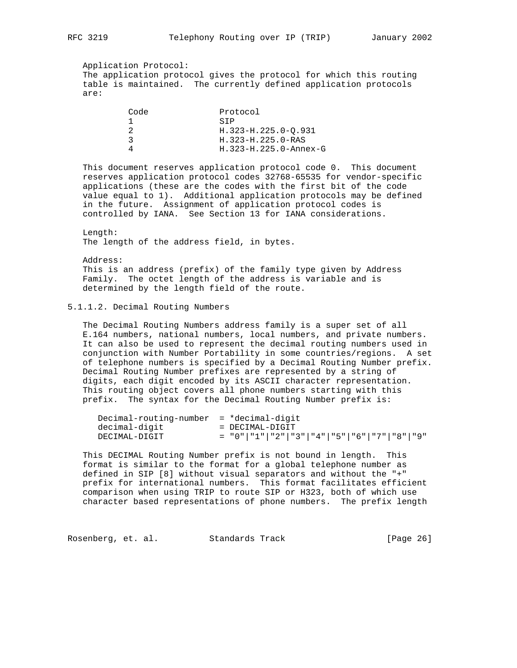Application Protocol: The application protocol gives the protocol for which this routing table is maintained. The currently defined application protocols are:

| Code | Protocol                   |
|------|----------------------------|
|      | STP                        |
|      | H.323-H.225.0-O.931        |
|      | H. 323-H. 225. 0-RAS       |
|      | $H. 323-H. 225.0$ -Annex-G |
|      |                            |

 This document reserves application protocol code 0. This document reserves application protocol codes 32768-65535 for vendor-specific applications (these are the codes with the first bit of the code value equal to 1). Additional application protocols may be defined in the future. Assignment of application protocol codes is controlled by IANA. See Section 13 for IANA considerations.

 Length: The length of the address field, in bytes.

 Address: This is an address (prefix) of the family type given by Address Family. The octet length of the address is variable and is determined by the length field of the route.

5.1.1.2. Decimal Routing Numbers

 The Decimal Routing Numbers address family is a super set of all E.164 numbers, national numbers, local numbers, and private numbers. It can also be used to represent the decimal routing numbers used in conjunction with Number Portability in some countries/regions. A set of telephone numbers is specified by a Decimal Routing Number prefix. Decimal Routing Number prefixes are represented by a string of digits, each digit encoded by its ASCII character representation. This routing object covers all phone numbers starting with this prefix. The syntax for the Decimal Routing Number prefix is:

| $Decimal$ -routing-number = $*decimal$ -digit |                                             |
|-----------------------------------------------|---------------------------------------------|
| decimal-digit                                 | = DECIMAL-DIGIT                             |
| DECIMAL-DIGIT                                 | $=$ "0" "1" "2" "3" "4" "5" "6" "7" "8" "9" |

 This DECIMAL Routing Number prefix is not bound in length. This format is similar to the format for a global telephone number as defined in SIP [8] without visual separators and without the "+" prefix for international numbers. This format facilitates efficient comparison when using TRIP to route SIP or H323, both of which use character based representations of phone numbers. The prefix length

Rosenberg, et. al. Standards Track [Page 26]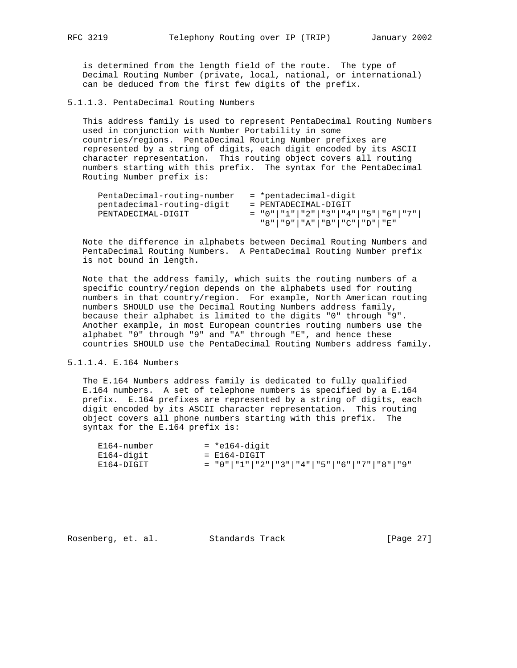is determined from the length field of the route. The type of Decimal Routing Number (private, local, national, or international) can be deduced from the first few digits of the prefix.

5.1.1.3. PentaDecimal Routing Numbers

 This address family is used to represent PentaDecimal Routing Numbers used in conjunction with Number Portability in some countries/regions. PentaDecimal Routing Number prefixes are represented by a string of digits, each digit encoded by its ASCII character representation. This routing object covers all routing numbers starting with this prefix. The syntax for the PentaDecimal Routing Number prefix is:

| PentaDecimal-routing-number | = *pentadecimal-digit                             |
|-----------------------------|---------------------------------------------------|
| pentadecimal-routing-digit  | = PENTADECIMAL-DIGIT                              |
| PENTADECIMAL-DIGIT          | $=$ "0"   "1"   "2"   "3"   "4"   "5"   "6"   "7" |
|                             | "8"   "9"   "A"   "B"   "C"   "D"   "E"           |

 Note the difference in alphabets between Decimal Routing Numbers and PentaDecimal Routing Numbers. A PentaDecimal Routing Number prefix is not bound in length.

 Note that the address family, which suits the routing numbers of a specific country/region depends on the alphabets used for routing numbers in that country/region. For example, North American routing numbers SHOULD use the Decimal Routing Numbers address family, because their alphabet is limited to the digits "0" through "9". Another example, in most European countries routing numbers use the alphabet "0" through "9" and "A" through "E", and hence these countries SHOULD use the PentaDecimal Routing Numbers address family.

5.1.1.4. E.164 Numbers

 The E.164 Numbers address family is dedicated to fully qualified E.164 numbers. A set of telephone numbers is specified by a E.164 prefix. E.164 prefixes are represented by a string of digits, each digit encoded by its ASCII character representation. This routing object covers all phone numbers starting with this prefix. The syntax for the E.164 prefix is:

| E164-number | = *e164-digit                               |
|-------------|---------------------------------------------|
| E164-digit  | = E164-DIGIT                                |
| E164-DIGIT  | $=$ "0" "1" "2" "3" "4" "5" "6" "7" "8" "9" |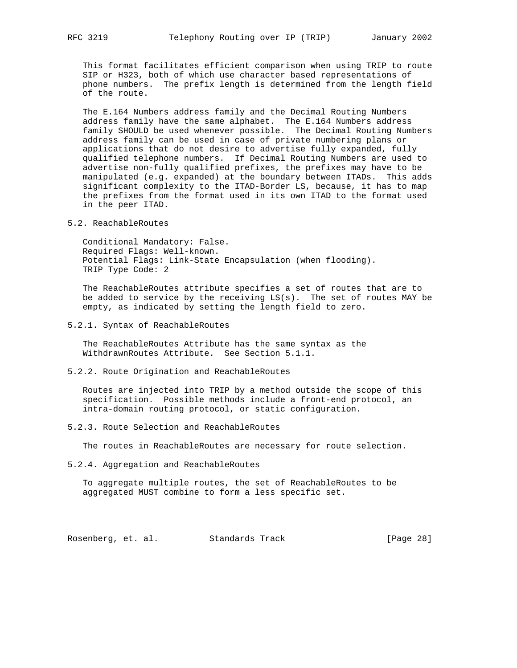This format facilitates efficient comparison when using TRIP to route SIP or H323, both of which use character based representations of phone numbers. The prefix length is determined from the length field of the route.

 The E.164 Numbers address family and the Decimal Routing Numbers address family have the same alphabet. The E.164 Numbers address family SHOULD be used whenever possible. The Decimal Routing Numbers address family can be used in case of private numbering plans or applications that do not desire to advertise fully expanded, fully qualified telephone numbers. If Decimal Routing Numbers are used to advertise non-fully qualified prefixes, the prefixes may have to be manipulated (e.g. expanded) at the boundary between ITADs. This adds significant complexity to the ITAD-Border LS, because, it has to map the prefixes from the format used in its own ITAD to the format used in the peer ITAD.

5.2. ReachableRoutes

 Conditional Mandatory: False. Required Flags: Well-known. Potential Flags: Link-State Encapsulation (when flooding). TRIP Type Code: 2

 The ReachableRoutes attribute specifies a set of routes that are to be added to service by the receiving LS(s). The set of routes MAY be empty, as indicated by setting the length field to zero.

5.2.1. Syntax of ReachableRoutes

 The ReachableRoutes Attribute has the same syntax as the WithdrawnRoutes Attribute. See Section 5.1.1.

5.2.2. Route Origination and ReachableRoutes

 Routes are injected into TRIP by a method outside the scope of this specification. Possible methods include a front-end protocol, an intra-domain routing protocol, or static configuration.

5.2.3. Route Selection and ReachableRoutes

The routes in ReachableRoutes are necessary for route selection.

5.2.4. Aggregation and ReachableRoutes

 To aggregate multiple routes, the set of ReachableRoutes to be aggregated MUST combine to form a less specific set.

Rosenberg, et. al. Standards Track [Page 28]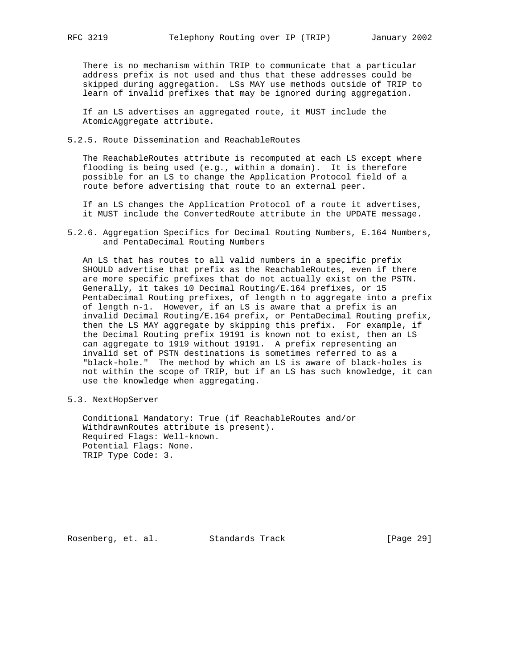There is no mechanism within TRIP to communicate that a particular address prefix is not used and thus that these addresses could be skipped during aggregation. LSs MAY use methods outside of TRIP to learn of invalid prefixes that may be ignored during aggregation.

 If an LS advertises an aggregated route, it MUST include the AtomicAggregate attribute.

5.2.5. Route Dissemination and ReachableRoutes

 The ReachableRoutes attribute is recomputed at each LS except where flooding is being used (e.g., within a domain). It is therefore possible for an LS to change the Application Protocol field of a route before advertising that route to an external peer.

 If an LS changes the Application Protocol of a route it advertises, it MUST include the ConvertedRoute attribute in the UPDATE message.

5.2.6. Aggregation Specifics for Decimal Routing Numbers, E.164 Numbers, and PentaDecimal Routing Numbers

 An LS that has routes to all valid numbers in a specific prefix SHOULD advertise that prefix as the ReachableRoutes, even if there are more specific prefixes that do not actually exist on the PSTN. Generally, it takes 10 Decimal Routing/E.164 prefixes, or 15 PentaDecimal Routing prefixes, of length n to aggregate into a prefix of length n-1. However, if an LS is aware that a prefix is an invalid Decimal Routing/E.164 prefix, or PentaDecimal Routing prefix, then the LS MAY aggregate by skipping this prefix. For example, if the Decimal Routing prefix 19191 is known not to exist, then an LS can aggregate to 1919 without 19191. A prefix representing an invalid set of PSTN destinations is sometimes referred to as a "black-hole." The method by which an LS is aware of black-holes is not within the scope of TRIP, but if an LS has such knowledge, it can use the knowledge when aggregating.

5.3. NextHopServer

 Conditional Mandatory: True (if ReachableRoutes and/or WithdrawnRoutes attribute is present). Required Flags: Well-known. Potential Flags: None. TRIP Type Code: 3.

Rosenberg, et. al. Standards Track [Page 29]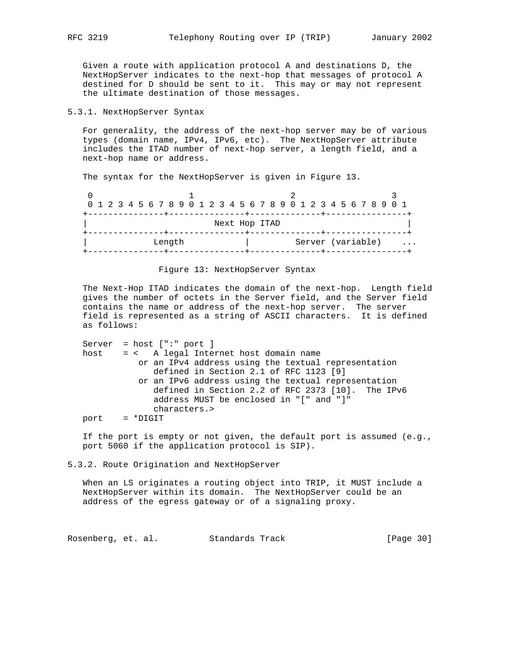Given a route with application protocol A and destinations D, the NextHopServer indicates to the next-hop that messages of protocol A destined for D should be sent to it. This may or may not represent the ultimate destination of those messages.

## 5.3.1. NextHopServer Syntax

 For generality, the address of the next-hop server may be of various types (domain name, IPv4, IPv6, etc). The NextHopServer attribute includes the ITAD number of next-hop server, a length field, and a next-hop name or address.

The syntax for the NextHopServer is given in Figure 13.

| 0 1 2 3 4 5 6 7 8 9 0 1 2 3 4 5 6 7 8 9 0 1 2 3 4 5 6 7 8 9 0 1 |  |  |  |        |  |  |                |  |  |  |  |                   |  |  |   |
|-----------------------------------------------------------------|--|--|--|--------|--|--|----------------|--|--|--|--|-------------------|--|--|---|
|                                                                 |  |  |  |        |  |  | -------+------ |  |  |  |  |                   |  |  |   |
|                                                                 |  |  |  |        |  |  | Next Hop ITAD  |  |  |  |  |                   |  |  |   |
|                                                                 |  |  |  |        |  |  |                |  |  |  |  |                   |  |  |   |
|                                                                 |  |  |  | Length |  |  |                |  |  |  |  | Server (variable) |  |  | . |
|                                                                 |  |  |  |        |  |  |                |  |  |  |  |                   |  |  |   |

## Figure 13: NextHopServer Syntax

 The Next-Hop ITAD indicates the domain of the next-hop. Length field gives the number of octets in the Server field, and the Server field contains the name or address of the next-hop server. The server field is represented as a string of ASCII characters. It is defined as follows:

 Server = host [":" port ] host = < A legal Internet host domain name or an IPv4 address using the textual representation defined in Section 2.1 of RFC 1123 [9] or an IPv6 address using the textual representation defined in Section 2.2 of RFC 2373 [10]. The IPv6 address MUST be enclosed in "[" and "]" characters.> port = \*DIGIT

 If the port is empty or not given, the default port is assumed (e.g., port 5060 if the application protocol is SIP).

5.3.2. Route Origination and NextHopServer

 When an LS originates a routing object into TRIP, it MUST include a NextHopServer within its domain. The NextHopServer could be an address of the egress gateway or of a signaling proxy.

Rosenberg, et. al. Standards Track [Page 30]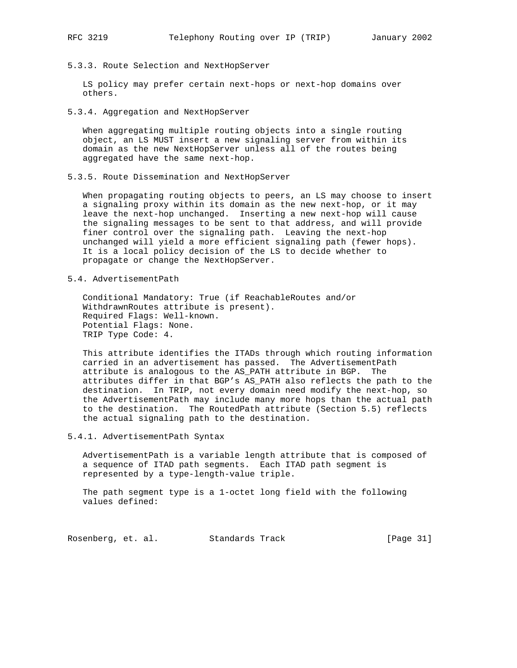5.3.3. Route Selection and NextHopServer

 LS policy may prefer certain next-hops or next-hop domains over others.

5.3.4. Aggregation and NextHopServer

 When aggregating multiple routing objects into a single routing object, an LS MUST insert a new signaling server from within its domain as the new NextHopServer unless all of the routes being aggregated have the same next-hop.

5.3.5. Route Dissemination and NextHopServer

 When propagating routing objects to peers, an LS may choose to insert a signaling proxy within its domain as the new next-hop, or it may leave the next-hop unchanged. Inserting a new next-hop will cause the signaling messages to be sent to that address, and will provide finer control over the signaling path. Leaving the next-hop unchanged will yield a more efficient signaling path (fewer hops). It is a local policy decision of the LS to decide whether to propagate or change the NextHopServer.

5.4. AdvertisementPath

 Conditional Mandatory: True (if ReachableRoutes and/or WithdrawnRoutes attribute is present). Required Flags: Well-known. Potential Flags: None. TRIP Type Code: 4.

 This attribute identifies the ITADs through which routing information carried in an advertisement has passed. The AdvertisementPath attribute is analogous to the AS\_PATH attribute in BGP. The attributes differ in that BGP's AS\_PATH also reflects the path to the destination. In TRIP, not every domain need modify the next-hop, so the AdvertisementPath may include many more hops than the actual path to the destination. The RoutedPath attribute (Section 5.5) reflects the actual signaling path to the destination.

5.4.1. AdvertisementPath Syntax

 AdvertisementPath is a variable length attribute that is composed of a sequence of ITAD path segments. Each ITAD path segment is represented by a type-length-value triple.

 The path segment type is a 1-octet long field with the following values defined:

Rosenberg, et. al. Standards Track [Page 31]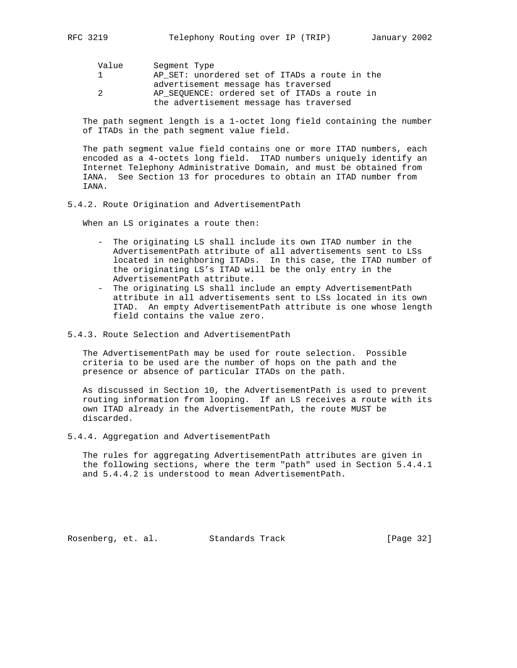| Value         | Segment Type                                  |
|---------------|-----------------------------------------------|
|               | AP SET: unordered set of ITADs a route in the |
|               | advertisement message has traversed           |
| $\mathcal{P}$ | AP SEOUENCE: ordered set of ITADs a route in  |
|               | the advertisement message has traversed       |
|               |                                               |

 The path segment length is a 1-octet long field containing the number of ITADs in the path segment value field.

 The path segment value field contains one or more ITAD numbers, each encoded as a 4-octets long field. ITAD numbers uniquely identify an Internet Telephony Administrative Domain, and must be obtained from IANA. See Section 13 for procedures to obtain an ITAD number from IANA.

## 5.4.2. Route Origination and AdvertisementPath

When an LS originates a route then:

- The originating LS shall include its own ITAD number in the AdvertisementPath attribute of all advertisements sent to LSs located in neighboring ITADs. In this case, the ITAD number of the originating LS's ITAD will be the only entry in the AdvertisementPath attribute.
- The originating LS shall include an empty AdvertisementPath attribute in all advertisements sent to LSs located in its own ITAD. An empty AdvertisementPath attribute is one whose length field contains the value zero.
- 5.4.3. Route Selection and AdvertisementPath

 The AdvertisementPath may be used for route selection. Possible criteria to be used are the number of hops on the path and the presence or absence of particular ITADs on the path.

 As discussed in Section 10, the AdvertisementPath is used to prevent routing information from looping. If an LS receives a route with its own ITAD already in the AdvertisementPath, the route MUST be discarded.

5.4.4. Aggregation and AdvertisementPath

 The rules for aggregating AdvertisementPath attributes are given in the following sections, where the term "path" used in Section 5.4.4.1 and 5.4.4.2 is understood to mean AdvertisementPath.

Rosenberg, et. al. Standards Track [Page 32]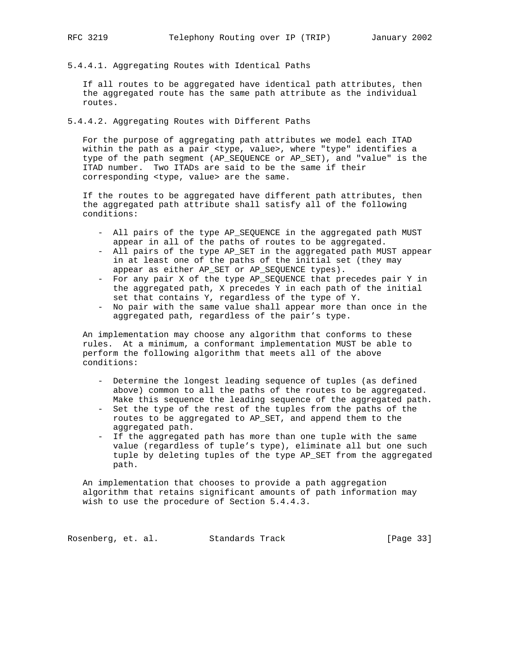- 
- 5.4.4.1. Aggregating Routes with Identical Paths

 If all routes to be aggregated have identical path attributes, then the aggregated route has the same path attribute as the individual routes.

5.4.4.2. Aggregating Routes with Different Paths

 For the purpose of aggregating path attributes we model each ITAD within the path as a pair <type, value>, where "type" identifies a type of the path segment (AP\_SEQUENCE or AP\_SET), and "value" is the ITAD number. Two ITADs are said to be the same if their corresponding <type, value> are the same.

 If the routes to be aggregated have different path attributes, then the aggregated path attribute shall satisfy all of the following conditions:

- All pairs of the type AP\_SEQUENCE in the aggregated path MUST appear in all of the paths of routes to be aggregated.
- All pairs of the type AP\_SET in the aggregated path MUST appear in at least one of the paths of the initial set (they may appear as either AP\_SET or AP\_SEQUENCE types).
- For any pair X of the type AP\_SEQUENCE that precedes pair Y in the aggregated path, X precedes Y in each path of the initial set that contains Y, regardless of the type of Y.
- No pair with the same value shall appear more than once in the aggregated path, regardless of the pair's type.

 An implementation may choose any algorithm that conforms to these rules. At a minimum, a conformant implementation MUST be able to perform the following algorithm that meets all of the above conditions:

- Determine the longest leading sequence of tuples (as defined above) common to all the paths of the routes to be aggregated. Make this sequence the leading sequence of the aggregated path.
- Set the type of the rest of the tuples from the paths of the routes to be aggregated to AP\_SET, and append them to the aggregated path.
- If the aggregated path has more than one tuple with the same value (regardless of tuple's type), eliminate all but one such tuple by deleting tuples of the type AP\_SET from the aggregated path.

 An implementation that chooses to provide a path aggregation algorithm that retains significant amounts of path information may wish to use the procedure of Section 5.4.4.3.

Rosenberg, et. al. Standards Track [Page 33]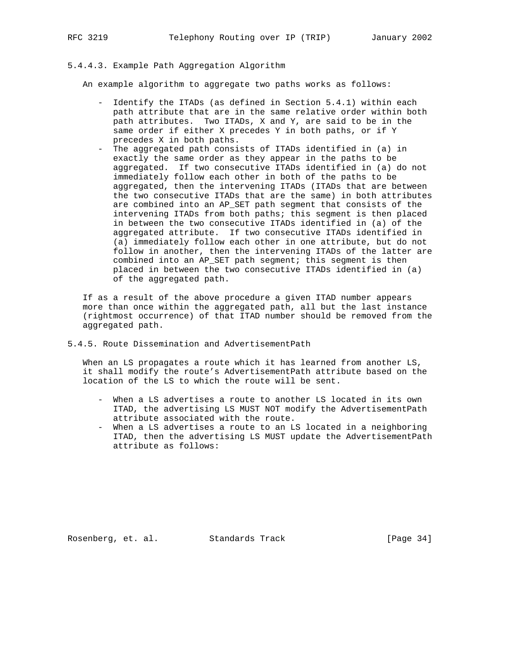## 5.4.4.3. Example Path Aggregation Algorithm

An example algorithm to aggregate two paths works as follows:

- Identify the ITADs (as defined in Section 5.4.1) within each path attribute that are in the same relative order within both path attributes. Two ITADs, X and Y, are said to be in the same order if either X precedes Y in both paths, or if Y precedes X in both paths.
- The aggregated path consists of ITADs identified in (a) in exactly the same order as they appear in the paths to be aggregated. If two consecutive ITADs identified in (a) do not immediately follow each other in both of the paths to be aggregated, then the intervening ITADs (ITADs that are between the two consecutive ITADs that are the same) in both attributes are combined into an AP\_SET path segment that consists of the intervening ITADs from both paths; this segment is then placed in between the two consecutive ITADs identified in (a) of the aggregated attribute. If two consecutive ITADs identified in (a) immediately follow each other in one attribute, but do not follow in another, then the intervening ITADs of the latter are combined into an AP\_SET path segment; this segment is then placed in between the two consecutive ITADs identified in (a) of the aggregated path.

 If as a result of the above procedure a given ITAD number appears more than once within the aggregated path, all but the last instance (rightmost occurrence) of that ITAD number should be removed from the aggregated path.

5.4.5. Route Dissemination and AdvertisementPath

When an LS propagates a route which it has learned from another LS, it shall modify the route's AdvertisementPath attribute based on the location of the LS to which the route will be sent.

- When a LS advertises a route to another LS located in its own ITAD, the advertising LS MUST NOT modify the AdvertisementPath attribute associated with the route.
- When a LS advertises a route to an LS located in a neighboring ITAD, then the advertising LS MUST update the AdvertisementPath attribute as follows:

Rosenberg, et. al. Standards Track [Page 34]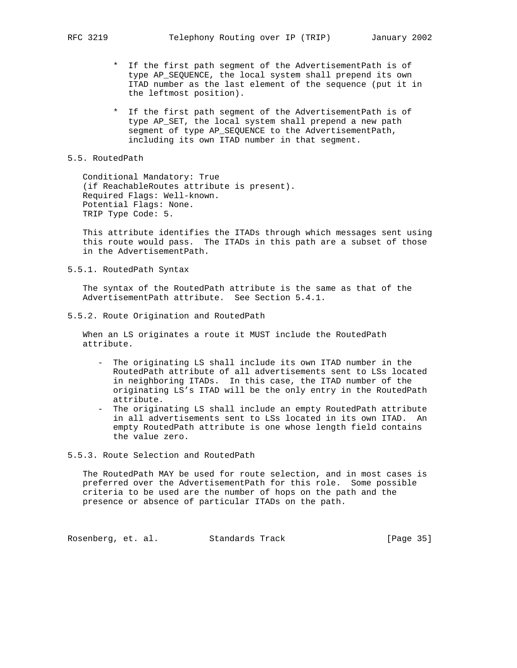- \* If the first path segment of the AdvertisementPath is of type AP\_SEQUENCE, the local system shall prepend its own ITAD number as the last element of the sequence (put it in the leftmost position).
- \* If the first path segment of the AdvertisementPath is of type AP\_SET, the local system shall prepend a new path segment of type AP\_SEQUENCE to the AdvertisementPath, including its own ITAD number in that segment.

#### 5.5. RoutedPath

 Conditional Mandatory: True (if ReachableRoutes attribute is present). Required Flags: Well-known. Potential Flags: None. TRIP Type Code: 5.

 This attribute identifies the ITADs through which messages sent using this route would pass. The ITADs in this path are a subset of those in the AdvertisementPath.

5.5.1. RoutedPath Syntax

 The syntax of the RoutedPath attribute is the same as that of the AdvertisementPath attribute. See Section 5.4.1.

5.5.2. Route Origination and RoutedPath

 When an LS originates a route it MUST include the RoutedPath attribute.

- The originating LS shall include its own ITAD number in the RoutedPath attribute of all advertisements sent to LSs located in neighboring ITADs. In this case, the ITAD number of the originating LS's ITAD will be the only entry in the RoutedPath attribute.
- The originating LS shall include an empty RoutedPath attribute in all advertisements sent to LSs located in its own ITAD. An empty RoutedPath attribute is one whose length field contains the value zero.

## 5.5.3. Route Selection and RoutedPath

 The RoutedPath MAY be used for route selection, and in most cases is preferred over the AdvertisementPath for this role. Some possible criteria to be used are the number of hops on the path and the presence or absence of particular ITADs on the path.

Rosenberg, et. al. Standards Track [Page 35]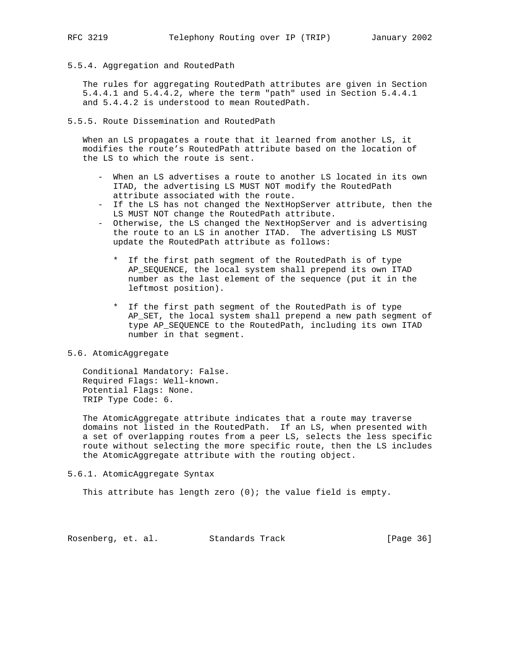5.5.4. Aggregation and RoutedPath

 The rules for aggregating RoutedPath attributes are given in Section 5.4.4.1 and 5.4.4.2, where the term "path" used in Section 5.4.4.1 and 5.4.4.2 is understood to mean RoutedPath.

5.5.5. Route Dissemination and RoutedPath

 When an LS propagates a route that it learned from another LS, it modifies the route's RoutedPath attribute based on the location of the LS to which the route is sent.

- When an LS advertises a route to another LS located in its own ITAD, the advertising LS MUST NOT modify the RoutedPath attribute associated with the route.
- If the LS has not changed the NextHopServer attribute, then the LS MUST NOT change the RoutedPath attribute.
- Otherwise, the LS changed the NextHopServer and is advertising the route to an LS in another ITAD. The advertising LS MUST update the RoutedPath attribute as follows:
	- \* If the first path segment of the RoutedPath is of type AP\_SEQUENCE, the local system shall prepend its own ITAD number as the last element of the sequence (put it in the leftmost position).
	- \* If the first path segment of the RoutedPath is of type AP\_SET, the local system shall prepend a new path segment of type AP\_SEQUENCE to the RoutedPath, including its own ITAD number in that segment.

#### 5.6. AtomicAggregate

 Conditional Mandatory: False. Required Flags: Well-known. Potential Flags: None. TRIP Type Code: 6.

 The AtomicAggregate attribute indicates that a route may traverse domains not listed in the RoutedPath. If an LS, when presented with a set of overlapping routes from a peer LS, selects the less specific route without selecting the more specific route, then the LS includes the AtomicAggregate attribute with the routing object.

5.6.1. AtomicAggregate Syntax

This attribute has length zero  $(0)$ ; the value field is empty.

Rosenberg, et. al. Standards Track [Page 36]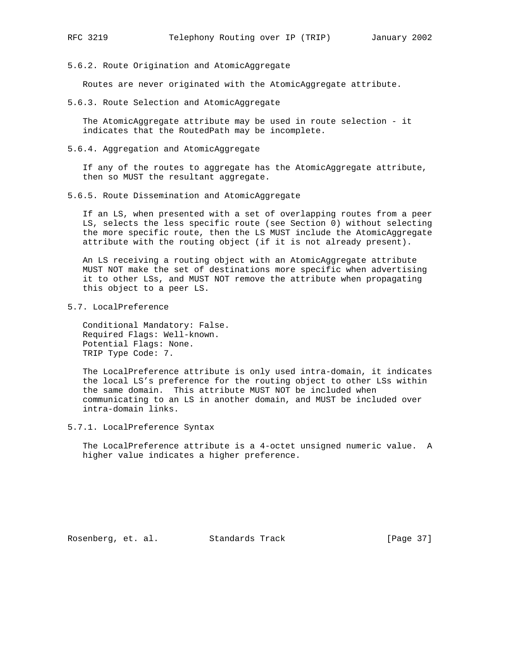- 
- 5.6.2. Route Origination and AtomicAggregate

Routes are never originated with the AtomicAggregate attribute.

5.6.3. Route Selection and AtomicAggregate

 The AtomicAggregate attribute may be used in route selection - it indicates that the RoutedPath may be incomplete.

5.6.4. Aggregation and AtomicAggregate

 If any of the routes to aggregate has the AtomicAggregate attribute, then so MUST the resultant aggregate.

5.6.5. Route Dissemination and AtomicAggregate

 If an LS, when presented with a set of overlapping routes from a peer LS, selects the less specific route (see Section 0) without selecting the more specific route, then the LS MUST include the AtomicAggregate attribute with the routing object (if it is not already present).

 An LS receiving a routing object with an AtomicAggregate attribute MUST NOT make the set of destinations more specific when advertising it to other LSs, and MUST NOT remove the attribute when propagating this object to a peer LS.

5.7. LocalPreference

 Conditional Mandatory: False. Required Flags: Well-known. Potential Flags: None. TRIP Type Code: 7.

 The LocalPreference attribute is only used intra-domain, it indicates the local LS's preference for the routing object to other LSs within the same domain. This attribute MUST NOT be included when communicating to an LS in another domain, and MUST be included over intra-domain links.

5.7.1. LocalPreference Syntax

 The LocalPreference attribute is a 4-octet unsigned numeric value. A higher value indicates a higher preference.

Rosenberg, et. al. Standards Track [Page 37]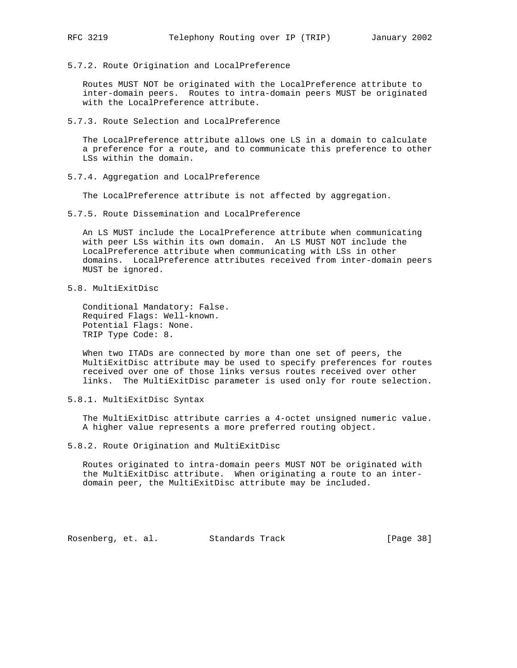Routes MUST NOT be originated with the LocalPreference attribute to inter-domain peers. Routes to intra-domain peers MUST be originated with the LocalPreference attribute.

5.7.3. Route Selection and LocalPreference

5.7.2. Route Origination and LocalPreference

 The LocalPreference attribute allows one LS in a domain to calculate a preference for a route, and to communicate this preference to other LSs within the domain.

5.7.4. Aggregation and LocalPreference

The LocalPreference attribute is not affected by aggregation.

5.7.5. Route Dissemination and LocalPreference

 An LS MUST include the LocalPreference attribute when communicating with peer LSs within its own domain. An LS MUST NOT include the LocalPreference attribute when communicating with LSs in other domains. LocalPreference attributes received from inter-domain peers MUST be ignored.

5.8. MultiExitDisc

 Conditional Mandatory: False. Required Flags: Well-known. Potential Flags: None. TRIP Type Code: 8.

 When two ITADs are connected by more than one set of peers, the MultiExitDisc attribute may be used to specify preferences for routes received over one of those links versus routes received over other links. The MultiExitDisc parameter is used only for route selection.

5.8.1. MultiExitDisc Syntax

 The MultiExitDisc attribute carries a 4-octet unsigned numeric value. A higher value represents a more preferred routing object.

5.8.2. Route Origination and MultiExitDisc

 Routes originated to intra-domain peers MUST NOT be originated with the MultiExitDisc attribute. When originating a route to an inter domain peer, the MultiExitDisc attribute may be included.

Rosenberg, et. al. Standards Track [Page 38]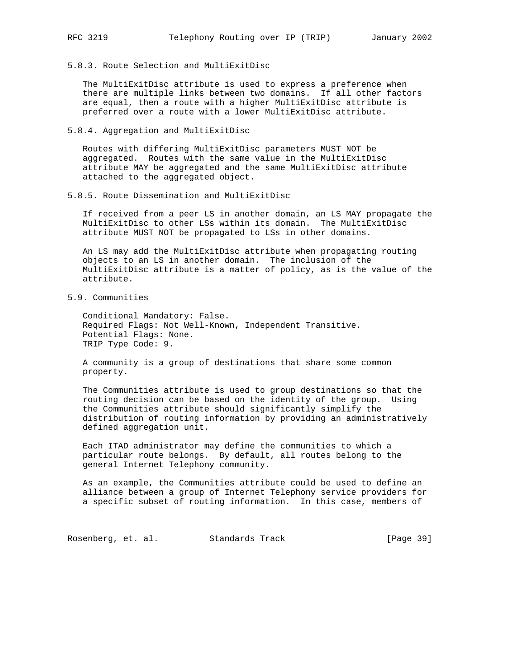5.8.3. Route Selection and MultiExitDisc

 The MultiExitDisc attribute is used to express a preference when there are multiple links between two domains. If all other factors are equal, then a route with a higher MultiExitDisc attribute is preferred over a route with a lower MultiExitDisc attribute.

5.8.4. Aggregation and MultiExitDisc

 Routes with differing MultiExitDisc parameters MUST NOT be aggregated. Routes with the same value in the MultiExitDisc attribute MAY be aggregated and the same MultiExitDisc attribute attached to the aggregated object.

5.8.5. Route Dissemination and MultiExitDisc

 If received from a peer LS in another domain, an LS MAY propagate the MultiExitDisc to other LSs within its domain. The MultiExitDisc attribute MUST NOT be propagated to LSs in other domains.

 An LS may add the MultiExitDisc attribute when propagating routing objects to an LS in another domain. The inclusion of the MultiExitDisc attribute is a matter of policy, as is the value of the attribute.

5.9. Communities

 Conditional Mandatory: False. Required Flags: Not Well-Known, Independent Transitive. Potential Flags: None. TRIP Type Code: 9.

 A community is a group of destinations that share some common property.

 The Communities attribute is used to group destinations so that the routing decision can be based on the identity of the group. Using the Communities attribute should significantly simplify the distribution of routing information by providing an administratively defined aggregation unit.

 Each ITAD administrator may define the communities to which a particular route belongs. By default, all routes belong to the general Internet Telephony community.

 As an example, the Communities attribute could be used to define an alliance between a group of Internet Telephony service providers for a specific subset of routing information. In this case, members of

Rosenberg, et. al. Standards Track [Page 39]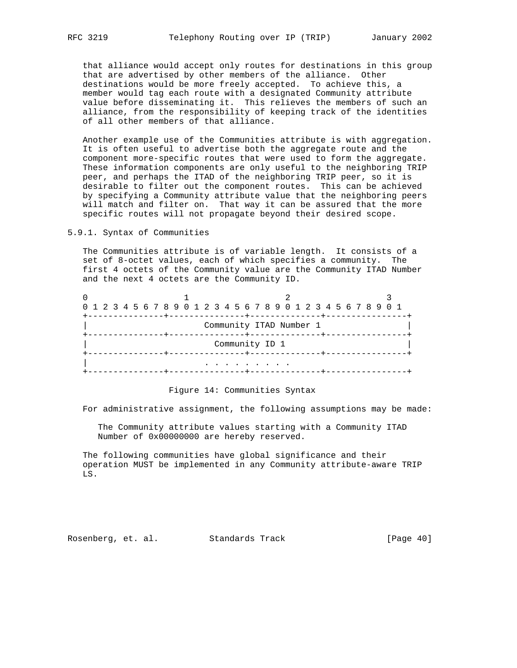that alliance would accept only routes for destinations in this group that are advertised by other members of the alliance. Other destinations would be more freely accepted. To achieve this, a member would tag each route with a designated Community attribute value before disseminating it. This relieves the members of such an alliance, from the responsibility of keeping track of the identities of all other members of that alliance.

 Another example use of the Communities attribute is with aggregation. It is often useful to advertise both the aggregate route and the component more-specific routes that were used to form the aggregate. These information components are only useful to the neighboring TRIP peer, and perhaps the ITAD of the neighboring TRIP peer, so it is desirable to filter out the component routes. This can be achieved by specifying a Community attribute value that the neighboring peers will match and filter on. That way it can be assured that the more specific routes will not propagate beyond their desired scope.

5.9.1. Syntax of Communities

 The Communities attribute is of variable length. It consists of a set of 8-octet values, each of which specifies a community. The first 4 octets of the Community value are the Community ITAD Number and the next 4 octets are the Community ID.

| 0 1 2 3 4 5 6 7 8 9 0 1 2 3 4 5 6 7 8 9 0 1 2 3 4 5 6 7 8 9 0 1 |  |  |  |  |  |  |  |  |  |  |  |                         |  |  |  |  |  |  |  |  |  |
|-----------------------------------------------------------------|--|--|--|--|--|--|--|--|--|--|--|-------------------------|--|--|--|--|--|--|--|--|--|
|                                                                 |  |  |  |  |  |  |  |  |  |  |  |                         |  |  |  |  |  |  |  |  |  |
|                                                                 |  |  |  |  |  |  |  |  |  |  |  | Community ITAD Number 1 |  |  |  |  |  |  |  |  |  |
|                                                                 |  |  |  |  |  |  |  |  |  |  |  |                         |  |  |  |  |  |  |  |  |  |
| Community ID 1                                                  |  |  |  |  |  |  |  |  |  |  |  |                         |  |  |  |  |  |  |  |  |  |
| ------+------                                                   |  |  |  |  |  |  |  |  |  |  |  |                         |  |  |  |  |  |  |  |  |  |
|                                                                 |  |  |  |  |  |  |  |  |  |  |  |                         |  |  |  |  |  |  |  |  |  |
|                                                                 |  |  |  |  |  |  |  |  |  |  |  |                         |  |  |  |  |  |  |  |  |  |
|                                                                 |  |  |  |  |  |  |  |  |  |  |  |                         |  |  |  |  |  |  |  |  |  |

Figure 14: Communities Syntax

For administrative assignment, the following assumptions may be made:

 The Community attribute values starting with a Community ITAD Number of 0x00000000 are hereby reserved.

 The following communities have global significance and their operation MUST be implemented in any Community attribute-aware TRIP LS.

Rosenberg, et. al. Standards Track [Page 40]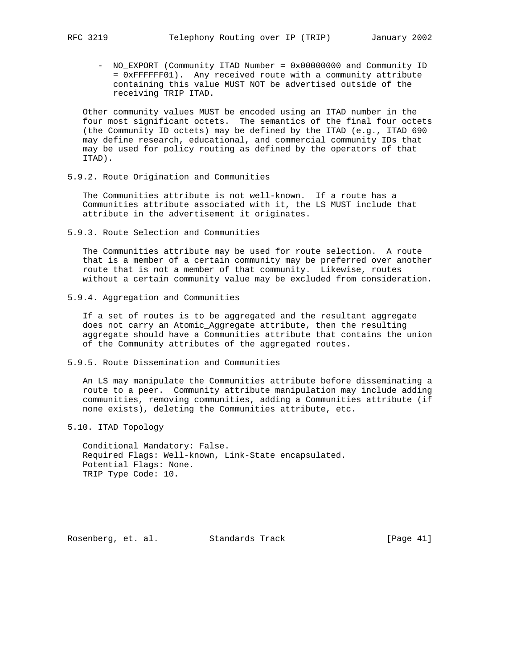- - NO\_EXPORT (Community ITAD Number = 0x00000000 and Community ID = 0xFFFFFF01). Any received route with a community attribute containing this value MUST NOT be advertised outside of the receiving TRIP ITAD.

 Other community values MUST be encoded using an ITAD number in the four most significant octets. The semantics of the final four octets (the Community ID octets) may be defined by the ITAD (e.g., ITAD 690 may define research, educational, and commercial community IDs that may be used for policy routing as defined by the operators of that ITAD).

5.9.2. Route Origination and Communities

 The Communities attribute is not well-known. If a route has a Communities attribute associated with it, the LS MUST include that attribute in the advertisement it originates.

5.9.3. Route Selection and Communities

 The Communities attribute may be used for route selection. A route that is a member of a certain community may be preferred over another route that is not a member of that community. Likewise, routes without a certain community value may be excluded from consideration.

5.9.4. Aggregation and Communities

 If a set of routes is to be aggregated and the resultant aggregate does not carry an Atomic\_Aggregate attribute, then the resulting aggregate should have a Communities attribute that contains the union of the Community attributes of the aggregated routes.

5.9.5. Route Dissemination and Communities

 An LS may manipulate the Communities attribute before disseminating a route to a peer. Community attribute manipulation may include adding communities, removing communities, adding a Communities attribute (if none exists), deleting the Communities attribute, etc.

5.10. ITAD Topology

 Conditional Mandatory: False. Required Flags: Well-known, Link-State encapsulated. Potential Flags: None. TRIP Type Code: 10.

Rosenberg, et. al. Standards Track [Page 41]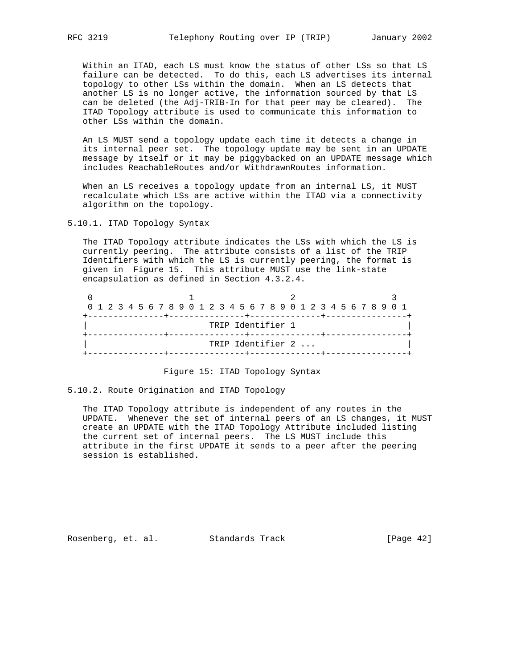Within an ITAD, each LS must know the status of other LSs so that LS failure can be detected. To do this, each LS advertises its internal topology to other LSs within the domain. When an LS detects that another LS is no longer active, the information sourced by that LS can be deleted (the Adj-TRIB-In for that peer may be cleared). The ITAD Topology attribute is used to communicate this information to other LSs within the domain.

 An LS MUST send a topology update each time it detects a change in its internal peer set. The topology update may be sent in an UPDATE message by itself or it may be piggybacked on an UPDATE message which includes ReachableRoutes and/or WithdrawnRoutes information.

When an LS receives a topology update from an internal LS, it MUST recalculate which LSs are active within the ITAD via a connectivity algorithm on the topology.

5.10.1. ITAD Topology Syntax

 The ITAD Topology attribute indicates the LSs with which the LS is currently peering. The attribute consists of a list of the TRIP Identifiers with which the LS is currently peering, the format is given in Figure 15. This attribute MUST use the link-state encapsulation as defined in Section 4.3.2.4.

| 0 1 2 3 4 5 6 7 8 9 0 1 2 3 4 5 6 7 8 9 0 1 2 3 4 5 6 7 8 9 0 1 |  |  |  |  |  |  |  |                   |  |  |  |  |  |  |  |  |
|-----------------------------------------------------------------|--|--|--|--|--|--|--|-------------------|--|--|--|--|--|--|--|--|
|                                                                 |  |  |  |  |  |  |  | TRIP Identifier 1 |  |  |  |  |  |  |  |  |
|                                                                 |  |  |  |  |  |  |  |                   |  |  |  |  |  |  |  |  |
|                                                                 |  |  |  |  |  |  |  | TRIP Identifier 2 |  |  |  |  |  |  |  |  |
|                                                                 |  |  |  |  |  |  |  |                   |  |  |  |  |  |  |  |  |

Figure 15: ITAD Topology Syntax

5.10.2. Route Origination and ITAD Topology

 The ITAD Topology attribute is independent of any routes in the UPDATE. Whenever the set of internal peers of an LS changes, it MUST create an UPDATE with the ITAD Topology Attribute included listing the current set of internal peers. The LS MUST include this attribute in the first UPDATE it sends to a peer after the peering session is established.

Rosenberg, et. al. Standards Track [Page 42]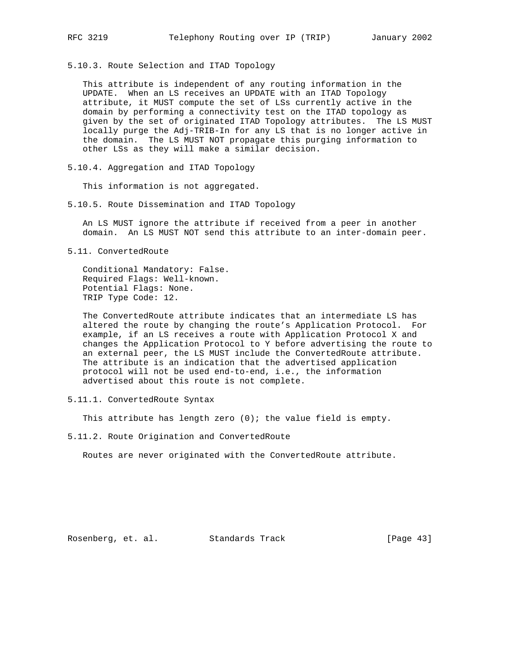5.10.3. Route Selection and ITAD Topology

 This attribute is independent of any routing information in the UPDATE. When an LS receives an UPDATE with an ITAD Topology attribute, it MUST compute the set of LSs currently active in the domain by performing a connectivity test on the ITAD topology as given by the set of originated ITAD Topology attributes. The LS MUST locally purge the Adj-TRIB-In for any LS that is no longer active in the domain. The LS MUST NOT propagate this purging information to other LSs as they will make a similar decision.

5.10.4. Aggregation and ITAD Topology

This information is not aggregated.

5.10.5. Route Dissemination and ITAD Topology

 An LS MUST ignore the attribute if received from a peer in another domain. An LS MUST NOT send this attribute to an inter-domain peer.

5.11. ConvertedRoute

 Conditional Mandatory: False. Required Flags: Well-known. Potential Flags: None. TRIP Type Code: 12.

 The ConvertedRoute attribute indicates that an intermediate LS has altered the route by changing the route's Application Protocol. For example, if an LS receives a route with Application Protocol X and changes the Application Protocol to Y before advertising the route to an external peer, the LS MUST include the ConvertedRoute attribute. The attribute is an indication that the advertised application protocol will not be used end-to-end, i.e., the information advertised about this route is not complete.

5.11.1. ConvertedRoute Syntax

This attribute has length zero  $(0)$ ; the value field is empty.

5.11.2. Route Origination and ConvertedRoute

Routes are never originated with the ConvertedRoute attribute.

Rosenberg, et. al. Standards Track [Page 43]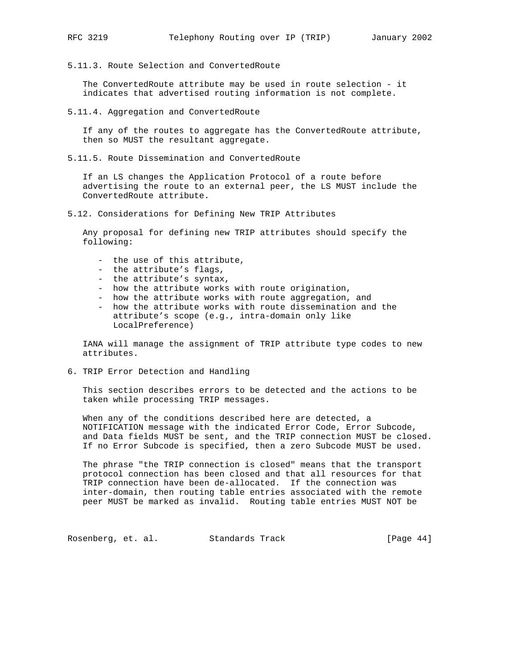- 
- 5.11.3. Route Selection and ConvertedRoute

 The ConvertedRoute attribute may be used in route selection - it indicates that advertised routing information is not complete.

5.11.4. Aggregation and ConvertedRoute

 If any of the routes to aggregate has the ConvertedRoute attribute, then so MUST the resultant aggregate.

5.11.5. Route Dissemination and ConvertedRoute

 If an LS changes the Application Protocol of a route before advertising the route to an external peer, the LS MUST include the ConvertedRoute attribute.

5.12. Considerations for Defining New TRIP Attributes

 Any proposal for defining new TRIP attributes should specify the following:

- the use of this attribute,
- the attribute's flags,
- the attribute's syntax,
- how the attribute works with route origination,
- how the attribute works with route aggregation, and
- how the attribute works with route dissemination and the attribute's scope (e.g., intra-domain only like LocalPreference)

 IANA will manage the assignment of TRIP attribute type codes to new attributes.

6. TRIP Error Detection and Handling

 This section describes errors to be detected and the actions to be taken while processing TRIP messages.

 When any of the conditions described here are detected, a NOTIFICATION message with the indicated Error Code, Error Subcode, and Data fields MUST be sent, and the TRIP connection MUST be closed. If no Error Subcode is specified, then a zero Subcode MUST be used.

 The phrase "the TRIP connection is closed" means that the transport protocol connection has been closed and that all resources for that TRIP connection have been de-allocated. If the connection was inter-domain, then routing table entries associated with the remote peer MUST be marked as invalid. Routing table entries MUST NOT be

Rosenberg, et. al. Standards Track [Page 44]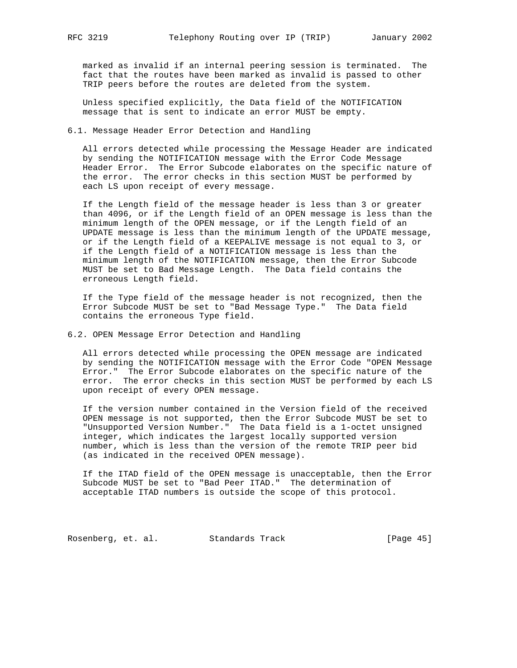marked as invalid if an internal peering session is terminated. The fact that the routes have been marked as invalid is passed to other TRIP peers before the routes are deleted from the system.

 Unless specified explicitly, the Data field of the NOTIFICATION message that is sent to indicate an error MUST be empty.

6.1. Message Header Error Detection and Handling

 All errors detected while processing the Message Header are indicated by sending the NOTIFICATION message with the Error Code Message Header Error. The Error Subcode elaborates on the specific nature of the error. The error checks in this section MUST be performed by each LS upon receipt of every message.

 If the Length field of the message header is less than 3 or greater than 4096, or if the Length field of an OPEN message is less than the minimum length of the OPEN message, or if the Length field of an UPDATE message is less than the minimum length of the UPDATE message, or if the Length field of a KEEPALIVE message is not equal to 3, or if the Length field of a NOTIFICATION message is less than the minimum length of the NOTIFICATION message, then the Error Subcode MUST be set to Bad Message Length. The Data field contains the erroneous Length field.

 If the Type field of the message header is not recognized, then the Error Subcode MUST be set to "Bad Message Type." The Data field contains the erroneous Type field.

6.2. OPEN Message Error Detection and Handling

 All errors detected while processing the OPEN message are indicated by sending the NOTIFICATION message with the Error Code "OPEN Message Error." The Error Subcode elaborates on the specific nature of the error. The error checks in this section MUST be performed by each LS upon receipt of every OPEN message.

 If the version number contained in the Version field of the received OPEN message is not supported, then the Error Subcode MUST be set to "Unsupported Version Number." The Data field is a 1-octet unsigned integer, which indicates the largest locally supported version number, which is less than the version of the remote TRIP peer bid (as indicated in the received OPEN message).

 If the ITAD field of the OPEN message is unacceptable, then the Error Subcode MUST be set to "Bad Peer ITAD." The determination of acceptable ITAD numbers is outside the scope of this protocol.

Rosenberg, et. al. Standards Track [Page 45]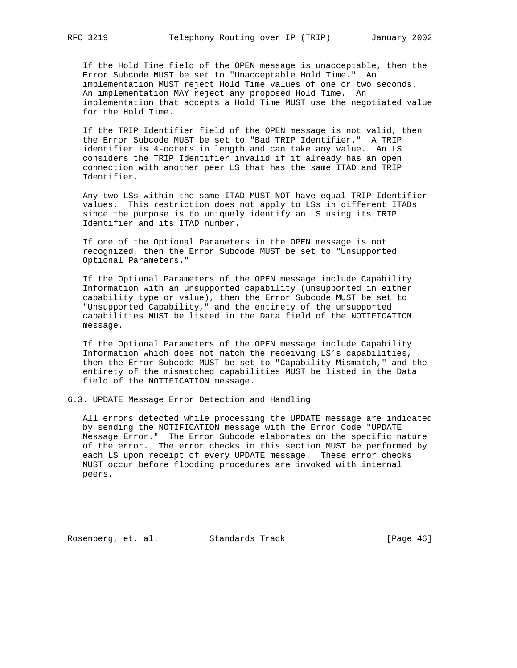If the Hold Time field of the OPEN message is unacceptable, then the Error Subcode MUST be set to "Unacceptable Hold Time." An implementation MUST reject Hold Time values of one or two seconds. An implementation MAY reject any proposed Hold Time. An implementation that accepts a Hold Time MUST use the negotiated value for the Hold Time.

 If the TRIP Identifier field of the OPEN message is not valid, then the Error Subcode MUST be set to "Bad TRIP Identifier." A TRIP identifier is 4-octets in length and can take any value. An LS considers the TRIP Identifier invalid if it already has an open connection with another peer LS that has the same ITAD and TRIP Identifier.

 Any two LSs within the same ITAD MUST NOT have equal TRIP Identifier values. This restriction does not apply to LSs in different ITADs since the purpose is to uniquely identify an LS using its TRIP Identifier and its ITAD number.

 If one of the Optional Parameters in the OPEN message is not recognized, then the Error Subcode MUST be set to "Unsupported Optional Parameters."

 If the Optional Parameters of the OPEN message include Capability Information with an unsupported capability (unsupported in either capability type or value), then the Error Subcode MUST be set to "Unsupported Capability," and the entirety of the unsupported capabilities MUST be listed in the Data field of the NOTIFICATION message.

 If the Optional Parameters of the OPEN message include Capability Information which does not match the receiving LS's capabilities, then the Error Subcode MUST be set to "Capability Mismatch," and the entirety of the mismatched capabilities MUST be listed in the Data field of the NOTIFICATION message.

6.3. UPDATE Message Error Detection and Handling

 All errors detected while processing the UPDATE message are indicated by sending the NOTIFICATION message with the Error Code "UPDATE Message Error." The Error Subcode elaborates on the specific nature of the error. The error checks in this section MUST be performed by each LS upon receipt of every UPDATE message. These error checks MUST occur before flooding procedures are invoked with internal peers.

Rosenberg, et. al. Standards Track [Page 46]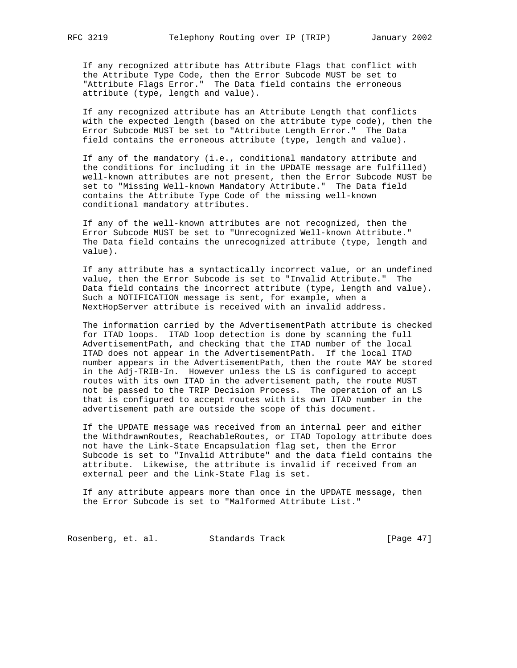If any recognized attribute has Attribute Flags that conflict with the Attribute Type Code, then the Error Subcode MUST be set to "Attribute Flags Error." The Data field contains the erroneous attribute (type, length and value).

 If any recognized attribute has an Attribute Length that conflicts with the expected length (based on the attribute type code), then the Error Subcode MUST be set to "Attribute Length Error." The Data field contains the erroneous attribute (type, length and value).

 If any of the mandatory (i.e., conditional mandatory attribute and the conditions for including it in the UPDATE message are fulfilled) well-known attributes are not present, then the Error Subcode MUST be set to "Missing Well-known Mandatory Attribute." The Data field contains the Attribute Type Code of the missing well-known conditional mandatory attributes.

 If any of the well-known attributes are not recognized, then the Error Subcode MUST be set to "Unrecognized Well-known Attribute." The Data field contains the unrecognized attribute (type, length and value).

 If any attribute has a syntactically incorrect value, or an undefined value, then the Error Subcode is set to "Invalid Attribute." The Data field contains the incorrect attribute (type, length and value). Such a NOTIFICATION message is sent, for example, when a NextHopServer attribute is received with an invalid address.

 The information carried by the AdvertisementPath attribute is checked for ITAD loops. ITAD loop detection is done by scanning the full AdvertisementPath, and checking that the ITAD number of the local ITAD does not appear in the AdvertisementPath. If the local ITAD number appears in the AdvertisementPath, then the route MAY be stored in the Adj-TRIB-In. However unless the LS is configured to accept routes with its own ITAD in the advertisement path, the route MUST not be passed to the TRIP Decision Process. The operation of an LS that is configured to accept routes with its own ITAD number in the advertisement path are outside the scope of this document.

 If the UPDATE message was received from an internal peer and either the WithdrawnRoutes, ReachableRoutes, or ITAD Topology attribute does not have the Link-State Encapsulation flag set, then the Error Subcode is set to "Invalid Attribute" and the data field contains the attribute. Likewise, the attribute is invalid if received from an external peer and the Link-State Flag is set.

 If any attribute appears more than once in the UPDATE message, then the Error Subcode is set to "Malformed Attribute List."

Rosenberg, et. al. Standards Track [Page 47]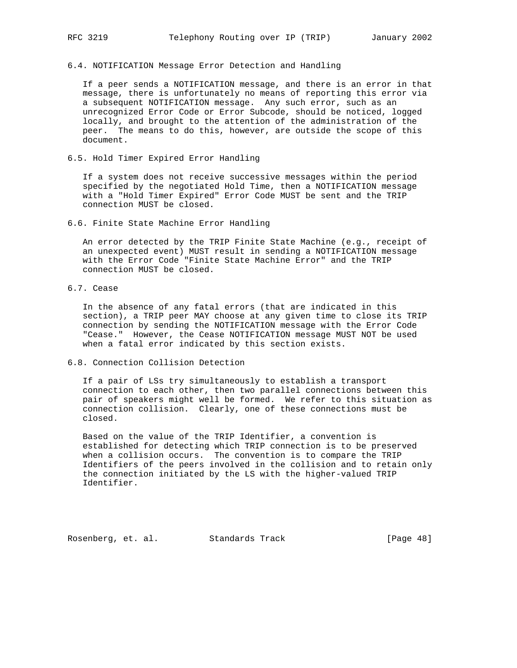## 6.4. NOTIFICATION Message Error Detection and Handling

 If a peer sends a NOTIFICATION message, and there is an error in that message, there is unfortunately no means of reporting this error via a subsequent NOTIFICATION message. Any such error, such as an unrecognized Error Code or Error Subcode, should be noticed, logged locally, and brought to the attention of the administration of the peer. The means to do this, however, are outside the scope of this document.

# 6.5. Hold Timer Expired Error Handling

 If a system does not receive successive messages within the period specified by the negotiated Hold Time, then a NOTIFICATION message with a "Hold Timer Expired" Error Code MUST be sent and the TRIP connection MUST be closed.

6.6. Finite State Machine Error Handling

 An error detected by the TRIP Finite State Machine (e.g., receipt of an unexpected event) MUST result in sending a NOTIFICATION message with the Error Code "Finite State Machine Error" and the TRIP connection MUST be closed.

6.7. Cease

 In the absence of any fatal errors (that are indicated in this section), a TRIP peer MAY choose at any given time to close its TRIP connection by sending the NOTIFICATION message with the Error Code "Cease." However, the Cease NOTIFICATION message MUST NOT be used when a fatal error indicated by this section exists.

6.8. Connection Collision Detection

 If a pair of LSs try simultaneously to establish a transport connection to each other, then two parallel connections between this pair of speakers might well be formed. We refer to this situation as connection collision. Clearly, one of these connections must be closed.

 Based on the value of the TRIP Identifier, a convention is established for detecting which TRIP connection is to be preserved when a collision occurs. The convention is to compare the TRIP Identifiers of the peers involved in the collision and to retain only the connection initiated by the LS with the higher-valued TRIP Identifier.

Rosenberg, et. al. Standards Track [Page 48]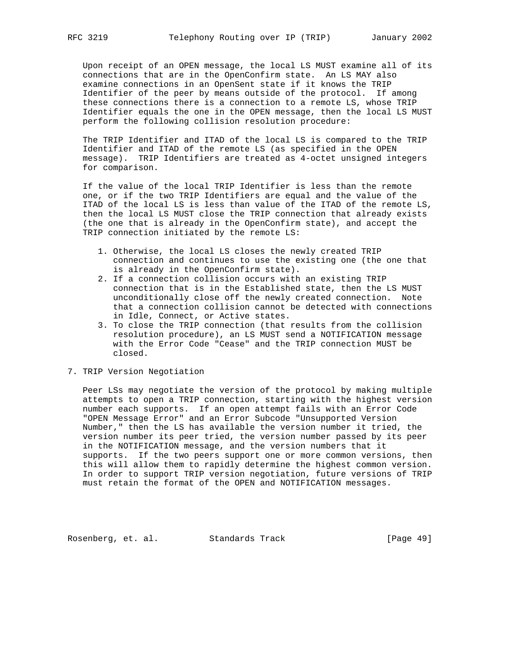Upon receipt of an OPEN message, the local LS MUST examine all of its connections that are in the OpenConfirm state. An LS MAY also examine connections in an OpenSent state if it knows the TRIP Identifier of the peer by means outside of the protocol. If among these connections there is a connection to a remote LS, whose TRIP Identifier equals the one in the OPEN message, then the local LS MUST perform the following collision resolution procedure:

 The TRIP Identifier and ITAD of the local LS is compared to the TRIP Identifier and ITAD of the remote LS (as specified in the OPEN message). TRIP Identifiers are treated as 4-octet unsigned integers for comparison.

 If the value of the local TRIP Identifier is less than the remote one, or if the two TRIP Identifiers are equal and the value of the ITAD of the local LS is less than value of the ITAD of the remote LS, then the local LS MUST close the TRIP connection that already exists (the one that is already in the OpenConfirm state), and accept the TRIP connection initiated by the remote LS:

- 1. Otherwise, the local LS closes the newly created TRIP connection and continues to use the existing one (the one that is already in the OpenConfirm state).
- 2. If a connection collision occurs with an existing TRIP connection that is in the Established state, then the LS MUST unconditionally close off the newly created connection. Note that a connection collision cannot be detected with connections in Idle, Connect, or Active states.
- 3. To close the TRIP connection (that results from the collision resolution procedure), an LS MUST send a NOTIFICATION message with the Error Code "Cease" and the TRIP connection MUST be closed.
- 7. TRIP Version Negotiation

 Peer LSs may negotiate the version of the protocol by making multiple attempts to open a TRIP connection, starting with the highest version number each supports. If an open attempt fails with an Error Code "OPEN Message Error" and an Error Subcode "Unsupported Version Number," then the LS has available the version number it tried, the version number its peer tried, the version number passed by its peer in the NOTIFICATION message, and the version numbers that it supports. If the two peers support one or more common versions, then this will allow them to rapidly determine the highest common version. In order to support TRIP version negotiation, future versions of TRIP must retain the format of the OPEN and NOTIFICATION messages.

Rosenberg, et. al. Standards Track [Page 49]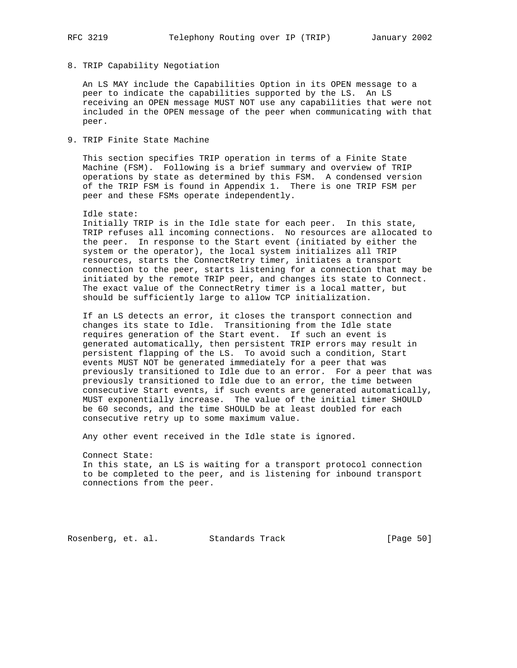# 8. TRIP Capability Negotiation

 An LS MAY include the Capabilities Option in its OPEN message to a peer to indicate the capabilities supported by the LS. An LS receiving an OPEN message MUST NOT use any capabilities that were not included in the OPEN message of the peer when communicating with that peer.

# 9. TRIP Finite State Machine

 This section specifies TRIP operation in terms of a Finite State Machine (FSM). Following is a brief summary and overview of TRIP operations by state as determined by this FSM. A condensed version of the TRIP FSM is found in Appendix 1. There is one TRIP FSM per peer and these FSMs operate independently.

#### Idle state:

 Initially TRIP is in the Idle state for each peer. In this state, TRIP refuses all incoming connections. No resources are allocated to the peer. In response to the Start event (initiated by either the system or the operator), the local system initializes all TRIP resources, starts the ConnectRetry timer, initiates a transport connection to the peer, starts listening for a connection that may be initiated by the remote TRIP peer, and changes its state to Connect. The exact value of the ConnectRetry timer is a local matter, but should be sufficiently large to allow TCP initialization.

 If an LS detects an error, it closes the transport connection and changes its state to Idle. Transitioning from the Idle state requires generation of the Start event. If such an event is generated automatically, then persistent TRIP errors may result in persistent flapping of the LS. To avoid such a condition, Start events MUST NOT be generated immediately for a peer that was previously transitioned to Idle due to an error. For a peer that was previously transitioned to Idle due to an error, the time between consecutive Start events, if such events are generated automatically, MUST exponentially increase. The value of the initial timer SHOULD be 60 seconds, and the time SHOULD be at least doubled for each consecutive retry up to some maximum value.

Any other event received in the Idle state is ignored.

 Connect State: In this state, an LS is waiting for a transport protocol connection to be completed to the peer, and is listening for inbound transport connections from the peer.

Rosenberg, et. al. Standards Track [Page 50]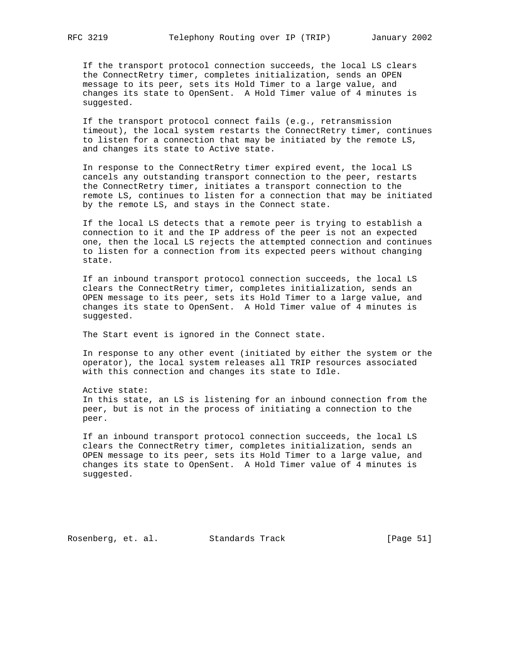If the transport protocol connection succeeds, the local LS clears the ConnectRetry timer, completes initialization, sends an OPEN message to its peer, sets its Hold Timer to a large value, and changes its state to OpenSent. A Hold Timer value of 4 minutes is suggested.

 If the transport protocol connect fails (e.g., retransmission timeout), the local system restarts the ConnectRetry timer, continues to listen for a connection that may be initiated by the remote LS, and changes its state to Active state.

 In response to the ConnectRetry timer expired event, the local LS cancels any outstanding transport connection to the peer, restarts the ConnectRetry timer, initiates a transport connection to the remote LS, continues to listen for a connection that may be initiated by the remote LS, and stays in the Connect state.

 If the local LS detects that a remote peer is trying to establish a connection to it and the IP address of the peer is not an expected one, then the local LS rejects the attempted connection and continues to listen for a connection from its expected peers without changing state.

 If an inbound transport protocol connection succeeds, the local LS clears the ConnectRetry timer, completes initialization, sends an OPEN message to its peer, sets its Hold Timer to a large value, and changes its state to OpenSent. A Hold Timer value of 4 minutes is suggested.

The Start event is ignored in the Connect state.

 In response to any other event (initiated by either the system or the operator), the local system releases all TRIP resources associated with this connection and changes its state to Idle.

 Active state: In this state, an LS is listening for an inbound connection from the peer, but is not in the process of initiating a connection to the peer.

 If an inbound transport protocol connection succeeds, the local LS clears the ConnectRetry timer, completes initialization, sends an OPEN message to its peer, sets its Hold Timer to a large value, and changes its state to OpenSent. A Hold Timer value of 4 minutes is suggested.

Rosenberg, et. al. Standards Track [Page 51]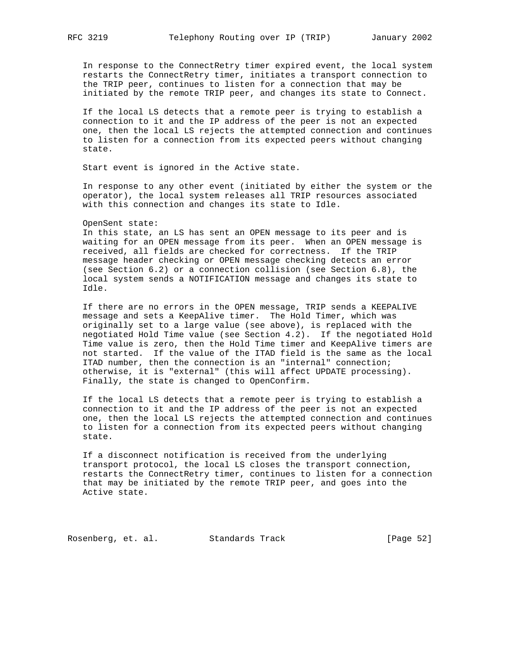In response to the ConnectRetry timer expired event, the local system restarts the ConnectRetry timer, initiates a transport connection to the TRIP peer, continues to listen for a connection that may be initiated by the remote TRIP peer, and changes its state to Connect.

 If the local LS detects that a remote peer is trying to establish a connection to it and the IP address of the peer is not an expected one, then the local LS rejects the attempted connection and continues to listen for a connection from its expected peers without changing state.

Start event is ignored in the Active state.

 In response to any other event (initiated by either the system or the operator), the local system releases all TRIP resources associated with this connection and changes its state to Idle.

### OpenSent state:

 In this state, an LS has sent an OPEN message to its peer and is waiting for an OPEN message from its peer. When an OPEN message is received, all fields are checked for correctness. If the TRIP message header checking or OPEN message checking detects an error (see Section 6.2) or a connection collision (see Section 6.8), the local system sends a NOTIFICATION message and changes its state to Idle.

 If there are no errors in the OPEN message, TRIP sends a KEEPALIVE message and sets a KeepAlive timer. The Hold Timer, which was originally set to a large value (see above), is replaced with the negotiated Hold Time value (see Section 4.2). If the negotiated Hold Time value is zero, then the Hold Time timer and KeepAlive timers are not started. If the value of the ITAD field is the same as the local ITAD number, then the connection is an "internal" connection; otherwise, it is "external" (this will affect UPDATE processing). Finally, the state is changed to OpenConfirm.

 If the local LS detects that a remote peer is trying to establish a connection to it and the IP address of the peer is not an expected one, then the local LS rejects the attempted connection and continues to listen for a connection from its expected peers without changing state.

 If a disconnect notification is received from the underlying transport protocol, the local LS closes the transport connection, restarts the ConnectRetry timer, continues to listen for a connection that may be initiated by the remote TRIP peer, and goes into the Active state.

Rosenberg, et. al. Standards Track [Page 52]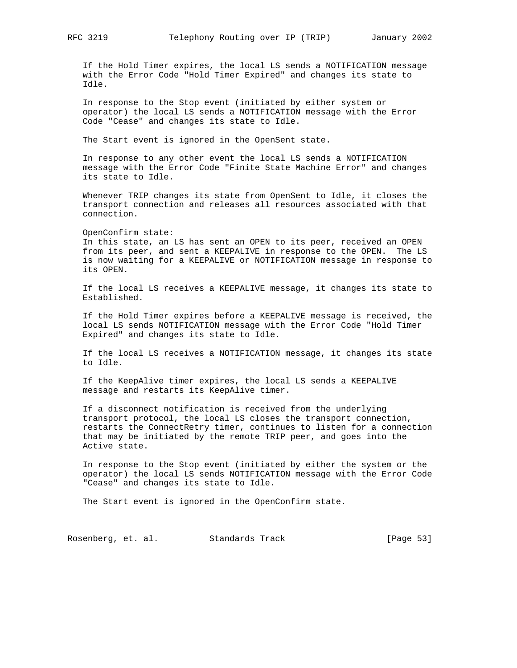If the Hold Timer expires, the local LS sends a NOTIFICATION message with the Error Code "Hold Timer Expired" and changes its state to Idle.

 In response to the Stop event (initiated by either system or operator) the local LS sends a NOTIFICATION message with the Error Code "Cease" and changes its state to Idle.

The Start event is ignored in the OpenSent state.

 In response to any other event the local LS sends a NOTIFICATION message with the Error Code "Finite State Machine Error" and changes its state to Idle.

 Whenever TRIP changes its state from OpenSent to Idle, it closes the transport connection and releases all resources associated with that connection.

 OpenConfirm state: In this state, an LS has sent an OPEN to its peer, received an OPEN from its peer, and sent a KEEPALIVE in response to the OPEN. The LS is now waiting for a KEEPALIVE or NOTIFICATION message in response to its OPEN.

 If the local LS receives a KEEPALIVE message, it changes its state to Established.

 If the Hold Timer expires before a KEEPALIVE message is received, the local LS sends NOTIFICATION message with the Error Code "Hold Timer Expired" and changes its state to Idle.

 If the local LS receives a NOTIFICATION message, it changes its state to Idle.

 If the KeepAlive timer expires, the local LS sends a KEEPALIVE message and restarts its KeepAlive timer.

 If a disconnect notification is received from the underlying transport protocol, the local LS closes the transport connection, restarts the ConnectRetry timer, continues to listen for a connection that may be initiated by the remote TRIP peer, and goes into the Active state.

 In response to the Stop event (initiated by either the system or the operator) the local LS sends NOTIFICATION message with the Error Code "Cease" and changes its state to Idle.

The Start event is ignored in the OpenConfirm state.

Rosenberg, et. al. Standards Track [Page 53]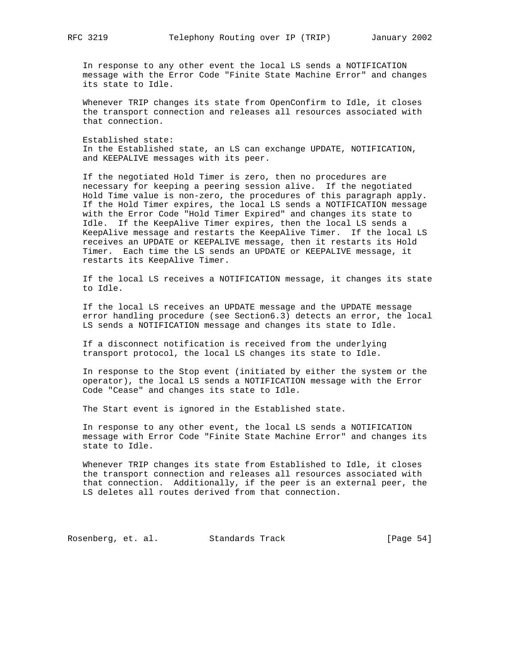In response to any other event the local LS sends a NOTIFICATION message with the Error Code "Finite State Machine Error" and changes its state to Idle.

 Whenever TRIP changes its state from OpenConfirm to Idle, it closes the transport connection and releases all resources associated with that connection.

 Established state: In the Established state, an LS can exchange UPDATE, NOTIFICATION, and KEEPALIVE messages with its peer.

 If the negotiated Hold Timer is zero, then no procedures are necessary for keeping a peering session alive. If the negotiated Hold Time value is non-zero, the procedures of this paragraph apply. If the Hold Timer expires, the local LS sends a NOTIFICATION message with the Error Code "Hold Timer Expired" and changes its state to Idle. If the KeepAlive Timer expires, then the local LS sends a KeepAlive message and restarts the KeepAlive Timer. If the local LS receives an UPDATE or KEEPALIVE message, then it restarts its Hold Timer. Each time the LS sends an UPDATE or KEEPALIVE message, it restarts its KeepAlive Timer.

 If the local LS receives a NOTIFICATION message, it changes its state to Idle.

 If the local LS receives an UPDATE message and the UPDATE message error handling procedure (see Section6.3) detects an error, the local LS sends a NOTIFICATION message and changes its state to Idle.

 If a disconnect notification is received from the underlying transport protocol, the local LS changes its state to Idle.

 In response to the Stop event (initiated by either the system or the operator), the local LS sends a NOTIFICATION message with the Error Code "Cease" and changes its state to Idle.

The Start event is ignored in the Established state.

 In response to any other event, the local LS sends a NOTIFICATION message with Error Code "Finite State Machine Error" and changes its state to Idle.

 Whenever TRIP changes its state from Established to Idle, it closes the transport connection and releases all resources associated with that connection. Additionally, if the peer is an external peer, the LS deletes all routes derived from that connection.

Rosenberg, et. al. Standards Track [Page 54]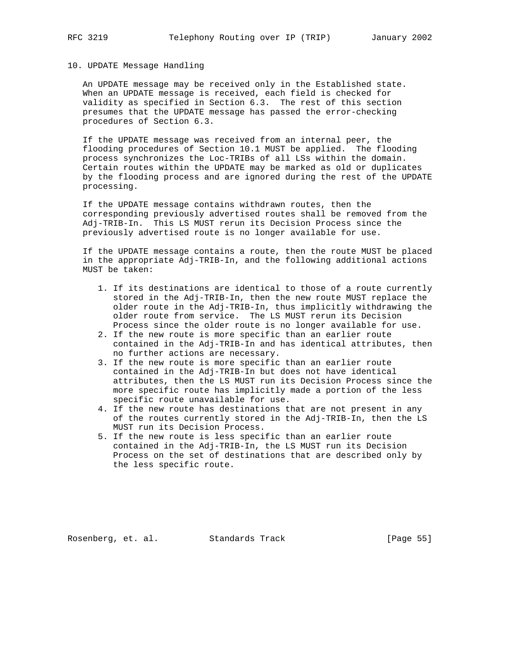## 10. UPDATE Message Handling

 An UPDATE message may be received only in the Established state. When an UPDATE message is received, each field is checked for validity as specified in Section 6.3. The rest of this section presumes that the UPDATE message has passed the error-checking procedures of Section 6.3.

 If the UPDATE message was received from an internal peer, the flooding procedures of Section 10.1 MUST be applied. The flooding process synchronizes the Loc-TRIBs of all LSs within the domain. Certain routes within the UPDATE may be marked as old or duplicates by the flooding process and are ignored during the rest of the UPDATE processing.

 If the UPDATE message contains withdrawn routes, then the corresponding previously advertised routes shall be removed from the Adj-TRIB-In. This LS MUST rerun its Decision Process since the previously advertised route is no longer available for use.

 If the UPDATE message contains a route, then the route MUST be placed in the appropriate Adj-TRIB-In, and the following additional actions MUST be taken:

- 1. If its destinations are identical to those of a route currently stored in the Adj-TRIB-In, then the new route MUST replace the older route in the Adj-TRIB-In, thus implicitly withdrawing the older route from service. The LS MUST rerun its Decision Process since the older route is no longer available for use.
- 2. If the new route is more specific than an earlier route contained in the Adj-TRIB-In and has identical attributes, then no further actions are necessary.
- 3. If the new route is more specific than an earlier route contained in the Adj-TRIB-In but does not have identical attributes, then the LS MUST run its Decision Process since the more specific route has implicitly made a portion of the less specific route unavailable for use.
- 4. If the new route has destinations that are not present in any of the routes currently stored in the Adj-TRIB-In, then the LS MUST run its Decision Process.
- 5. If the new route is less specific than an earlier route contained in the Adj-TRIB-In, the LS MUST run its Decision Process on the set of destinations that are described only by the less specific route.

Rosenberg, et. al. Standards Track [Page 55]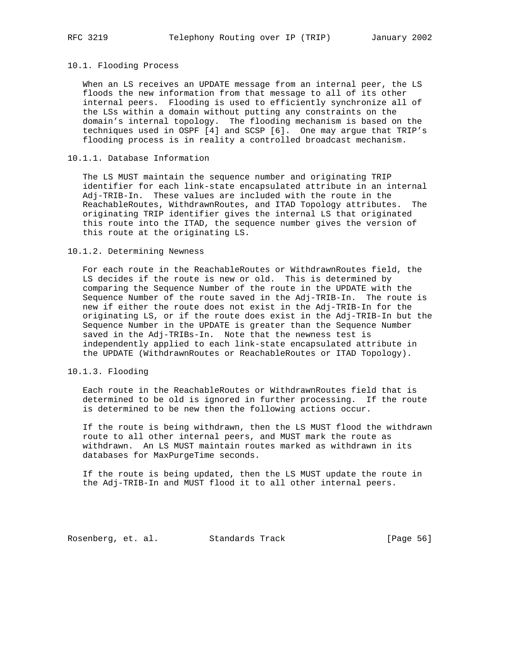## 10.1. Flooding Process

 When an LS receives an UPDATE message from an internal peer, the LS floods the new information from that message to all of its other internal peers. Flooding is used to efficiently synchronize all of the LSs within a domain without putting any constraints on the domain's internal topology. The flooding mechanism is based on the techniques used in OSPF [4] and SCSP [6]. One may argue that TRIP's flooding process is in reality a controlled broadcast mechanism.

# 10.1.1. Database Information

 The LS MUST maintain the sequence number and originating TRIP identifier for each link-state encapsulated attribute in an internal Adj-TRIB-In. These values are included with the route in the ReachableRoutes, WithdrawnRoutes, and ITAD Topology attributes. The originating TRIP identifier gives the internal LS that originated this route into the ITAD, the sequence number gives the version of this route at the originating LS.

### 10.1.2. Determining Newness

 For each route in the ReachableRoutes or WithdrawnRoutes field, the LS decides if the route is new or old. This is determined by comparing the Sequence Number of the route in the UPDATE with the Sequence Number of the route saved in the Adj-TRIB-In. The route is new if either the route does not exist in the Adj-TRIB-In for the originating LS, or if the route does exist in the Adj-TRIB-In but the Sequence Number in the UPDATE is greater than the Sequence Number saved in the Adj-TRIBs-In. Note that the newness test is independently applied to each link-state encapsulated attribute in the UPDATE (WithdrawnRoutes or ReachableRoutes or ITAD Topology).

# 10.1.3. Flooding

 Each route in the ReachableRoutes or WithdrawnRoutes field that is determined to be old is ignored in further processing. If the route is determined to be new then the following actions occur.

 If the route is being withdrawn, then the LS MUST flood the withdrawn route to all other internal peers, and MUST mark the route as withdrawn. An LS MUST maintain routes marked as withdrawn in its databases for MaxPurgeTime seconds.

 If the route is being updated, then the LS MUST update the route in the Adj-TRIB-In and MUST flood it to all other internal peers.

Rosenberg, et. al. Standards Track [Page 56]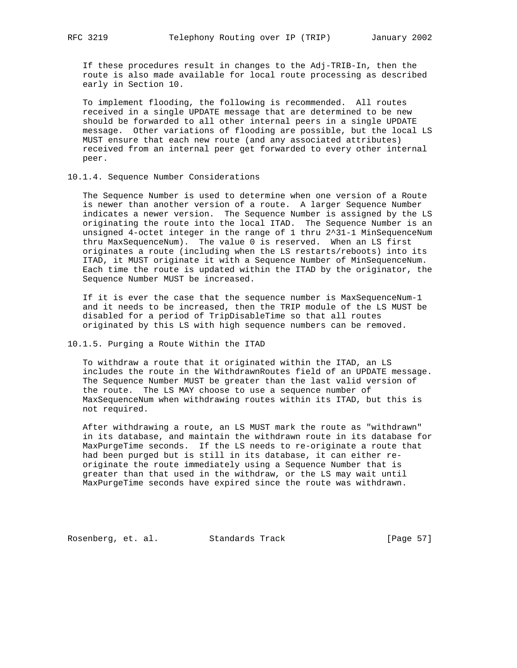If these procedures result in changes to the Adj-TRIB-In, then the route is also made available for local route processing as described early in Section 10.

 To implement flooding, the following is recommended. All routes received in a single UPDATE message that are determined to be new should be forwarded to all other internal peers in a single UPDATE message. Other variations of flooding are possible, but the local LS MUST ensure that each new route (and any associated attributes) received from an internal peer get forwarded to every other internal peer.

## 10.1.4. Sequence Number Considerations

 The Sequence Number is used to determine when one version of a Route is newer than another version of a route. A larger Sequence Number indicates a newer version. The Sequence Number is assigned by the LS originating the route into the local ITAD. The Sequence Number is an unsigned 4-octet integer in the range of 1 thru 2^31-1 MinSequenceNum thru MaxSequenceNum). The value 0 is reserved. When an LS first originates a route (including when the LS restarts/reboots) into its ITAD, it MUST originate it with a Sequence Number of MinSequenceNum. Each time the route is updated within the ITAD by the originator, the Sequence Number MUST be increased.

 If it is ever the case that the sequence number is MaxSequenceNum-1 and it needs to be increased, then the TRIP module of the LS MUST be disabled for a period of TripDisableTime so that all routes originated by this LS with high sequence numbers can be removed.

# 10.1.5. Purging a Route Within the ITAD

 To withdraw a route that it originated within the ITAD, an LS includes the route in the WithdrawnRoutes field of an UPDATE message. The Sequence Number MUST be greater than the last valid version of the route. The LS MAY choose to use a sequence number of MaxSequenceNum when withdrawing routes within its ITAD, but this is not required.

 After withdrawing a route, an LS MUST mark the route as "withdrawn" in its database, and maintain the withdrawn route in its database for MaxPurgeTime seconds. If the LS needs to re-originate a route that had been purged but is still in its database, it can either re originate the route immediately using a Sequence Number that is greater than that used in the withdraw, or the LS may wait until MaxPurgeTime seconds have expired since the route was withdrawn.

Rosenberg, et. al. Standards Track [Page 57]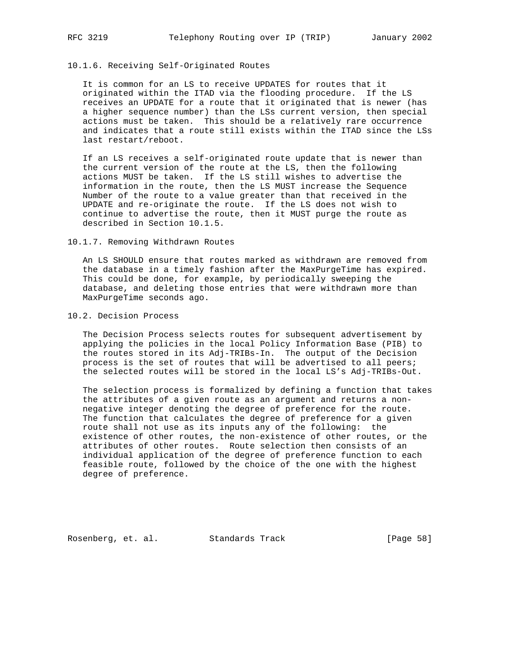# 10.1.6. Receiving Self-Originated Routes

 It is common for an LS to receive UPDATES for routes that it originated within the ITAD via the flooding procedure. If the LS receives an UPDATE for a route that it originated that is newer (has a higher sequence number) than the LSs current version, then special actions must be taken. This should be a relatively rare occurrence and indicates that a route still exists within the ITAD since the LSs last restart/reboot.

 If an LS receives a self-originated route update that is newer than the current version of the route at the LS, then the following actions MUST be taken. If the LS still wishes to advertise the information in the route, then the LS MUST increase the Sequence Number of the route to a value greater than that received in the UPDATE and re-originate the route. If the LS does not wish to continue to advertise the route, then it MUST purge the route as described in Section 10.1.5.

10.1.7. Removing Withdrawn Routes

 An LS SHOULD ensure that routes marked as withdrawn are removed from the database in a timely fashion after the MaxPurgeTime has expired. This could be done, for example, by periodically sweeping the database, and deleting those entries that were withdrawn more than MaxPurgeTime seconds ago.

10.2. Decision Process

 The Decision Process selects routes for subsequent advertisement by applying the policies in the local Policy Information Base (PIB) to the routes stored in its Adj-TRIBs-In. The output of the Decision process is the set of routes that will be advertised to all peers; the selected routes will be stored in the local LS's Adj-TRIBs-Out.

 The selection process is formalized by defining a function that takes the attributes of a given route as an argument and returns a non negative integer denoting the degree of preference for the route. The function that calculates the degree of preference for a given route shall not use as its inputs any of the following: the existence of other routes, the non-existence of other routes, or the attributes of other routes. Route selection then consists of an individual application of the degree of preference function to each feasible route, followed by the choice of the one with the highest degree of preference.

Rosenberg, et. al. Standards Track [Page 58]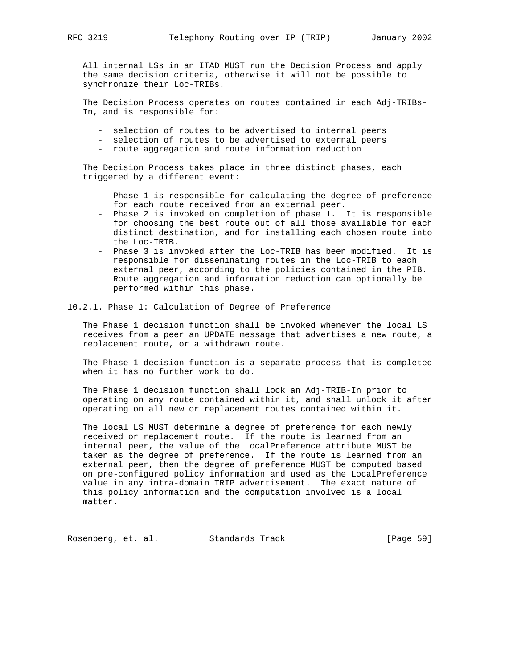All internal LSs in an ITAD MUST run the Decision Process and apply the same decision criteria, otherwise it will not be possible to synchronize their Loc-TRIBs.

 The Decision Process operates on routes contained in each Adj-TRIBs- In, and is responsible for:

- selection of routes to be advertised to internal peers
- selection of routes to be advertised to external peers
- route aggregation and route information reduction

 The Decision Process takes place in three distinct phases, each triggered by a different event:

- Phase 1 is responsible for calculating the degree of preference for each route received from an external peer.
- Phase 2 is invoked on completion of phase 1. It is responsible for choosing the best route out of all those available for each distinct destination, and for installing each chosen route into the Loc-TRIB.
- Phase 3 is invoked after the Loc-TRIB has been modified. It is responsible for disseminating routes in the Loc-TRIB to each external peer, according to the policies contained in the PIB. Route aggregation and information reduction can optionally be performed within this phase.
- 10.2.1. Phase 1: Calculation of Degree of Preference

 The Phase 1 decision function shall be invoked whenever the local LS receives from a peer an UPDATE message that advertises a new route, a replacement route, or a withdrawn route.

 The Phase 1 decision function is a separate process that is completed when it has no further work to do.

 The Phase 1 decision function shall lock an Adj-TRIB-In prior to operating on any route contained within it, and shall unlock it after operating on all new or replacement routes contained within it.

 The local LS MUST determine a degree of preference for each newly received or replacement route. If the route is learned from an internal peer, the value of the LocalPreference attribute MUST be taken as the degree of preference. If the route is learned from an external peer, then the degree of preference MUST be computed based on pre-configured policy information and used as the LocalPreference value in any intra-domain TRIP advertisement. The exact nature of this policy information and the computation involved is a local matter.

Rosenberg, et. al. Standards Track [Page 59]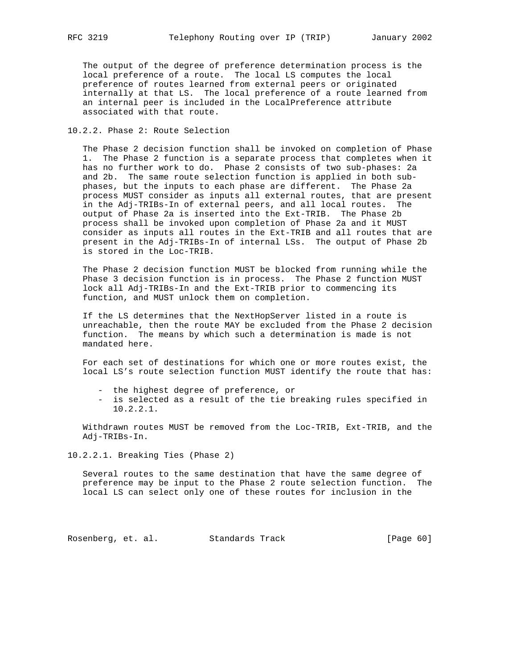The output of the degree of preference determination process is the local preference of a route. The local LS computes the local preference of routes learned from external peers or originated internally at that LS. The local preference of a route learned from an internal peer is included in the LocalPreference attribute associated with that route.

# 10.2.2. Phase 2: Route Selection

 The Phase 2 decision function shall be invoked on completion of Phase 1. The Phase 2 function is a separate process that completes when it has no further work to do. Phase 2 consists of two sub-phases: 2a and 2b. The same route selection function is applied in both sub phases, but the inputs to each phase are different. The Phase 2a process MUST consider as inputs all external routes, that are present in the Adj-TRIBs-In of external peers, and all local routes. The output of Phase 2a is inserted into the Ext-TRIB. The Phase 2b process shall be invoked upon completion of Phase 2a and it MUST consider as inputs all routes in the Ext-TRIB and all routes that are present in the Adj-TRIBs-In of internal LSs. The output of Phase 2b is stored in the Loc-TRIB.

 The Phase 2 decision function MUST be blocked from running while the Phase 3 decision function is in process. The Phase 2 function MUST lock all Adj-TRIBs-In and the Ext-TRIB prior to commencing its function, and MUST unlock them on completion.

 If the LS determines that the NextHopServer listed in a route is unreachable, then the route MAY be excluded from the Phase 2 decision function. The means by which such a determination is made is not mandated here.

 For each set of destinations for which one or more routes exist, the local LS's route selection function MUST identify the route that has:

- the highest degree of preference, or
- is selected as a result of the tie breaking rules specified in 10.2.2.1.

 Withdrawn routes MUST be removed from the Loc-TRIB, Ext-TRIB, and the Adj-TRIBs-In.

10.2.2.1. Breaking Ties (Phase 2)

 Several routes to the same destination that have the same degree of preference may be input to the Phase 2 route selection function. The local LS can select only one of these routes for inclusion in the

Rosenberg, et. al. Standards Track [Page 60]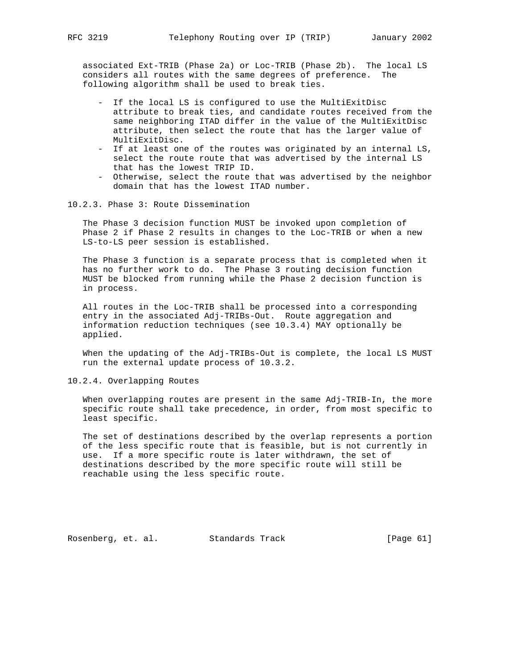associated Ext-TRIB (Phase 2a) or Loc-TRIB (Phase 2b). The local LS considers all routes with the same degrees of preference. The following algorithm shall be used to break ties.

- If the local LS is configured to use the MultiExitDisc attribute to break ties, and candidate routes received from the same neighboring ITAD differ in the value of the MultiExitDisc attribute, then select the route that has the larger value of MultiExitDisc.
- If at least one of the routes was originated by an internal LS, select the route route that was advertised by the internal LS that has the lowest TRIP ID.
- Otherwise, select the route that was advertised by the neighbor domain that has the lowest ITAD number.
- 10.2.3. Phase 3: Route Dissemination

 The Phase 3 decision function MUST be invoked upon completion of Phase 2 if Phase 2 results in changes to the Loc-TRIB or when a new LS-to-LS peer session is established.

 The Phase 3 function is a separate process that is completed when it has no further work to do. The Phase 3 routing decision function MUST be blocked from running while the Phase 2 decision function is in process.

 All routes in the Loc-TRIB shall be processed into a corresponding entry in the associated Adj-TRIBs-Out. Route aggregation and information reduction techniques (see 10.3.4) MAY optionally be applied.

 When the updating of the Adj-TRIBs-Out is complete, the local LS MUST run the external update process of 10.3.2.

10.2.4. Overlapping Routes

 When overlapping routes are present in the same Adj-TRIB-In, the more specific route shall take precedence, in order, from most specific to least specific.

 The set of destinations described by the overlap represents a portion of the less specific route that is feasible, but is not currently in use. If a more specific route is later withdrawn, the set of destinations described by the more specific route will still be reachable using the less specific route.

Rosenberg, et. al. Standards Track [Page 61]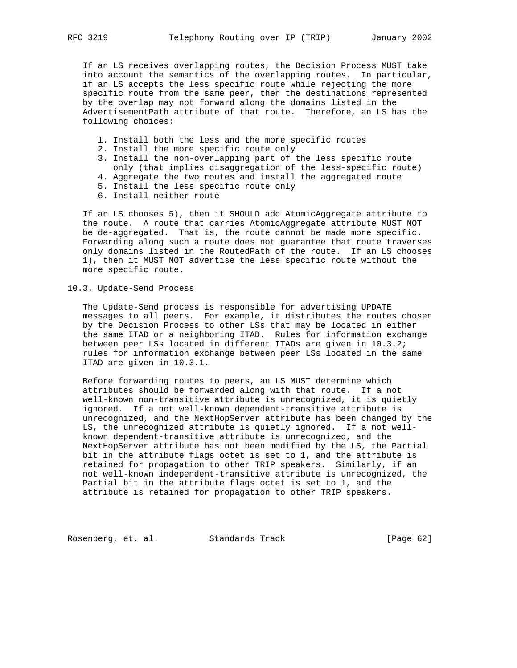If an LS receives overlapping routes, the Decision Process MUST take into account the semantics of the overlapping routes. In particular, if an LS accepts the less specific route while rejecting the more specific route from the same peer, then the destinations represented by the overlap may not forward along the domains listed in the AdvertisementPath attribute of that route. Therefore, an LS has the following choices:

- 1. Install both the less and the more specific routes
- 2. Install the more specific route only
- 3. Install the non-overlapping part of the less specific route
- only (that implies disaggregation of the less-specific route)
- 4. Aggregate the two routes and install the aggregated route
- 5. Install the less specific route only
- 6. Install neither route

 If an LS chooses 5), then it SHOULD add AtomicAggregate attribute to the route. A route that carries AtomicAggregate attribute MUST NOT be de-aggregated. That is, the route cannot be made more specific. Forwarding along such a route does not guarantee that route traverses only domains listed in the RoutedPath of the route. If an LS chooses 1), then it MUST NOT advertise the less specific route without the more specific route.

10.3. Update-Send Process

 The Update-Send process is responsible for advertising UPDATE messages to all peers. For example, it distributes the routes chosen by the Decision Process to other LSs that may be located in either the same ITAD or a neighboring ITAD. Rules for information exchange between peer LSs located in different ITADs are given in 10.3.2; rules for information exchange between peer LSs located in the same ITAD are given in 10.3.1.

 Before forwarding routes to peers, an LS MUST determine which attributes should be forwarded along with that route. If a not well-known non-transitive attribute is unrecognized, it is quietly ignored. If a not well-known dependent-transitive attribute is unrecognized, and the NextHopServer attribute has been changed by the LS, the unrecognized attribute is quietly ignored. If a not well known dependent-transitive attribute is unrecognized, and the NextHopServer attribute has not been modified by the LS, the Partial bit in the attribute flags octet is set to 1, and the attribute is retained for propagation to other TRIP speakers. Similarly, if an not well-known independent-transitive attribute is unrecognized, the Partial bit in the attribute flags octet is set to 1, and the attribute is retained for propagation to other TRIP speakers.

Rosenberg, et. al. Standards Track [Page 62]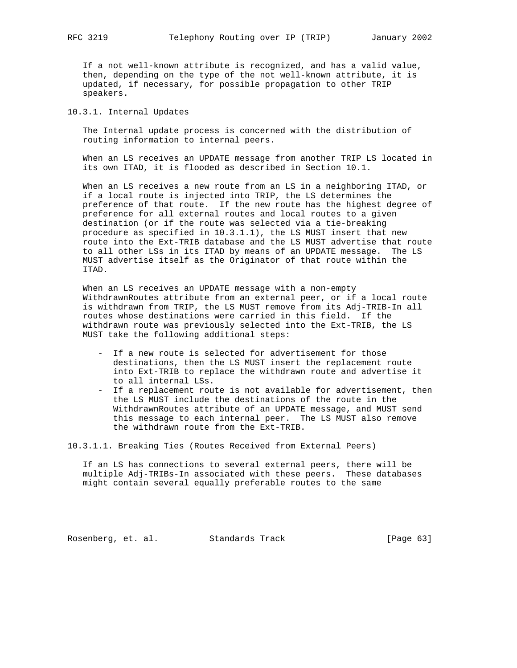If a not well-known attribute is recognized, and has a valid value, then, depending on the type of the not well-known attribute, it is updated, if necessary, for possible propagation to other TRIP speakers.

# 10.3.1. Internal Updates

 The Internal update process is concerned with the distribution of routing information to internal peers.

 When an LS receives an UPDATE message from another TRIP LS located in its own ITAD, it is flooded as described in Section 10.1.

 When an LS receives a new route from an LS in a neighboring ITAD, or if a local route is injected into TRIP, the LS determines the preference of that route. If the new route has the highest degree of preference for all external routes and local routes to a given destination (or if the route was selected via a tie-breaking procedure as specified in 10.3.1.1), the LS MUST insert that new route into the Ext-TRIB database and the LS MUST advertise that route to all other LSs in its ITAD by means of an UPDATE message. The LS MUST advertise itself as the Originator of that route within the ITAD.

 When an LS receives an UPDATE message with a non-empty WithdrawnRoutes attribute from an external peer, or if a local route is withdrawn from TRIP, the LS MUST remove from its Adj-TRIB-In all routes whose destinations were carried in this field. If the withdrawn route was previously selected into the Ext-TRIB, the LS MUST take the following additional steps:

- If a new route is selected for advertisement for those destinations, then the LS MUST insert the replacement route into Ext-TRIB to replace the withdrawn route and advertise it to all internal LSs.
- If a replacement route is not available for advertisement, then the LS MUST include the destinations of the route in the WithdrawnRoutes attribute of an UPDATE message, and MUST send this message to each internal peer. The LS MUST also remove the withdrawn route from the Ext-TRIB.

10.3.1.1. Breaking Ties (Routes Received from External Peers)

 If an LS has connections to several external peers, there will be multiple Adj-TRIBs-In associated with these peers. These databases might contain several equally preferable routes to the same

Rosenberg, et. al. Standards Track [Page 63]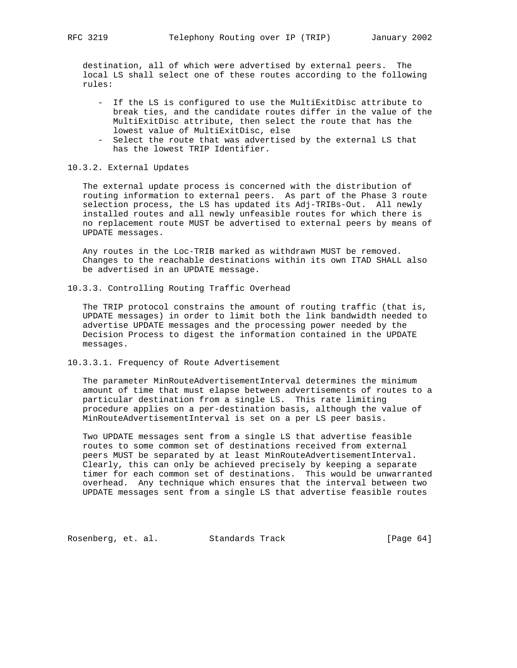destination, all of which were advertised by external peers. The local LS shall select one of these routes according to the following rules:

- If the LS is configured to use the MultiExitDisc attribute to break ties, and the candidate routes differ in the value of the MultiExitDisc attribute, then select the route that has the lowest value of MultiExitDisc, else
- Select the route that was advertised by the external LS that has the lowest TRIP Identifier.

# 10.3.2. External Updates

 The external update process is concerned with the distribution of routing information to external peers. As part of the Phase 3 route selection process, the LS has updated its Adj-TRIBs-Out. All newly installed routes and all newly unfeasible routes for which there is no replacement route MUST be advertised to external peers by means of UPDATE messages.

 Any routes in the Loc-TRIB marked as withdrawn MUST be removed. Changes to the reachable destinations within its own ITAD SHALL also be advertised in an UPDATE message.

10.3.3. Controlling Routing Traffic Overhead

 The TRIP protocol constrains the amount of routing traffic (that is, UPDATE messages) in order to limit both the link bandwidth needed to advertise UPDATE messages and the processing power needed by the Decision Process to digest the information contained in the UPDATE messages.

10.3.3.1. Frequency of Route Advertisement

 The parameter MinRouteAdvertisementInterval determines the minimum amount of time that must elapse between advertisements of routes to a particular destination from a single LS. This rate limiting procedure applies on a per-destination basis, although the value of MinRouteAdvertisementInterval is set on a per LS peer basis.

 Two UPDATE messages sent from a single LS that advertise feasible routes to some common set of destinations received from external peers MUST be separated by at least MinRouteAdvertisementInterval. Clearly, this can only be achieved precisely by keeping a separate timer for each common set of destinations. This would be unwarranted overhead. Any technique which ensures that the interval between two UPDATE messages sent from a single LS that advertise feasible routes

Rosenberg, et. al. Standards Track [Page 64]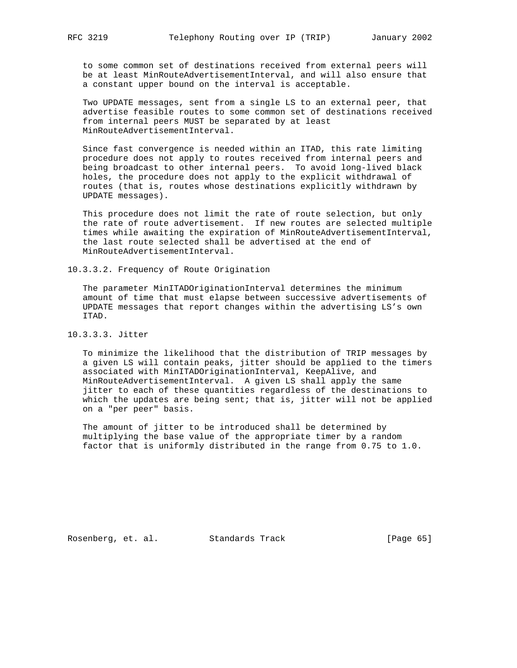to some common set of destinations received from external peers will be at least MinRouteAdvertisementInterval, and will also ensure that a constant upper bound on the interval is acceptable.

 Two UPDATE messages, sent from a single LS to an external peer, that advertise feasible routes to some common set of destinations received from internal peers MUST be separated by at least MinRouteAdvertisementInterval.

 Since fast convergence is needed within an ITAD, this rate limiting procedure does not apply to routes received from internal peers and being broadcast to other internal peers. To avoid long-lived black holes, the procedure does not apply to the explicit withdrawal of routes (that is, routes whose destinations explicitly withdrawn by UPDATE messages).

 This procedure does not limit the rate of route selection, but only the rate of route advertisement. If new routes are selected multiple times while awaiting the expiration of MinRouteAdvertisementInterval, the last route selected shall be advertised at the end of MinRouteAdvertisementInterval.

10.3.3.2. Frequency of Route Origination

 The parameter MinITADOriginationInterval determines the minimum amount of time that must elapse between successive advertisements of UPDATE messages that report changes within the advertising LS's own ITAD.

10.3.3.3. Jitter

 To minimize the likelihood that the distribution of TRIP messages by a given LS will contain peaks, jitter should be applied to the timers associated with MinITADOriginationInterval, KeepAlive, and MinRouteAdvertisementInterval. A given LS shall apply the same jitter to each of these quantities regardless of the destinations to which the updates are being sent; that is, jitter will not be applied on a "per peer" basis.

 The amount of jitter to be introduced shall be determined by multiplying the base value of the appropriate timer by a random factor that is uniformly distributed in the range from 0.75 to 1.0.

Rosenberg, et. al. Standards Track [Page 65]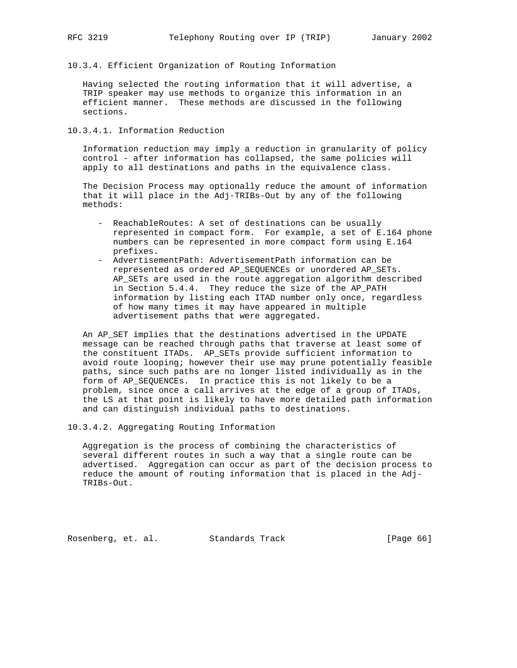- 
- 10.3.4. Efficient Organization of Routing Information

 Having selected the routing information that it will advertise, a TRIP speaker may use methods to organize this information in an efficient manner. These methods are discussed in the following sections.

10.3.4.1. Information Reduction

 Information reduction may imply a reduction in granularity of policy control - after information has collapsed, the same policies will apply to all destinations and paths in the equivalence class.

 The Decision Process may optionally reduce the amount of information that it will place in the Adj-TRIBs-Out by any of the following methods:

- ReachableRoutes: A set of destinations can be usually represented in compact form. For example, a set of E.164 phone numbers can be represented in more compact form using E.164 prefixes.
- AdvertisementPath: AdvertisementPath information can be represented as ordered AP\_SEQUENCEs or unordered AP\_SETs. AP\_SETs are used in the route aggregation algorithm described in Section 5.4.4. They reduce the size of the AP\_PATH information by listing each ITAD number only once, regardless of how many times it may have appeared in multiple advertisement paths that were aggregated.

 An AP\_SET implies that the destinations advertised in the UPDATE message can be reached through paths that traverse at least some of the constituent ITADs. AP\_SETs provide sufficient information to avoid route looping; however their use may prune potentially feasible paths, since such paths are no longer listed individually as in the form of AP\_SEQUENCEs. In practice this is not likely to be a problem, since once a call arrives at the edge of a group of ITADs, the LS at that point is likely to have more detailed path information and can distinguish individual paths to destinations.

10.3.4.2. Aggregating Routing Information

 Aggregation is the process of combining the characteristics of several different routes in such a way that a single route can be advertised. Aggregation can occur as part of the decision process to reduce the amount of routing information that is placed in the Adj- TRIBs-Out.

Rosenberg, et. al. Standards Track [Page 66]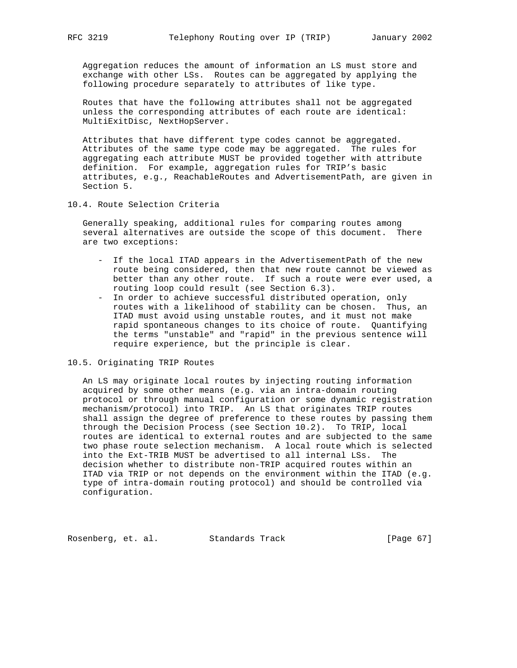Aggregation reduces the amount of information an LS must store and exchange with other LSs. Routes can be aggregated by applying the following procedure separately to attributes of like type.

 Routes that have the following attributes shall not be aggregated unless the corresponding attributes of each route are identical: MultiExitDisc, NextHopServer.

 Attributes that have different type codes cannot be aggregated. Attributes of the same type code may be aggregated. The rules for aggregating each attribute MUST be provided together with attribute definition. For example, aggregation rules for TRIP's basic attributes, e.g., ReachableRoutes and AdvertisementPath, are given in Section 5.

10.4. Route Selection Criteria

 Generally speaking, additional rules for comparing routes among several alternatives are outside the scope of this document. There are two exceptions:

- If the local ITAD appears in the AdvertisementPath of the new route being considered, then that new route cannot be viewed as better than any other route. If such a route were ever used, a routing loop could result (see Section 6.3).
- In order to achieve successful distributed operation, only routes with a likelihood of stability can be chosen. Thus, an ITAD must avoid using unstable routes, and it must not make rapid spontaneous changes to its choice of route. Quantifying the terms "unstable" and "rapid" in the previous sentence will require experience, but the principle is clear.

# 10.5. Originating TRIP Routes

 An LS may originate local routes by injecting routing information acquired by some other means (e.g. via an intra-domain routing protocol or through manual configuration or some dynamic registration mechanism/protocol) into TRIP. An LS that originates TRIP routes shall assign the degree of preference to these routes by passing them through the Decision Process (see Section 10.2). To TRIP, local routes are identical to external routes and are subjected to the same two phase route selection mechanism. A local route which is selected into the Ext-TRIB MUST be advertised to all internal LSs. The decision whether to distribute non-TRIP acquired routes within an ITAD via TRIP or not depends on the environment within the ITAD (e.g. type of intra-domain routing protocol) and should be controlled via configuration.

Rosenberg, et. al. Standards Track [Page 67]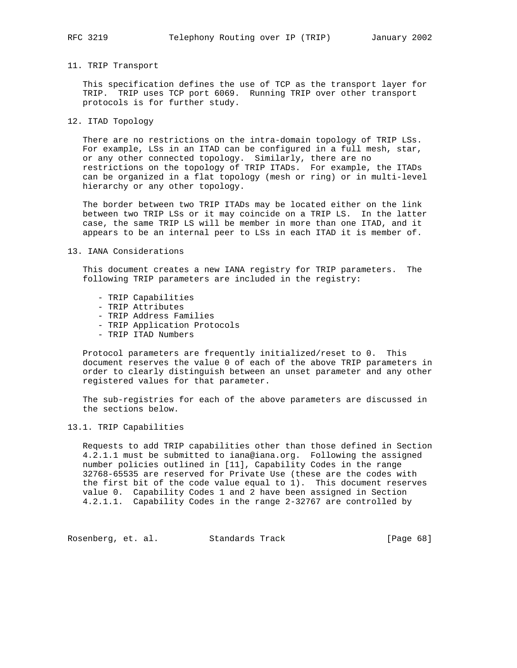# 11. TRIP Transport

 This specification defines the use of TCP as the transport layer for TRIP. TRIP uses TCP port 6069. Running TRIP over other transport protocols is for further study.

12. ITAD Topology

 There are no restrictions on the intra-domain topology of TRIP LSs. For example, LSs in an ITAD can be configured in a full mesh, star, or any other connected topology. Similarly, there are no restrictions on the topology of TRIP ITADs. For example, the ITADs can be organized in a flat topology (mesh or ring) or in multi-level hierarchy or any other topology.

 The border between two TRIP ITADs may be located either on the link between two TRIP LSs or it may coincide on a TRIP LS. In the latter case, the same TRIP LS will be member in more than one ITAD, and it appears to be an internal peer to LSs in each ITAD it is member of.

# 13. IANA Considerations

 This document creates a new IANA registry for TRIP parameters. The following TRIP parameters are included in the registry:

- TRIP Capabilities
- TRIP Attributes
- TRIP Address Families
- TRIP Application Protocols
- TRIP ITAD Numbers

 Protocol parameters are frequently initialized/reset to 0. This document reserves the value 0 of each of the above TRIP parameters in order to clearly distinguish between an unset parameter and any other registered values for that parameter.

 The sub-registries for each of the above parameters are discussed in the sections below.

# 13.1. TRIP Capabilities

 Requests to add TRIP capabilities other than those defined in Section 4.2.1.1 must be submitted to iana@iana.org. Following the assigned number policies outlined in [11], Capability Codes in the range 32768-65535 are reserved for Private Use (these are the codes with the first bit of the code value equal to 1). This document reserves value 0. Capability Codes 1 and 2 have been assigned in Section 4.2.1.1. Capability Codes in the range 2-32767 are controlled by

Rosenberg, et. al. Standards Track [Page 68]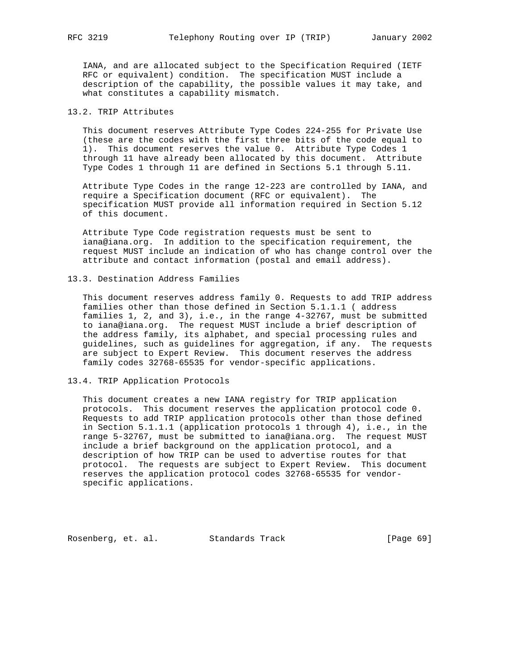IANA, and are allocated subject to the Specification Required (IETF RFC or equivalent) condition. The specification MUST include a description of the capability, the possible values it may take, and what constitutes a capability mismatch.

# 13.2. TRIP Attributes

 This document reserves Attribute Type Codes 224-255 for Private Use (these are the codes with the first three bits of the code equal to 1). This document reserves the value 0. Attribute Type Codes 1 through 11 have already been allocated by this document. Attribute Type Codes 1 through 11 are defined in Sections 5.1 through 5.11.

 Attribute Type Codes in the range 12-223 are controlled by IANA, and require a Specification document (RFC or equivalent). The specification MUST provide all information required in Section 5.12 of this document.

 Attribute Type Code registration requests must be sent to iana@iana.org. In addition to the specification requirement, the request MUST include an indication of who has change control over the attribute and contact information (postal and email address).

# 13.3. Destination Address Families

 This document reserves address family 0. Requests to add TRIP address families other than those defined in Section 5.1.1.1 ( address families 1, 2, and 3), i.e., in the range 4-32767, must be submitted to iana@iana.org. The request MUST include a brief description of the address family, its alphabet, and special processing rules and guidelines, such as guidelines for aggregation, if any. The requests are subject to Expert Review. This document reserves the address family codes 32768-65535 for vendor-specific applications.

# 13.4. TRIP Application Protocols

 This document creates a new IANA registry for TRIP application protocols. This document reserves the application protocol code 0. Requests to add TRIP application protocols other than those defined in Section 5.1.1.1 (application protocols 1 through 4), i.e., in the range 5-32767, must be submitted to iana@iana.org. The request MUST include a brief background on the application protocol, and a description of how TRIP can be used to advertise routes for that protocol. The requests are subject to Expert Review. This document reserves the application protocol codes 32768-65535 for vendor specific applications.

Rosenberg, et. al. Standards Track [Page 69]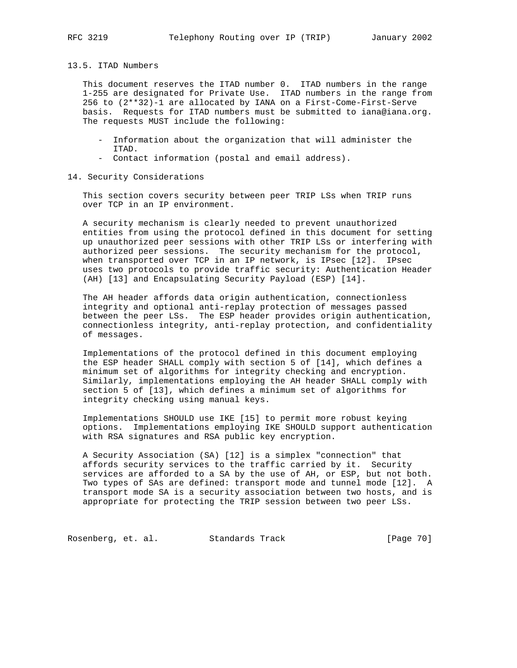## 13.5. ITAD Numbers

 This document reserves the ITAD number 0. ITAD numbers in the range 1-255 are designated for Private Use. ITAD numbers in the range from 256 to (2\*\*32)-1 are allocated by IANA on a First-Come-First-Serve basis. Requests for ITAD numbers must be submitted to iana@iana.org. The requests MUST include the following:

- Information about the organization that will administer the ITAD.
- Contact information (postal and email address).
- 14. Security Considerations

 This section covers security between peer TRIP LSs when TRIP runs over TCP in an IP environment.

 A security mechanism is clearly needed to prevent unauthorized entities from using the protocol defined in this document for setting up unauthorized peer sessions with other TRIP LSs or interfering with authorized peer sessions. The security mechanism for the protocol, when transported over TCP in an IP network, is IPsec [12]. IPsec uses two protocols to provide traffic security: Authentication Header (AH) [13] and Encapsulating Security Payload (ESP) [14].

 The AH header affords data origin authentication, connectionless integrity and optional anti-replay protection of messages passed between the peer LSs. The ESP header provides origin authentication, connectionless integrity, anti-replay protection, and confidentiality of messages.

 Implementations of the protocol defined in this document employing the ESP header SHALL comply with section 5 of [14], which defines a minimum set of algorithms for integrity checking and encryption. Similarly, implementations employing the AH header SHALL comply with section 5 of [13], which defines a minimum set of algorithms for integrity checking using manual keys.

 Implementations SHOULD use IKE [15] to permit more robust keying options. Implementations employing IKE SHOULD support authentication with RSA signatures and RSA public key encryption.

 A Security Association (SA) [12] is a simplex "connection" that affords security services to the traffic carried by it. Security services are afforded to a SA by the use of AH, or ESP, but not both. Two types of SAs are defined: transport mode and tunnel mode [12]. A transport mode SA is a security association between two hosts, and is appropriate for protecting the TRIP session between two peer LSs.

Rosenberg, et. al. Standards Track [Page 70]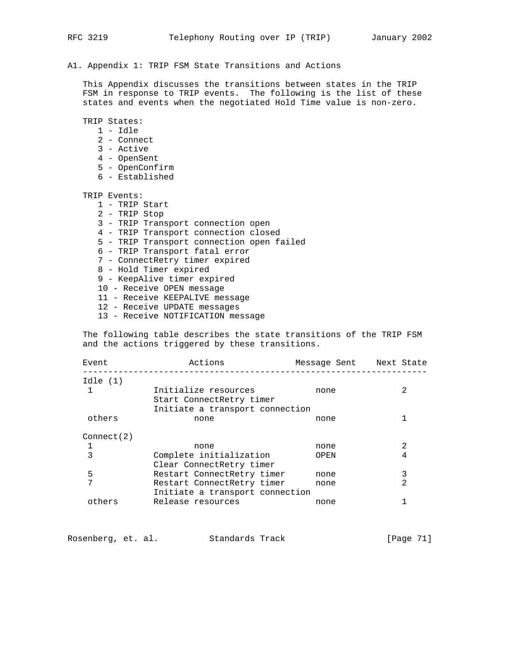# A1. Appendix 1: TRIP FSM State Transitions and Actions

 This Appendix discusses the transitions between states in the TRIP FSM in response to TRIP events. The following is the list of these states and events when the negotiated Hold Time value is non-zero.

TRIP States:

- 1 Idle
- 2 Connect
- 3 Active
- 4 OpenSent
- 5 OpenConfirm
- 6 Established

TRIP Events:

- 1 TRIP Start
- 2 TRIP Stop
- 3 TRIP Transport connection open
- 4 TRIP Transport connection closed
- 5 TRIP Transport connection open failed
- 6 TRIP Transport fatal error
- 7 ConnectRetry timer expired
- 8 Hold Timer expired
- 9 KeepAlive timer expired
- 10 Receive OPEN message
- 11 Receive KEEPALIVE message
- 12 Receive UPDATE messages
- 13 Receive NOTIFICATION message

 The following table describes the state transitions of the TRIP FSM and the actions triggered by these transitions.

| Event      | Actions                                                       | Message Sent Next State |   |
|------------|---------------------------------------------------------------|-------------------------|---|
| Idle(1)    |                                                               |                         |   |
| 1          | Initialize resources<br>Start ConnectRetry timer              | none                    |   |
|            | Initiate a transport connection                               |                         |   |
| others     | none                                                          | none                    |   |
| Connect(2) |                                                               |                         |   |
|            | none                                                          | none                    |   |
| 3          | Complete initialization                                       | OPEN                    |   |
|            | Clear ConnectRetry timer                                      |                         |   |
| 5          | Restart ConnectRetry timer                                    | none                    |   |
| 7          | Restart ConnectRetry timer<br>Initiate a transport connection | none                    | 2 |
| others     | Release resources                                             | none                    |   |

Rosenberg, et. al. Standards Track [Page 71]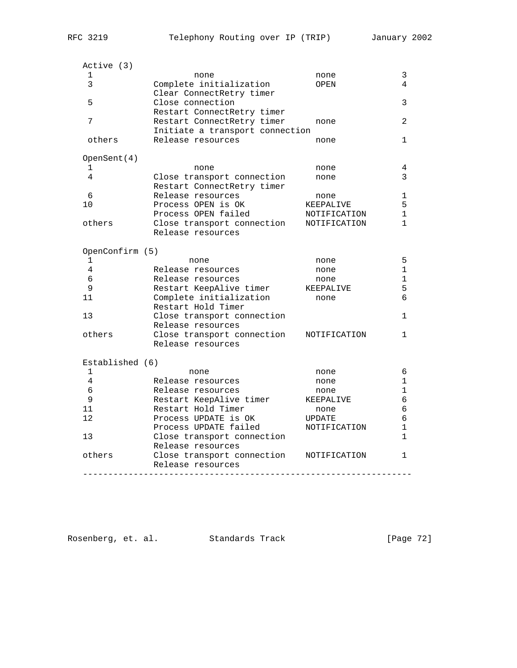| Active (3)      |                                                      |              |              |
|-----------------|------------------------------------------------------|--------------|--------------|
| 1               | none                                                 | none         | 3            |
| 3               | Complete initialization                              | OPEN         | 4            |
|                 | Clear ConnectRetry timer                             |              |              |
| 5               | Close connection                                     |              | 3            |
|                 | Restart ConnectRetry timer                           |              |              |
| 7               | Restart ConnectRetry timer                           | none         | 2            |
| others          | Initiate a transport connection<br>Release resources | none         | 1            |
|                 |                                                      |              |              |
| OpenSent(4)     |                                                      |              |              |
| 1               | none                                                 | none         | 4            |
| 4               | Close transport connection                           | none         | 3            |
|                 | Restart ConnectRetry timer                           |              |              |
| 6               | Release resources                                    | none         | 1            |
| 10              | Process OPEN is OK                                   | KEEPALIVE    | 5            |
|                 | Process OPEN failed                                  | NOTIFICATION | 1            |
| others          | Close transport connection                           | NOTIFICATION | $\mathbf{1}$ |
|                 | Release resources                                    |              |              |
| OpenConfirm (5) |                                                      |              |              |
| 1               | none                                                 | none         | 5            |
| 4               | Release resources                                    | none         | 1            |
| 6               | Release resources                                    | none         | 1            |
| 9               | Restart KeepAlive timer                              | KEEPALIVE    | 5            |
| 11              | Complete initialization                              | none         | 6            |
|                 | Restart Hold Timer                                   |              |              |
| 13              | Close transport connection                           |              | 1            |
|                 | Release resources                                    |              |              |
| others          | Close transport connection                           | NOTIFICATION | 1            |
|                 | Release resources                                    |              |              |
| Established (6) |                                                      |              |              |
| 1               | none                                                 | none         | 6            |
| 4               | Release resources                                    | none         | 1            |
| 6               | Release resources                                    | none         | 1            |
| 9               | Restart KeepAlive timer                              | KEEPALIVE    | 6            |
| 11              | Restart Hold Timer                                   | none         | 6            |
| 12              | Process UPDATE is OK                                 | UPDATE       | 6            |
|                 | Process UPDATE failed                                | NOTIFICATION | $\mathbf{1}$ |
| 13              | Close transport connection                           |              | $\mathbf{1}$ |
|                 | Release resources                                    |              |              |
| others          | Close transport connection                           | NOTIFICATION | 1            |
|                 | Release resources                                    |              |              |

Rosenberg, et. al. Standards Track [Page 72]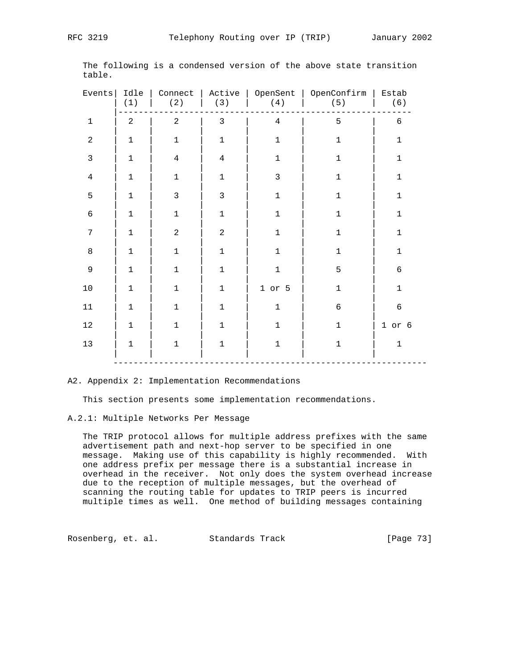| Events         | Idle<br>(1)    | Connect<br>(2) | (3)            | (4)            | Active   OpenSent   OpenConfirm   Estab<br>(5) | (6)         |
|----------------|----------------|----------------|----------------|----------------|------------------------------------------------|-------------|
| $\mathbf 1$    | $\overline{a}$ | $\overline{a}$ | $\mathfrak{Z}$ | $\overline{4}$ | 5                                              | 6           |
| $\sqrt{2}$     | $\mathbf 1$    | $\mathbf 1$    | $\mathbf 1$    | $\mathbf 1$    | $\mathbf 1$                                    | $\mathbf 1$ |
| $\mathfrak{Z}$ | $\mathbf{1}$   | $\overline{4}$ | $\overline{4}$ | $\mathbf 1$    | $\mathbf 1$                                    | $\mathbf 1$ |
| $\overline{4}$ | $\mathbf{1}$   | $\mathbf 1$    | $\mathbf 1$    | $\mathbf{3}$   | $\mathbf 1$                                    | $\mathbf 1$ |
| 5              | $\mathbf{1}$   | $\mathsf{3}$   | $\mathsf 3$    | $\mathbf 1$    | $\mathbf 1$                                    | $\mathbf 1$ |
| $\epsilon$     | $\mathbf{1}$   | $\mathbf 1$    | $1\,$          | $\mathbf 1$    | $1\,$                                          | $\mathbf 1$ |
| 7              | $\mathbf 1$    | $\sqrt{2}$     | $\sqrt{2}$     | $\mathbf 1$    | $\mathbf 1$                                    | $\mathbf 1$ |
| $\,8\,$        | $\mathbf{1}$   | $\mathbf 1$    | $\mathbf 1$    | $\mathbf 1$    | $\mathbf 1$                                    | $\mathbf 1$ |
| $\mathsf 9$    | $\mathbf 1$    | $\mathbf 1$    | $1\,$          | $1\,$          | 5                                              | $\sqrt{6}$  |
| $10$           | $\mathbf{1}$   | $1\,$          | $\mathbf 1$    | $1$ or $5$     | $1\,$                                          | $\mathbf 1$ |
| 11             | $\mathbf 1$    | $\mathbf 1$    | $1\,$          | $\mathbf 1$    | $\epsilon$                                     | $\sqrt{6}$  |
| 12             | $\mathbf{1}$   | $\mathbf{1}$   | $\mathbf 1$    | $\mathbf{1}$   | $\mathbf 1$                                    | $1$ or $6$  |
| 13             | 1              | $\mathbf 1$    | $\mathbf 1$    | $\mathbf 1$    | $\mathbf 1$                                    | $\mathbf 1$ |

 The following is a condensed version of the above state transition table.

#### A2. Appendix 2: Implementation Recommendations

This section presents some implementation recommendations.

# A.2.1: Multiple Networks Per Message

 The TRIP protocol allows for multiple address prefixes with the same advertisement path and next-hop server to be specified in one message. Making use of this capability is highly recommended. With one address prefix per message there is a substantial increase in overhead in the receiver. Not only does the system overhead increase due to the reception of multiple messages, but the overhead of scanning the routing table for updates to TRIP peers is incurred multiple times as well. One method of building messages containing

Rosenberg, et. al. Standards Track [Page 73]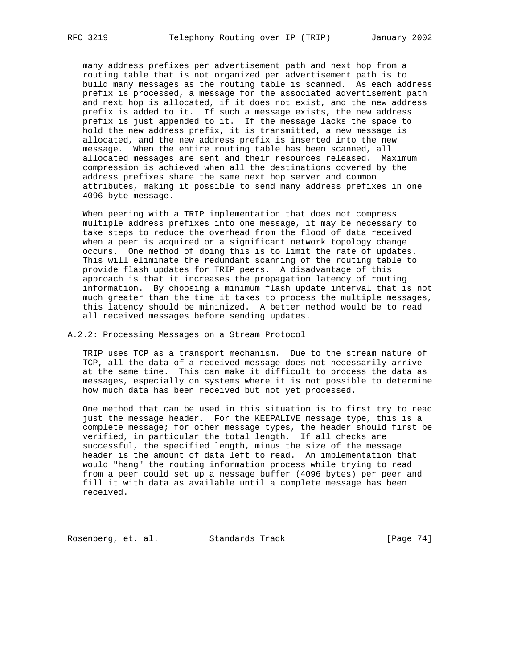many address prefixes per advertisement path and next hop from a routing table that is not organized per advertisement path is to build many messages as the routing table is scanned. As each address prefix is processed, a message for the associated advertisement path and next hop is allocated, if it does not exist, and the new address prefix is added to it. If such a message exists, the new address prefix is just appended to it. If the message lacks the space to hold the new address prefix, it is transmitted, a new message is allocated, and the new address prefix is inserted into the new message. When the entire routing table has been scanned, all allocated messages are sent and their resources released. Maximum compression is achieved when all the destinations covered by the address prefixes share the same next hop server and common attributes, making it possible to send many address prefixes in one 4096-byte message.

 When peering with a TRIP implementation that does not compress multiple address prefixes into one message, it may be necessary to take steps to reduce the overhead from the flood of data received when a peer is acquired or a significant network topology change occurs. One method of doing this is to limit the rate of updates. This will eliminate the redundant scanning of the routing table to provide flash updates for TRIP peers. A disadvantage of this approach is that it increases the propagation latency of routing information. By choosing a minimum flash update interval that is not much greater than the time it takes to process the multiple messages, this latency should be minimized. A better method would be to read all received messages before sending updates.

# A.2.2: Processing Messages on a Stream Protocol

 TRIP uses TCP as a transport mechanism. Due to the stream nature of TCP, all the data of a received message does not necessarily arrive at the same time. This can make it difficult to process the data as messages, especially on systems where it is not possible to determine how much data has been received but not yet processed.

 One method that can be used in this situation is to first try to read just the message header. For the KEEPALIVE message type, this is a complete message; for other message types, the header should first be verified, in particular the total length. If all checks are successful, the specified length, minus the size of the message header is the amount of data left to read. An implementation that would "hang" the routing information process while trying to read from a peer could set up a message buffer (4096 bytes) per peer and fill it with data as available until a complete message has been received.

Rosenberg, et. al. Standards Track [Page 74]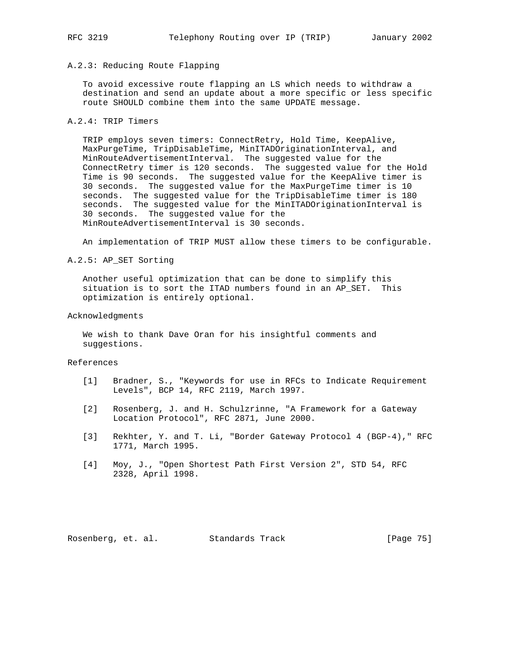# A.2.3: Reducing Route Flapping

 To avoid excessive route flapping an LS which needs to withdraw a destination and send an update about a more specific or less specific route SHOULD combine them into the same UPDATE message.

# A.2.4: TRIP Timers

 TRIP employs seven timers: ConnectRetry, Hold Time, KeepAlive, MaxPurgeTime, TripDisableTime, MinITADOriginationInterval, and MinRouteAdvertisementInterval. The suggested value for the ConnectRetry timer is 120 seconds. The suggested value for the Hold Time is 90 seconds. The suggested value for the KeepAlive timer is 30 seconds. The suggested value for the MaxPurgeTime timer is 10 seconds. The suggested value for the TripDisableTime timer is 180 seconds. The suggested value for the MinITADOriginationInterval is 30 seconds. The suggested value for the MinRouteAdvertisementInterval is 30 seconds.

An implementation of TRIP MUST allow these timers to be configurable.

A.2.5: AP\_SET Sorting

 Another useful optimization that can be done to simplify this situation is to sort the ITAD numbers found in an AP\_SET. This optimization is entirely optional.

# Acknowledgments

 We wish to thank Dave Oran for his insightful comments and suggestions.

#### References

- [1] Bradner, S., "Keywords for use in RFCs to Indicate Requirement Levels", BCP 14, RFC 2119, March 1997.
- [2] Rosenberg, J. and H. Schulzrinne, "A Framework for a Gateway Location Protocol", RFC 2871, June 2000.
- [3] Rekhter, Y. and T. Li, "Border Gateway Protocol 4 (BGP-4)," RFC 1771, March 1995.
- [4] Moy, J., "Open Shortest Path First Version 2", STD 54, RFC 2328, April 1998.

Rosenberg, et. al. Standards Track [Page 75]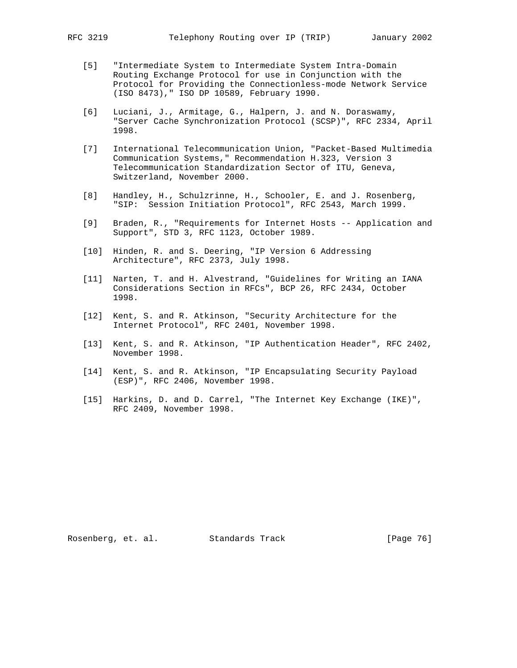- [5] "Intermediate System to Intermediate System Intra-Domain Routing Exchange Protocol for use in Conjunction with the Protocol for Providing the Connectionless-mode Network Service (ISO 8473)," ISO DP 10589, February 1990.
- [6] Luciani, J., Armitage, G., Halpern, J. and N. Doraswamy, "Server Cache Synchronization Protocol (SCSP)", RFC 2334, April 1998.
- [7] International Telecommunication Union, "Packet-Based Multimedia Communication Systems," Recommendation H.323, Version 3 Telecommunication Standardization Sector of ITU, Geneva, Switzerland, November 2000.
- [8] Handley, H., Schulzrinne, H., Schooler, E. and J. Rosenberg, "SIP: Session Initiation Protocol", RFC 2543, March 1999.
- [9] Braden, R., "Requirements for Internet Hosts -- Application and Support", STD 3, RFC 1123, October 1989.
- [10] Hinden, R. and S. Deering, "IP Version 6 Addressing Architecture", RFC 2373, July 1998.
- [11] Narten, T. and H. Alvestrand, "Guidelines for Writing an IANA Considerations Section in RFCs", BCP 26, RFC 2434, October 1998.
- [12] Kent, S. and R. Atkinson, "Security Architecture for the Internet Protocol", RFC 2401, November 1998.
- [13] Kent, S. and R. Atkinson, "IP Authentication Header", RFC 2402, November 1998.
- [14] Kent, S. and R. Atkinson, "IP Encapsulating Security Payload (ESP)", RFC 2406, November 1998.
- [15] Harkins, D. and D. Carrel, "The Internet Key Exchange (IKE)", RFC 2409, November 1998.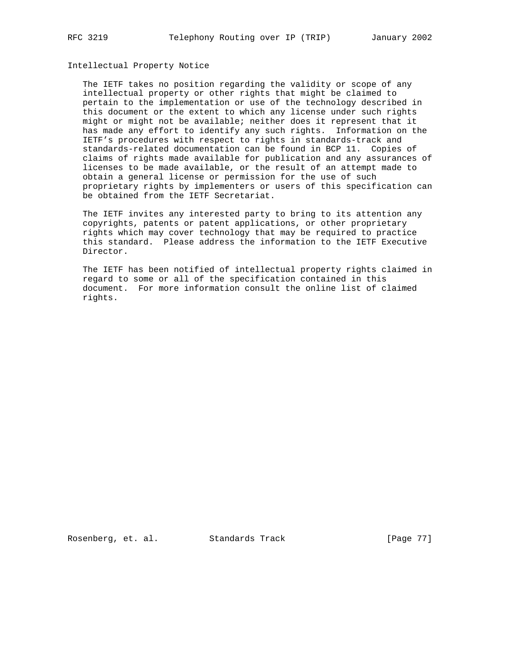# Intellectual Property Notice

 The IETF takes no position regarding the validity or scope of any intellectual property or other rights that might be claimed to pertain to the implementation or use of the technology described in this document or the extent to which any license under such rights might or might not be available; neither does it represent that it has made any effort to identify any such rights. Information on the IETF's procedures with respect to rights in standards-track and standards-related documentation can be found in BCP 11. Copies of claims of rights made available for publication and any assurances of licenses to be made available, or the result of an attempt made to obtain a general license or permission for the use of such proprietary rights by implementers or users of this specification can be obtained from the IETF Secretariat.

 The IETF invites any interested party to bring to its attention any copyrights, patents or patent applications, or other proprietary rights which may cover technology that may be required to practice this standard. Please address the information to the IETF Executive Director.

 The IETF has been notified of intellectual property rights claimed in regard to some or all of the specification contained in this document. For more information consult the online list of claimed rights.

Rosenberg, et. al. Standards Track [Page 77]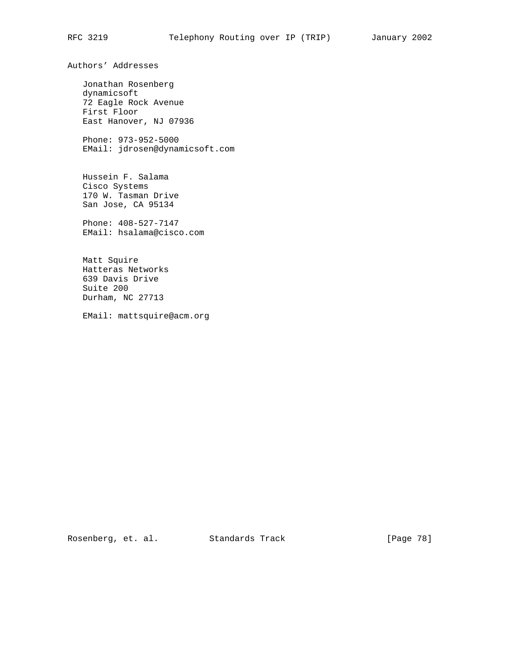Authors' Addresses

 Jonathan Rosenberg dynamicsoft 72 Eagle Rock Avenue First Floor East Hanover, NJ 07936

 Phone: 973-952-5000 EMail: jdrosen@dynamicsoft.com

 Hussein F. Salama Cisco Systems 170 W. Tasman Drive San Jose, CA 95134

 Phone: 408-527-7147 EMail: hsalama@cisco.com

 Matt Squire Hatteras Networks 639 Davis Drive Suite 200 Durham, NC 27713

EMail: mattsquire@acm.org

Rosenberg, et. al. Standards Track [Page 78]